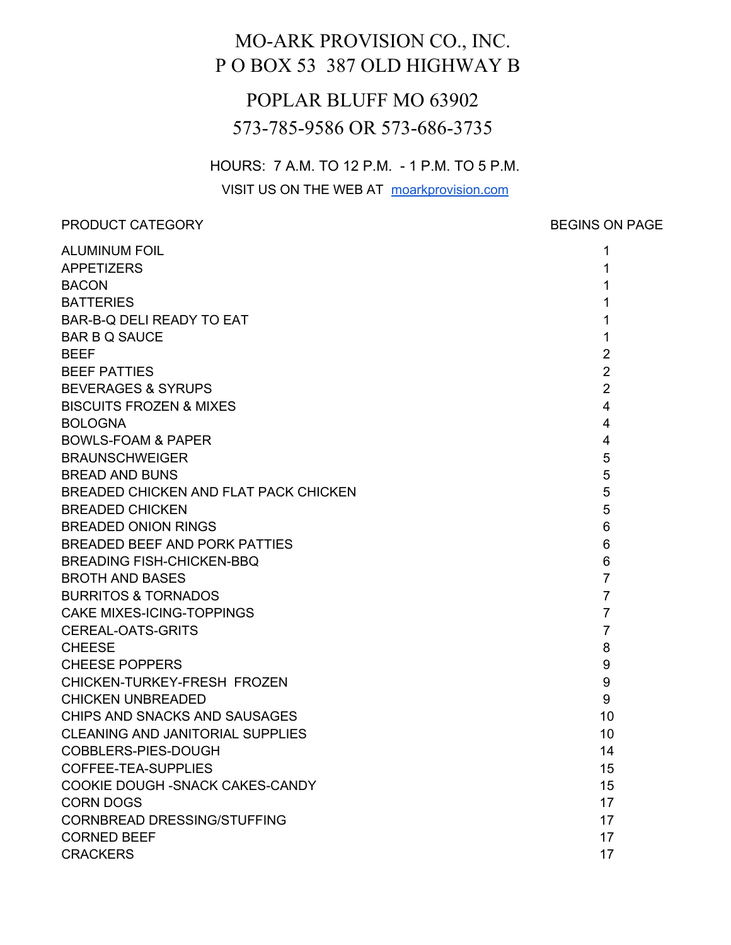# MO-ARK PROVISION CO., INC. P O BOX 53 387 OLD HIGHWAY B

# POPLAR BLUFF MO 63902 573-785-9586 OR 573-686-3735

HOURS: 7 A.M. TO 12 P.M. - 1 P.M. TO 5 P.M.

VISIT US ON THE WEB AT moarkprovision.com

PRODUCT CATEGORY **BEGINS** ON PAGE

| <b>ALUMINUM FOIL</b>                    | 1                       |
|-----------------------------------------|-------------------------|
| <b>APPETIZERS</b>                       | 1                       |
| <b>BACON</b>                            | 1                       |
| <b>BATTERIES</b>                        | 1                       |
| BAR-B-Q DELI READY TO EAT               | 1                       |
| <b>BAR B Q SAUCE</b>                    | 1                       |
| <b>BEEF</b>                             | $\overline{2}$          |
| <b>BEEF PATTIES</b>                     | $\overline{2}$          |
| <b>BEVERAGES &amp; SYRUPS</b>           | $\overline{2}$          |
| <b>BISCUITS FROZEN &amp; MIXES</b>      | $\overline{4}$          |
| <b>BOLOGNA</b>                          | $\overline{4}$          |
| <b>BOWLS-FOAM &amp; PAPER</b>           | $\overline{\mathbf{4}}$ |
| <b>BRAUNSCHWEIGER</b>                   | 5                       |
| <b>BREAD AND BUNS</b>                   | 5                       |
| BREADED CHICKEN AND FLAT PACK CHICKEN   | 5                       |
| <b>BREADED CHICKEN</b>                  | 5                       |
| <b>BREADED ONION RINGS</b>              | $6\phantom{1}$          |
| <b>BREADED BEEF AND PORK PATTIES</b>    | 6                       |
| <b>BREADING FISH-CHICKEN-BBQ</b>        | 6                       |
| <b>BROTH AND BASES</b>                  | $\overline{7}$          |
| <b>BURRITOS &amp; TORNADOS</b>          | $\overline{7}$          |
| <b>CAKE MIXES-ICING-TOPPINGS</b>        | $\overline{7}$          |
| <b>CEREAL-OATS-GRITS</b>                | $\overline{7}$          |
| <b>CHEESE</b>                           | 8                       |
| <b>CHEESE POPPERS</b>                   | 9                       |
| CHICKEN-TURKEY-FRESH FROZEN             | 9                       |
| <b>CHICKEN UNBREADED</b>                | 9                       |
| CHIPS AND SNACKS AND SAUSAGES           | 10                      |
| <b>CLEANING AND JANITORIAL SUPPLIES</b> | 10                      |
| COBBLERS-PIES-DOUGH                     | 14                      |
| COFFEE-TEA-SUPPLIES                     | 15                      |
| COOKIE DOUGH - SNACK CAKES-CANDY        | 15                      |
| <b>CORN DOGS</b>                        | 17                      |
| <b>CORNBREAD DRESSING/STUFFING</b>      | 17                      |
| <b>CORNED BEEF</b>                      | 17                      |
| <b>CRACKERS</b>                         | 17                      |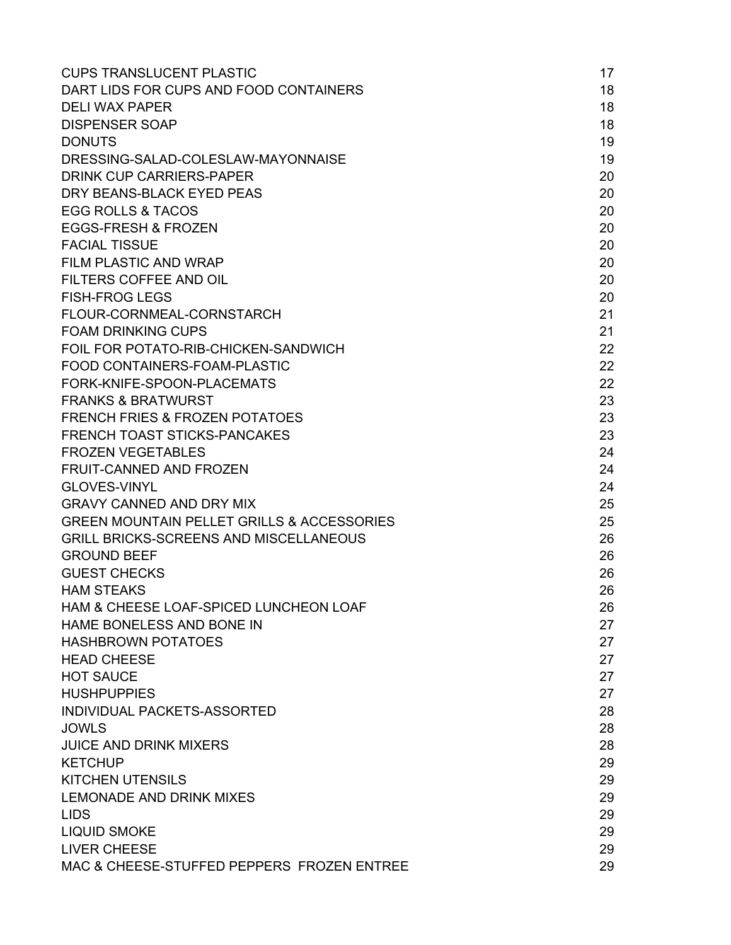| <b>CUPS TRANSLUCENT PLASTIC</b>                       | 17 |
|-------------------------------------------------------|----|
| DART LIDS FOR CUPS AND FOOD CONTAINERS                | 18 |
| <b>DELI WAX PAPER</b>                                 | 18 |
| <b>DISPENSER SOAP</b>                                 | 18 |
| <b>DONUTS</b>                                         | 19 |
| DRESSING-SALAD-COLESLAW-MAYONNAISE                    | 19 |
| <b>DRINK CUP CARRIERS-PAPER</b>                       | 20 |
| DRY BEANS-BLACK EYED PEAS                             | 20 |
| <b>EGG ROLLS &amp; TACOS</b>                          | 20 |
| <b>EGGS-FRESH &amp; FROZEN</b>                        | 20 |
| <b>FACIAL TISSUE</b>                                  | 20 |
| <b>FILM PLASTIC AND WRAP</b>                          | 20 |
| <b>FILTERS COFFEE AND OIL</b>                         | 20 |
| <b>FISH-FROG LEGS</b>                                 | 20 |
| FLOUR-CORNMEAL-CORNSTARCH                             | 21 |
| <b>FOAM DRINKING CUPS</b>                             | 21 |
| FOIL FOR POTATO-RIB-CHICKEN-SANDWICH                  | 22 |
| FOOD CONTAINERS-FOAM-PLASTIC                          | 22 |
| FORK-KNIFE-SPOON-PLACEMATS                            | 22 |
| <b>FRANKS &amp; BRATWURST</b>                         | 23 |
| <b>FRENCH FRIES &amp; FROZEN POTATOES</b>             | 23 |
| <b>FRENCH TOAST STICKS-PANCAKES</b>                   | 23 |
| <b>FROZEN VEGETABLES</b>                              | 24 |
| <b>FRUIT-CANNED AND FROZEN</b>                        | 24 |
| <b>GLOVES-VINYL</b>                                   | 24 |
| <b>GRAVY CANNED AND DRY MIX</b>                       | 25 |
| <b>GREEN MOUNTAIN PELLET GRILLS &amp; ACCESSORIES</b> | 25 |
| <b>GRILL BRICKS-SCREENS AND MISCELLANEOUS</b>         | 26 |
| <b>GROUND BEEF</b>                                    | 26 |
| <b>GUEST CHECKS</b>                                   | 26 |
| <b>HAM STEAKS</b>                                     | 26 |
| HAM & CHEESE LOAF-SPICED LUNCHEON LOAF                | 26 |
| HAME BONELESS AND BONE IN                             | 27 |
| <b>HASHBROWN POTATOES</b>                             | 27 |
| <b>HEAD CHEESE</b>                                    | 27 |
| <b>HOT SAUCE</b>                                      | 27 |
| <b>HUSHPUPPIES</b>                                    | 27 |
| INDIVIDUAL PACKETS-ASSORTED                           | 28 |
| <b>JOWLS</b>                                          | 28 |
| <b>JUICE AND DRINK MIXERS</b>                         | 28 |
| <b>KETCHUP</b>                                        | 29 |
| <b>KITCHEN UTENSILS</b>                               | 29 |
| <b>LEMONADE AND DRINK MIXES</b>                       | 29 |
| <b>LIDS</b>                                           | 29 |
| <b>LIQUID SMOKE</b>                                   | 29 |
| <b>LIVER CHEESE</b>                                   | 29 |
| MAC & CHEESE-STUFFED PEPPERS FROZEN ENTREE            | 29 |
|                                                       |    |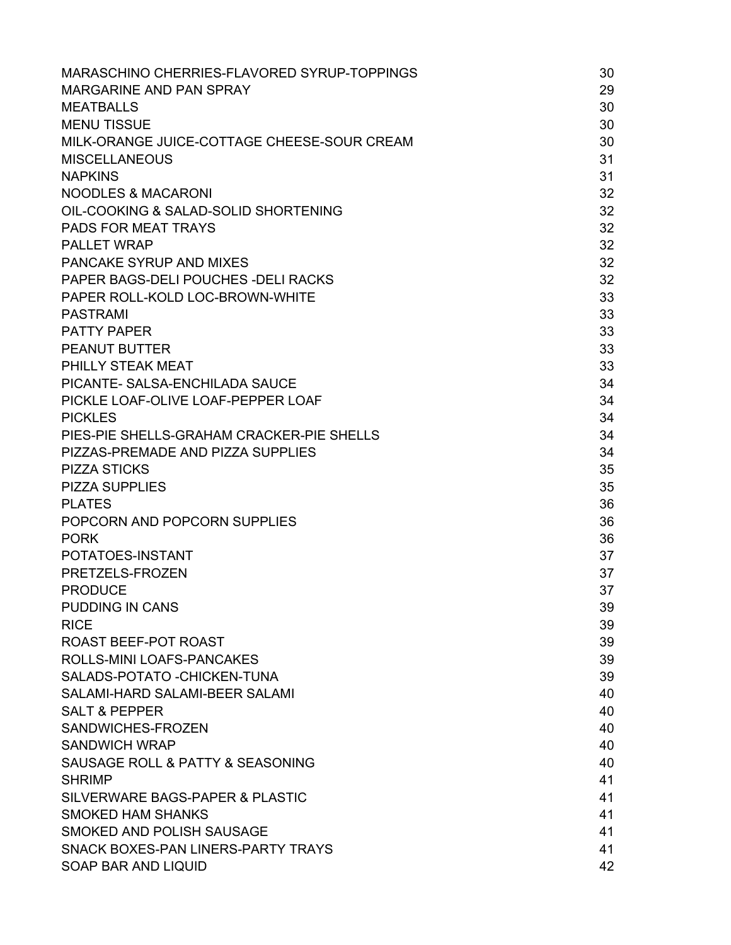| MARASCHINO CHERRIES-FLAVORED SYRUP-TOPPINGS | 30 |
|---------------------------------------------|----|
| MARGARINE AND PAN SPRAY                     | 29 |
| <b>MEATBALLS</b>                            | 30 |
| <b>MENU TISSUE</b>                          | 30 |
| MILK-ORANGE JUICE-COTTAGE CHEESE-SOUR CREAM | 30 |
| <b>MISCELLANEOUS</b>                        | 31 |
| <b>NAPKINS</b>                              | 31 |
| <b>NOODLES &amp; MACARONI</b>               | 32 |
| OIL-COOKING & SALAD-SOLID SHORTENING        | 32 |
| <b>PADS FOR MEAT TRAYS</b>                  | 32 |
| <b>PALLET WRAP</b>                          | 32 |
| PANCAKE SYRUP AND MIXES                     | 32 |
| PAPER BAGS-DELI POUCHES - DELI RACKS        | 32 |
| PAPER ROLL-KOLD LOC-BROWN-WHITE             | 33 |
| <b>PASTRAMI</b>                             | 33 |
| <b>PATTY PAPER</b>                          | 33 |
| <b>PEANUT BUTTER</b>                        | 33 |
| PHILLY STEAK MEAT                           | 33 |
| PICANTE- SALSA-ENCHILADA SAUCE              | 34 |
| PICKLE LOAF-OLIVE LOAF-PEPPER LOAF          | 34 |
| <b>PICKLES</b>                              | 34 |
| PIES-PIE SHELLS-GRAHAM CRACKER-PIE SHELLS   | 34 |
| PIZZAS-PREMADE AND PIZZA SUPPLIES           | 34 |
| <b>PIZZA STICKS</b>                         | 35 |
| <b>PIZZA SUPPLIES</b>                       | 35 |
| <b>PLATES</b>                               | 36 |
| POPCORN AND POPCORN SUPPLIES                | 36 |
| <b>PORK</b>                                 | 36 |
| POTATOES-INSTANT                            | 37 |
| PRETZELS-FROZEN                             | 37 |
| <b>PRODUCE</b>                              | 37 |
| <b>PUDDING IN CANS</b>                      | 39 |
| <b>RICE</b>                                 | 39 |
| ROAST BEEF-POT ROAST                        | 39 |
| ROLLS-MINI LOAFS-PANCAKES                   | 39 |
| SALADS-POTATO - CHICKEN-TUNA                | 39 |
| SALAMI-HARD SALAMI-BEER SALAMI              | 40 |
| <b>SALT &amp; PEPPER</b>                    | 40 |
| SANDWICHES-FROZEN                           | 40 |
| <b>SANDWICH WRAP</b>                        | 40 |
| SAUSAGE ROLL & PATTY & SEASONING            | 40 |
| <b>SHRIMP</b>                               | 41 |
| SILVERWARE BAGS-PAPER & PLASTIC             | 41 |
| <b>SMOKED HAM SHANKS</b>                    | 41 |
| SMOKED AND POLISH SAUSAGE                   | 41 |
| SNACK BOXES-PAN LINERS-PARTY TRAYS          | 41 |
| SOAP BAR AND LIQUID                         | 42 |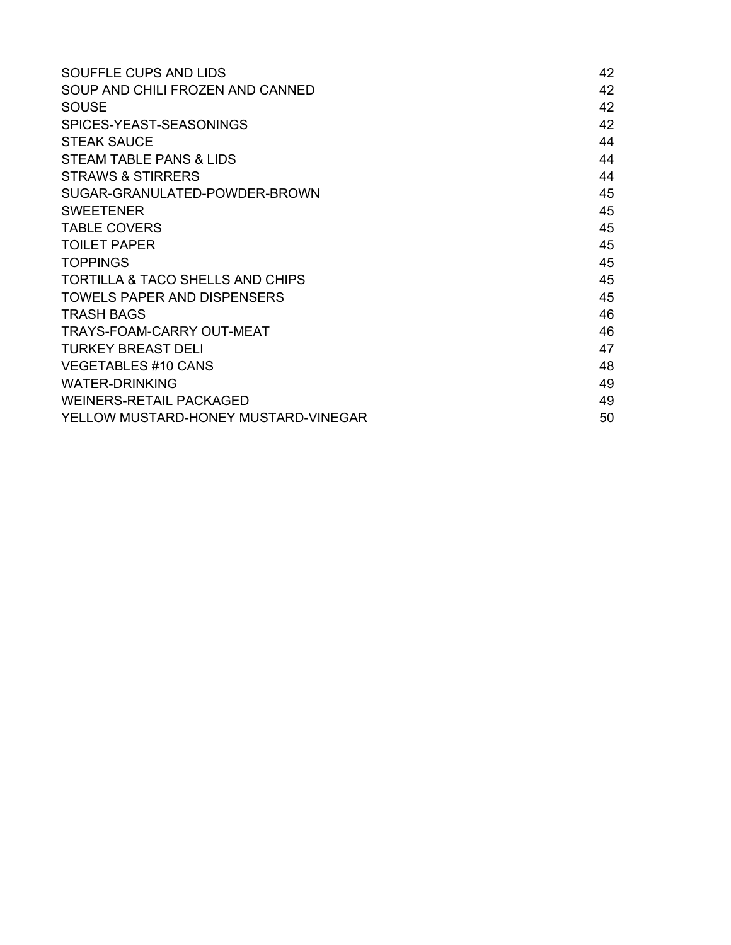| SOUFFLE CUPS AND LIDS                       | 42 |
|---------------------------------------------|----|
| SOUP AND CHILI FROZEN AND CANNED            | 42 |
| <b>SOUSE</b>                                | 42 |
| SPICES-YEAST-SEASONINGS                     | 42 |
| <b>STEAK SAUCE</b>                          | 44 |
| STEAM TABLE PANS & LIDS                     | 44 |
| <b>STRAWS &amp; STIRRERS</b>                | 44 |
| SUGAR-GRANULATED-POWDER-BROWN               | 45 |
| <b>SWEETENER</b>                            | 45 |
| <b>TABLE COVERS</b>                         | 45 |
| <b>TOILET PAPER</b>                         | 45 |
| <b>TOPPINGS</b>                             | 45 |
| <b>TORTILLA &amp; TACO SHELLS AND CHIPS</b> | 45 |
| <b>TOWELS PAPER AND DISPENSERS</b>          | 45 |
| <b>TRASH BAGS</b>                           | 46 |
| <b>TRAYS-FOAM-CARRY OUT-MEAT</b>            | 46 |
| TURKEY BREAST DELI                          | 47 |
| <b>VEGETABLES #10 CANS</b>                  | 48 |
| <b>WATER-DRINKING</b>                       | 49 |
| WEINERS-RETAIL PACKAGED                     | 49 |
| YELLOW MUSTARD-HONEY MUSTARD-VINEGAR        | 50 |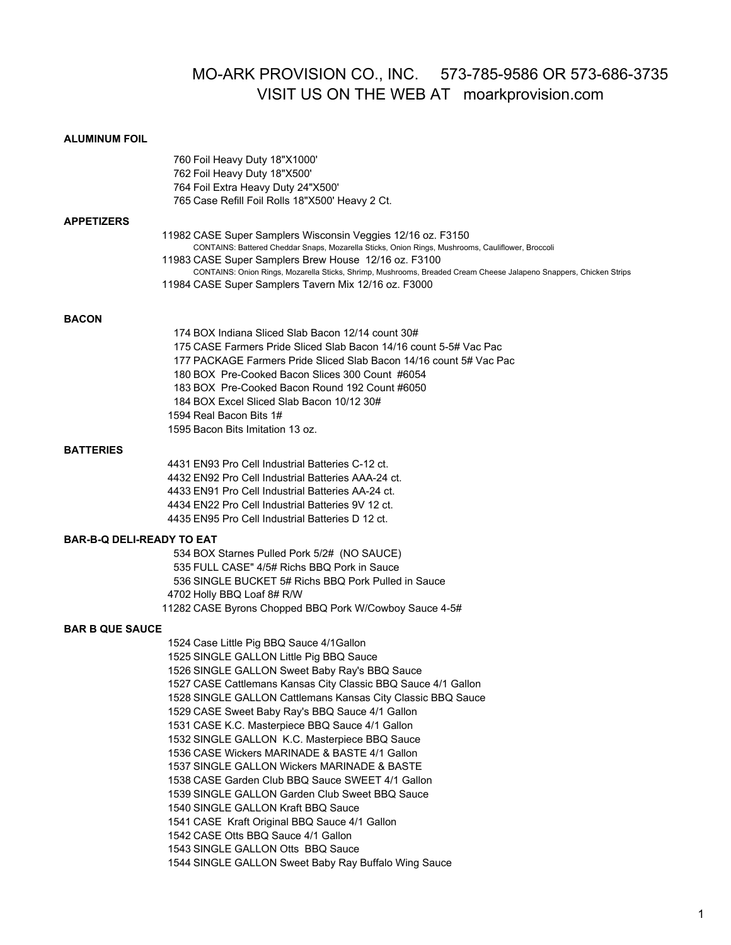# MO-ARK PROVISION CO., INC. 573-785-9586 OR 573-686-3735 VISIT US ON THE WEB AT moarkprovision.com

# **ALUMINUM FOIL**

|                                  | 760 Foil Heavy Duty 18"X1000'<br>762 Foil Heavy Duty 18"X500'<br>764 Foil Extra Heavy Duty 24"X500'<br>765 Case Refill Foil Rolls 18"X500' Heavy 2 Ct.                                                                                                                                                                                                                                                                                                                                                                                                                                                                                                                                                                                                                                                                                                       |
|----------------------------------|--------------------------------------------------------------------------------------------------------------------------------------------------------------------------------------------------------------------------------------------------------------------------------------------------------------------------------------------------------------------------------------------------------------------------------------------------------------------------------------------------------------------------------------------------------------------------------------------------------------------------------------------------------------------------------------------------------------------------------------------------------------------------------------------------------------------------------------------------------------|
| <b>APPETIZERS</b>                | 11982 CASE Super Samplers Wisconsin Veggies 12/16 oz. F3150<br>CONTAINS: Battered Cheddar Snaps, Mozarella Sticks, Onion Rings, Mushrooms, Cauliflower, Broccoli<br>11983 CASE Super Samplers Brew House 12/16 oz. F3100<br>CONTAINS: Onion Rings, Mozarella Sticks, Shrimp, Mushrooms, Breaded Cream Cheese Jalapeno Snappers, Chicken Strips<br>11984 CASE Super Samplers Tavern Mix 12/16 oz. F3000                                                                                                                                                                                                                                                                                                                                                                                                                                                       |
| <b>BACON</b>                     | 174 BOX Indiana Sliced Slab Bacon 12/14 count 30#<br>175 CASE Farmers Pride Sliced Slab Bacon 14/16 count 5-5# Vac Pac<br>177 PACKAGE Farmers Pride Sliced Slab Bacon 14/16 count 5# Vac Pac<br>180 BOX Pre-Cooked Bacon Slices 300 Count #6054<br>183 BOX Pre-Cooked Bacon Round 192 Count #6050<br>184 BOX Excel Sliced Slab Bacon 10/12 30#<br>1594 Real Bacon Bits 1#<br>1595 Bacon Bits Imitation 13 oz.                                                                                                                                                                                                                                                                                                                                                                                                                                                |
| <b>BATTERIES</b>                 | 4431 EN93 Pro Cell Industrial Batteries C-12 ct.<br>4432 EN92 Pro Cell Industrial Batteries AAA-24 ct.<br>4433 EN91 Pro Cell Industrial Batteries AA-24 ct.<br>4434 EN22 Pro Cell Industrial Batteries 9V 12 ct.<br>4435 EN95 Pro Cell Industrial Batteries D 12 ct.                                                                                                                                                                                                                                                                                                                                                                                                                                                                                                                                                                                         |
| <b>BAR-B-Q DELI-READY TO EAT</b> | 534 BOX Starnes Pulled Pork 5/2# (NO SAUCE)<br>535 FULL CASE" 4/5# Richs BBQ Pork in Sauce<br>536 SINGLE BUCKET 5# Richs BBQ Pork Pulled in Sauce<br>4702 Holly BBQ Loaf 8# R/W<br>11282 CASE Byrons Chopped BBQ Pork W/Cowboy Sauce 4-5#                                                                                                                                                                                                                                                                                                                                                                                                                                                                                                                                                                                                                    |
| <b>BAR B QUE SAUCE</b>           | 1524 Case Little Pig BBQ Sauce 4/1Gallon<br>1525 SINGLE GALLON Little Pig BBQ Sauce<br>1526 SINGLE GALLON Sweet Baby Ray's BBQ Sauce<br>1527 CASE Cattlemans Kansas City Classic BBQ Sauce 4/1 Gallon<br>1528 SINGLE GALLON Cattlemans Kansas City Classic BBQ Sauce<br>1529 CASE Sweet Baby Ray's BBQ Sauce 4/1 Gallon<br>1531 CASE K.C. Masterpiece BBQ Sauce 4/1 Gallon<br>1532 SINGLE GALLON K.C. Masterpiece BBQ Sauce<br>1536 CASE Wickers MARINADE & BASTE 4/1 Gallon<br>1537 SINGLE GALLON Wickers MARINADE & BASTE<br>1538 CASE Garden Club BBQ Sauce SWEET 4/1 Gallon<br>1539 SINGLE GALLON Garden Club Sweet BBQ Sauce<br>1540 SINGLE GALLON Kraft BBQ Sauce<br>1541 CASE Kraft Original BBQ Sauce 4/1 Gallon<br>1542 CASE Otts BBQ Sauce 4/1 Gallon<br>1543 SINGLE GALLON Otts BBQ Sauce<br>1544 SINGLE GALLON Sweet Baby Ray Buffalo Wing Sauce |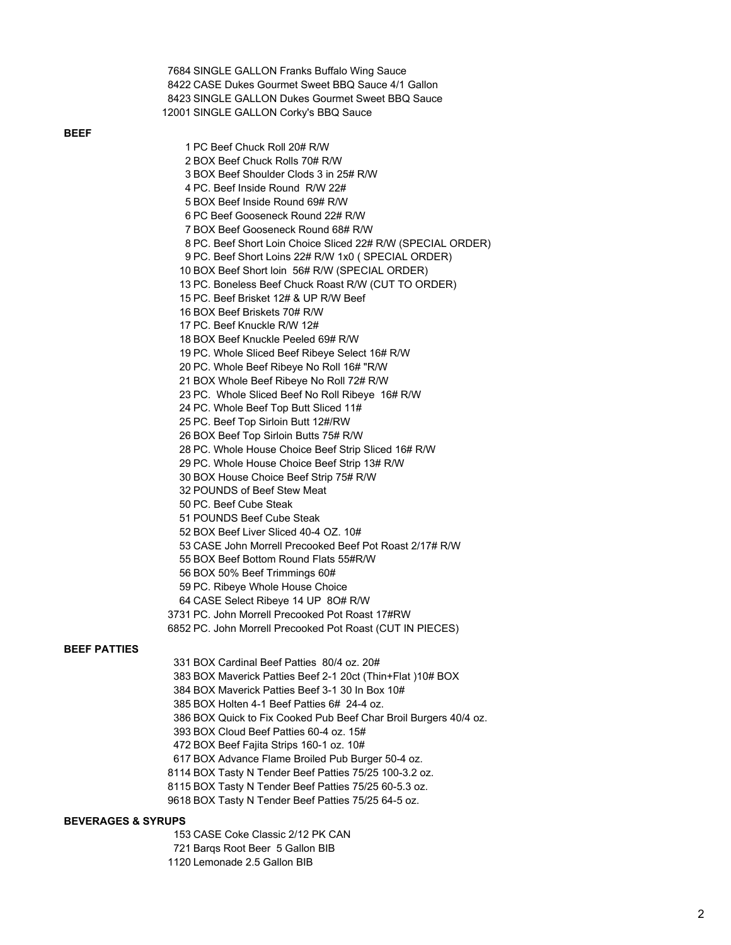|               | 7684 SINGLE GALLON Franks Buffalo Wing Sauce                     |
|---------------|------------------------------------------------------------------|
|               | 8422 CASE Dukes Gourmet Sweet BBQ Sauce 4/1 Gallon               |
|               | 8423 SINGLE GALLON Dukes Gourmet Sweet BBQ Sauce                 |
|               | 12001 SINGLE GALLON Corky's BBQ Sauce                            |
|               |                                                                  |
|               | 1 PC Beef Chuck Roll 20# R/W                                     |
|               |                                                                  |
|               | 2 BOX Beef Chuck Rolls 70# R/W                                   |
|               | 3 BOX Beef Shoulder Clods 3 in 25# R/W                           |
|               | 4 PC. Beef Inside Round R/W 22#                                  |
|               | 5 BOX Beef Inside Round 69# R/W                                  |
|               | 6 PC Beef Gooseneck Round 22# R/W                                |
|               | 7 BOX Beef Gooseneck Round 68# R/W                               |
|               | 8 PC. Beef Short Loin Choice Sliced 22# R/W (SPECIAL ORDER)      |
|               | 9 PC. Beef Short Loins 22# R/W 1x0 (SPECIAL ORDER)               |
|               | 10 BOX Beef Short loin 56# R/W (SPECIAL ORDER)                   |
|               | 13 PC. Boneless Beef Chuck Roast R/W (CUT TO ORDER)              |
|               | 15 PC. Beef Brisket 12# & UP R/W Beef                            |
|               | 16 BOX Beef Briskets 70# R/W                                     |
|               | 17 PC. Beef Knuckle R/W 12#                                      |
|               | 18 BOX Beef Knuckle Peeled 69# R/W                               |
|               | 19 PC. Whole Sliced Beef Ribeye Select 16# R/W                   |
|               | 20 PC. Whole Beef Ribeye No Roll 16# "R/W                        |
|               | 21 BOX Whole Beef Ribeye No Roll 72# R/W                         |
|               | 23 PC. Whole Sliced Beef No Roll Ribeye 16# R/W                  |
|               | 24 PC. Whole Beef Top Butt Sliced 11#                            |
|               | 25 PC. Beef Top Sirloin Butt 12#/RW                              |
|               | 26 BOX Beef Top Sirloin Butts 75# R/W                            |
|               | 28 PC. Whole House Choice Beef Strip Sliced 16# R/W              |
|               | 29 PC. Whole House Choice Beef Strip 13# R/W                     |
|               | 30 BOX House Choice Beef Strip 75# R/W                           |
|               | 32 POUNDS of Beef Stew Meat                                      |
|               | 50 PC. Beef Cube Steak                                           |
|               | 51 POUNDS Beef Cube Steak                                        |
|               | 52 BOX Beef Liver Sliced 40-4 OZ. 10#                            |
|               | 53 CASE John Morrell Precooked Beef Pot Roast 2/17# R/W          |
|               | 55 BOX Beef Bottom Round Flats 55#R/W                            |
|               | 56 BOX 50% Beef Trimmings 60#                                    |
|               | 59 PC. Ribeye Whole House Choice                                 |
|               | 64 CASE Select Ribeye 14 UP 80# R/W                              |
|               | 3731 PC. John Morrell Precooked Pot Roast 17#RW                  |
|               | 6852 PC. John Morrell Precooked Pot Roast (CUT IN PIECES)        |
|               |                                                                  |
| <b>\TTIES</b> |                                                                  |
|               | 331 BOX Cardinal Beef Patties 80/4 oz. 20#                       |
|               | 383 BOX Maverick Patties Beef 2-1 20ct (Thin+Flat) 10# BOX       |
|               | 384 BOX Maverick Patties Beef 3-1 30 In Box 10#                  |
|               | 385 BOX Holten 4-1 Beef Patties 6# 24-4 oz.                      |
|               | 386 BOX Quick to Fix Cooked Pub Beef Char Broil Burgers 40/4 oz. |
|               | 393 BOX Cloud Beef Patties 60-4 oz. 15#                          |
|               | 472 BOX Beef Fajita Strips 160-1 oz. 10#                         |

# **BEEF**

# **BEEF PA**

 BOX Advance Flame Broiled Pub Burger 50-4 oz. BOX Tasty N Tender Beef Patties 75/25 100-3.2 oz. BOX Tasty N Tender Beef Patties 75/25 60-5.3 oz. BOX Tasty N Tender Beef Patties 75/25 64-5 oz.

# **BEVERAGES & SYRUPS**

CASE Coke Classic 2/12 PK CAN

- Barqs Root Beer 5 Gallon BIB
- Lemonade 2.5 Gallon BIB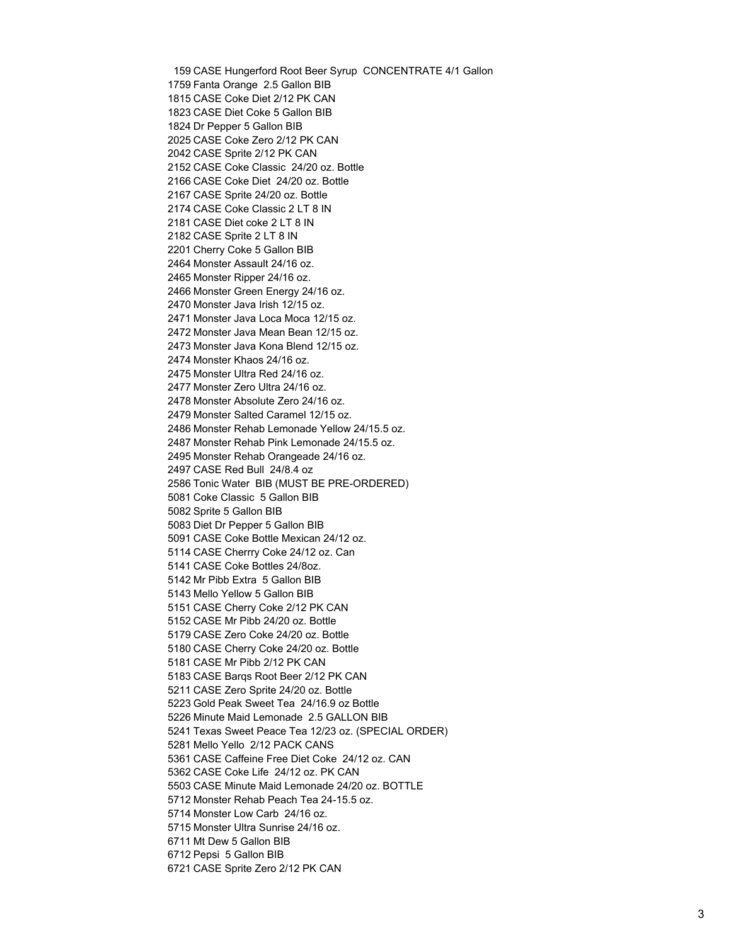CASE Hungerford Root Beer Syrup CONCENTRATE 4/1 Gallon Fanta Orange 2.5 Gallon BIB CASE Coke Diet 2/12 PK CAN CASE Diet Coke 5 Gallon BIB Dr Pepper 5 Gallon BIB CASE Coke Zero 2/12 PK CAN CASE Sprite 2/12 PK CAN CASE Coke Classic 24/20 oz. Bottle CASE Coke Diet 24/20 oz. Bottle CASE Sprite 24/20 oz. Bottle CASE Coke Classic 2 LT 8 IN CASE Diet coke 2 LT 8 IN CASE Sprite 2 LT 8 IN Cherry Coke 5 Gallon BIB Monster Assault 24/16 oz. Monster Ripper 24/16 oz. Monster Green Energy 24/16 oz. Monster Java Irish 12/15 oz. Monster Java Loca Moca 12/15 oz. Monster Java Mean Bean 12/15 oz. Monster Java Kona Blend 12/15 oz. Monster Khaos 24/16 oz. Monster Ultra Red 24/16 oz. Monster Zero Ultra 24/16 oz. Monster Absolute Zero 24/16 oz. Monster Salted Caramel 12/15 oz. Monster Rehab Lemonade Yellow 24/15.5 oz. Monster Rehab Pink Lemonade 24/15.5 oz. Monster Rehab Orangeade 24/16 oz. CASE Red Bull 24/8.4 oz Tonic Water BIB (MUST BE PRE-ORDERED) Coke Classic 5 Gallon BIB Sprite 5 Gallon BIB Diet Dr Pepper 5 Gallon BIB CASE Coke Bottle Mexican 24/12 oz. CASE Cherrry Coke 24/12 oz. Can CASE Coke Bottles 24/8oz. Mr Pibb Extra 5 Gallon BIB Mello Yellow 5 Gallon BIB CASE Cherry Coke 2/12 PK CAN CASE Mr Pibb 24/20 oz. Bottle CASE Zero Coke 24/20 oz. Bottle CASE Cherry Coke 24/20 oz. Bottle CASE Mr Pibb 2/12 PK CAN CASE Barqs Root Beer 2/12 PK CAN CASE Zero Sprite 24/20 oz. Bottle Gold Peak Sweet Tea 24/16.9 oz Bottle Minute Maid Lemonade 2.5 GALLON BIB Texas Sweet Peace Tea 12/23 oz. (SPECIAL ORDER) Mello Yello 2/12 PACK CANS CASE Caffeine Free Diet Coke 24/12 oz. CAN CASE Coke Life 24/12 oz. PK CAN CASE Minute Maid Lemonade 24/20 oz. BOTTLE Monster Rehab Peach Tea 24-15.5 oz. Monster Low Carb 24/16 oz. Monster Ultra Sunrise 24/16 oz. Mt Dew 5 Gallon BIB Pepsi 5 Gallon BIB CASE Sprite Zero 2/12 PK CAN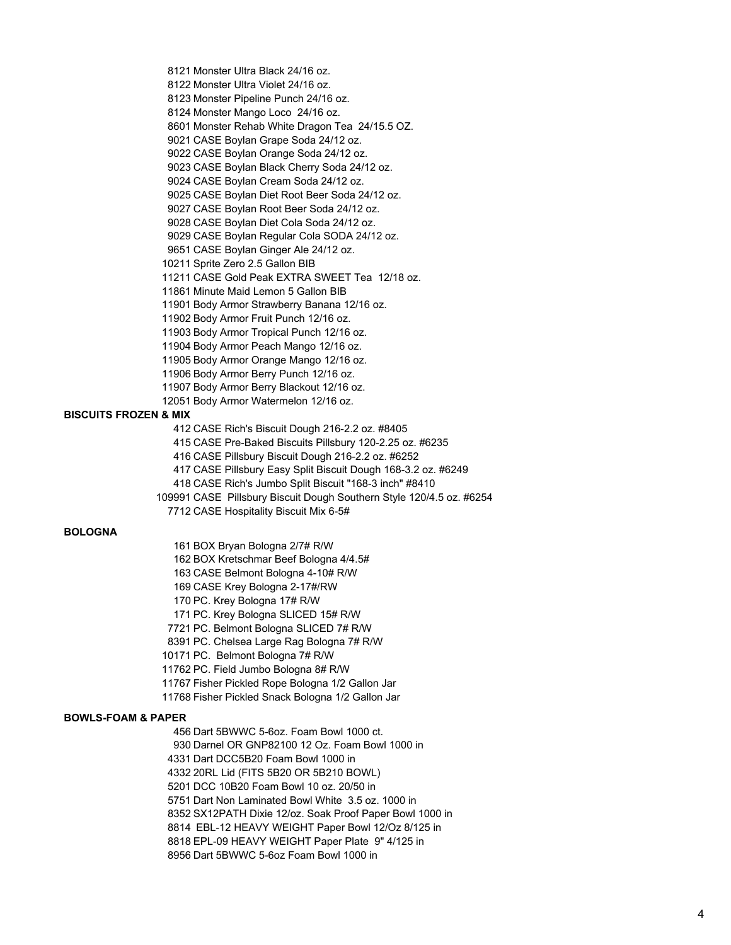Monster Ultra Black 24/16 oz.

Monster Ultra Violet 24/16 oz.

Monster Pipeline Punch 24/16 oz.

Monster Mango Loco 24/16 oz.

Monster Rehab White Dragon Tea 24/15.5 OZ.

CASE Boylan Grape Soda 24/12 oz.

CASE Boylan Orange Soda 24/12 oz.

CASE Boylan Black Cherry Soda 24/12 oz.

CASE Boylan Cream Soda 24/12 oz.

CASE Boylan Diet Root Beer Soda 24/12 oz.

CASE Boylan Root Beer Soda 24/12 oz.

CASE Boylan Diet Cola Soda 24/12 oz.

CASE Boylan Regular Cola SODA 24/12 oz.

CASE Boylan Ginger Ale 24/12 oz.

Sprite Zero 2.5 Gallon BIB

CASE Gold Peak EXTRA SWEET Tea 12/18 oz.

Minute Maid Lemon 5 Gallon BIB

Body Armor Strawberry Banana 12/16 oz.

Body Armor Fruit Punch 12/16 oz.

Body Armor Tropical Punch 12/16 oz.

Body Armor Peach Mango 12/16 oz.

Body Armor Orange Mango 12/16 oz.

Body Armor Berry Punch 12/16 oz.

Body Armor Berry Blackout 12/16 oz.

Body Armor Watermelon 12/16 oz.

#### **BISCUITS FROZEN & MIX**

CASE Rich's Biscuit Dough 216-2.2 oz. #8405

CASE Pre-Baked Biscuits Pillsbury 120-2.25 oz. #6235

CASE Pillsbury Biscuit Dough 216-2.2 oz. #6252

CASE Pillsbury Easy Split Biscuit Dough 168-3.2 oz. #6249

CASE Rich's Jumbo Split Biscuit "168-3 inch" #8410

CASE Pillsbury Biscuit Dough Southern Style 120/4.5 oz. #6254

CASE Hospitality Biscuit Mix 6-5#

### **BOLOGNA**

BOX Bryan Bologna 2/7# R/W

BOX Kretschmar Beef Bologna 4/4.5#

CASE Belmont Bologna 4-10# R/W

CASE Krey Bologna 2-17#/RW

PC. Krey Bologna 17# R/W

PC. Krey Bologna SLICED 15# R/W

PC. Belmont Bologna SLICED 7# R/W

PC. Chelsea Large Rag Bologna 7# R/W

PC. Belmont Bologna 7# R/W

PC. Field Jumbo Bologna 8# R/W

Fisher Pickled Rope Bologna 1/2 Gallon Jar

Fisher Pickled Snack Bologna 1/2 Gallon Jar

#### **BOWLS-FOAM & PAPER**

Dart 5BWWC 5-6oz. Foam Bowl 1000 ct.

Darnel OR GNP82100 12 Oz. Foam Bowl 1000 in

Dart DCC5B20 Foam Bowl 1000 in

20RL Lid (FITS 5B20 OR 5B210 BOWL)

DCC 10B20 Foam Bowl 10 oz. 20/50 in

Dart Non Laminated Bowl White 3.5 oz. 1000 in

SX12PATH Dixie 12/oz. Soak Proof Paper Bowl 1000 in

8814 EBL-12 HEAVY WEIGHT Paper Bowl 12/Oz 8/125 in

EPL-09 HEAVY WEIGHT Paper Plate 9" 4/125 in

Dart 5BWWC 5-6oz Foam Bowl 1000 in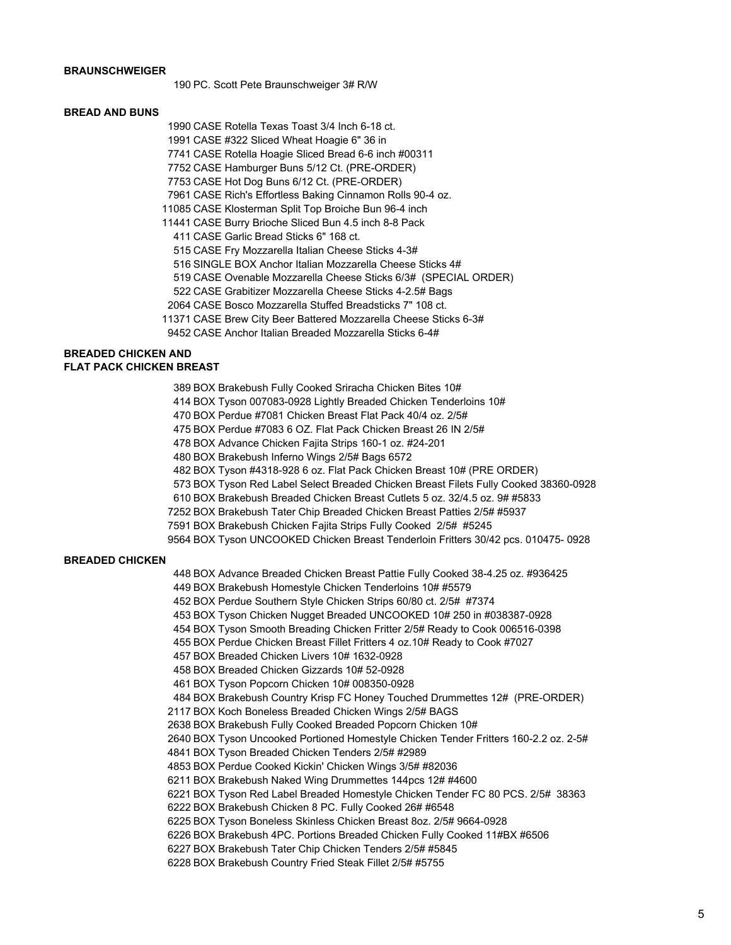# **BRAUNSCHWEIGER**

PC. Scott Pete Braunschweiger 3# R/W

#### **BREAD AND BUNS**

CASE Rotella Texas Toast 3/4 Inch 6-18 ct.

CASE #322 Sliced Wheat Hoagie 6" 36 in

CASE Rotella Hoagie Sliced Bread 6-6 inch #00311

CASE Hamburger Buns 5/12 Ct. (PRE-ORDER)

CASE Hot Dog Buns 6/12 Ct. (PRE-ORDER)

CASE Rich's Effortless Baking Cinnamon Rolls 90-4 oz.

CASE Klosterman Split Top Broiche Bun 96-4 inch

CASE Burry Brioche Sliced Bun 4.5 inch 8-8 Pack

CASE Garlic Bread Sticks 6" 168 ct.

CASE Fry Mozzarella Italian Cheese Sticks 4-3#

SINGLE BOX Anchor Italian Mozzarella Cheese Sticks 4#

CASE Ovenable Mozzarella Cheese Sticks 6/3# (SPECIAL ORDER)

CASE Grabitizer Mozzarella Cheese Sticks 4-2.5# Bags

CASE Bosco Mozzarella Stuffed Breadsticks 7" 108 ct.

CASE Brew City Beer Battered Mozzarella Cheese Sticks 6-3#

CASE Anchor Italian Breaded Mozzarella Sticks 6-4#

# **BREADED CHICKEN AND FLAT PACK CHICKEN BREAST**

BOX Brakebush Fully Cooked Sriracha Chicken Bites 10#

BOX Tyson 007083-0928 Lightly Breaded Chicken Tenderloins 10#

BOX Perdue #7081 Chicken Breast Flat Pack 40/4 oz. 2/5#

BOX Perdue #7083 6 OZ. Flat Pack Chicken Breast 26 IN 2/5#

BOX Advance Chicken Fajita Strips 160-1 oz. #24-201

BOX Brakebush Inferno Wings 2/5# Bags 6572

BOX Tyson #4318-928 6 oz. Flat Pack Chicken Breast 10# (PRE ORDER)

BOX Tyson Red Label Select Breaded Chicken Breast Filets Fully Cooked 38360-0928

BOX Brakebush Breaded Chicken Breast Cutlets 5 oz. 32/4.5 oz. 9# #5833

BOX Brakebush Tater Chip Breaded Chicken Breast Patties 2/5# #5937

BOX Brakebush Chicken Fajita Strips Fully Cooked 2/5# #5245

BOX Tyson UNCOOKED Chicken Breast Tenderloin Fritters 30/42 pcs. 010475- 0928

#### **BREADED CHICKEN**

BOX Advance Breaded Chicken Breast Pattie Fully Cooked 38-4.25 oz. #936425

BOX Brakebush Homestyle Chicken Tenderloins 10# #5579

BOX Perdue Southern Style Chicken Strips 60/80 ct. 2/5# #7374

BOX Tyson Chicken Nugget Breaded UNCOOKED 10# 250 in #038387-0928

- BOX Tyson Smooth Breading Chicken Fritter 2/5# Ready to Cook 006516-0398
- BOX Perdue Chicken Breast Fillet Fritters 4 oz.10# Ready to Cook #7027

BOX Breaded Chicken Livers 10# 1632-0928

BOX Breaded Chicken Gizzards 10# 52-0928

BOX Tyson Popcorn Chicken 10# 008350-0928

BOX Brakebush Country Krisp FC Honey Touched Drummettes 12# (PRE-ORDER)

BOX Koch Boneless Breaded Chicken Wings 2/5# BAGS

BOX Brakebush Fully Cooked Breaded Popcorn Chicken 10#

BOX Tyson Uncooked Portioned Homestyle Chicken Tender Fritters 160-2.2 oz. 2-5#

BOX Tyson Breaded Chicken Tenders 2/5# #2989

BOX Perdue Cooked Kickin' Chicken Wings 3/5# #82036

BOX Brakebush Naked Wing Drummettes 144pcs 12# #4600

BOX Tyson Red Label Breaded Homestyle Chicken Tender FC 80 PCS. 2/5# 38363

BOX Brakebush Chicken 8 PC. Fully Cooked 26# #6548

BOX Tyson Boneless Skinless Chicken Breast 8oz. 2/5# 9664-0928

BOX Brakebush 4PC. Portions Breaded Chicken Fully Cooked 11#BX #6506

BOX Brakebush Tater Chip Chicken Tenders 2/5# #5845

BOX Brakebush Country Fried Steak Fillet 2/5# #5755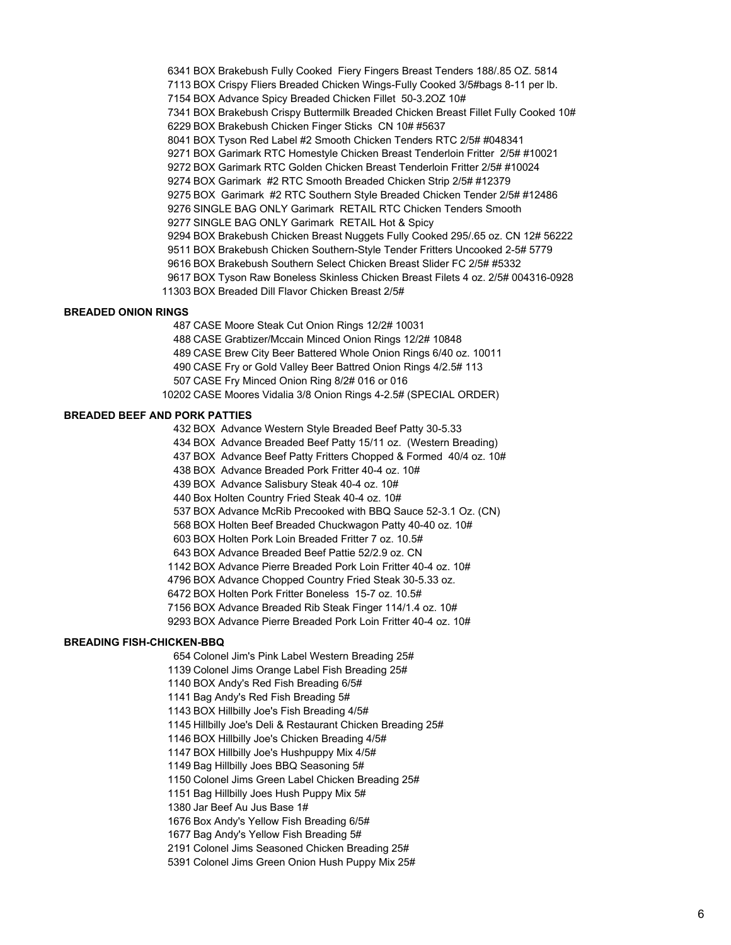BOX Brakebush Fully Cooked Fiery Fingers Breast Tenders 188/.85 OZ. 5814 BOX Crispy Fliers Breaded Chicken Wings-Fully Cooked 3/5#bags 8-11 per lb. BOX Advance Spicy Breaded Chicken Fillet 50-3.2OZ 10# BOX Brakebush Crispy Buttermilk Breaded Chicken Breast Fillet Fully Cooked 10# BOX Brakebush Chicken Finger Sticks CN 10# #5637 BOX Tyson Red Label #2 Smooth Chicken Tenders RTC 2/5# #048341 BOX Garimark RTC Homestyle Chicken Breast Tenderloin Fritter 2/5# #10021 BOX Garimark RTC Golden Chicken Breast Tenderloin Fritter 2/5# #10024 BOX Garimark #2 RTC Smooth Breaded Chicken Strip 2/5# #12379 BOX Garimark #2 RTC Southern Style Breaded Chicken Tender 2/5# #12486 SINGLE BAG ONLY Garimark RETAIL RTC Chicken Tenders Smooth SINGLE BAG ONLY Garimark RETAIL Hot & Spicy BOX Brakebush Chicken Breast Nuggets Fully Cooked 295/.65 oz. CN 12# 56222 BOX Brakebush Chicken Southern-Style Tender Fritters Uncooked 2-5# 5779 BOX Brakebush Southern Select Chicken Breast Slider FC 2/5# #5332 BOX Tyson Raw Boneless Skinless Chicken Breast Filets 4 oz. 2/5# 004316-0928 BOX Breaded Dill Flavor Chicken Breast 2/5#

#### **BREADED ONION RINGS**

 CASE Moore Steak Cut Onion Rings 12/2# 10031 CASE Grabtizer/Mccain Minced Onion Rings 12/2# 10848 CASE Brew City Beer Battered Whole Onion Rings 6/40 oz. 10011 CASE Fry or Gold Valley Beer Battred Onion Rings 4/2.5# 113 CASE Fry Minced Onion Ring 8/2# 016 or 016 CASE Moores Vidalia 3/8 Onion Rings 4-2.5# (SPECIAL ORDER)

#### **BREADED BEEF AND PORK PATTIES**

 BOX Advance Western Style Breaded Beef Patty 30-5.33 BOX Advance Breaded Beef Patty 15/11 oz. (Western Breading) BOX Advance Beef Patty Fritters Chopped & Formed 40/4 oz. 10# BOX Advance Breaded Pork Fritter 40-4 oz. 10# BOX Advance Salisbury Steak 40-4 oz. 10# Box Holten Country Fried Steak 40-4 oz. 10# BOX Advance McRib Precooked with BBQ Sauce 52-3.1 Oz. (CN) BOX Holten Beef Breaded Chuckwagon Patty 40-40 oz. 10# BOX Holten Pork Loin Breaded Fritter 7 oz. 10.5# BOX Advance Breaded Beef Pattie 52/2.9 oz. CN BOX Advance Pierre Breaded Pork Loin Fritter 40-4 oz. 10# BOX Advance Chopped Country Fried Steak 30-5.33 oz. BOX Holten Pork Fritter Boneless 15-7 oz. 10.5# BOX Advance Breaded Rib Steak Finger 114/1.4 oz. 10# BOX Advance Pierre Breaded Pork Loin Fritter 40-4 oz. 10#

#### **BREADING FISH-CHICKEN-BBQ**

Colonel Jim's Pink Label Western Breading 25#

Colonel Jims Orange Label Fish Breading 25#

- BOX Andy's Red Fish Breading 6/5#
- Bag Andy's Red Fish Breading 5#
- BOX Hillbilly Joe's Fish Breading 4/5#
- Hillbilly Joe's Deli & Restaurant Chicken Breading 25#
- BOX Hillbilly Joe's Chicken Breading 4/5#
- BOX Hillbilly Joe's Hushpuppy Mix 4/5#
- Bag Hillbilly Joes BBQ Seasoning 5#
- Colonel Jims Green Label Chicken Breading 25#
- Bag Hillbilly Joes Hush Puppy Mix 5#
- Jar Beef Au Jus Base 1#
- Box Andy's Yellow Fish Breading 6/5#
- Bag Andy's Yellow Fish Breading 5#
- Colonel Jims Seasoned Chicken Breading 25#
- Colonel Jims Green Onion Hush Puppy Mix 25#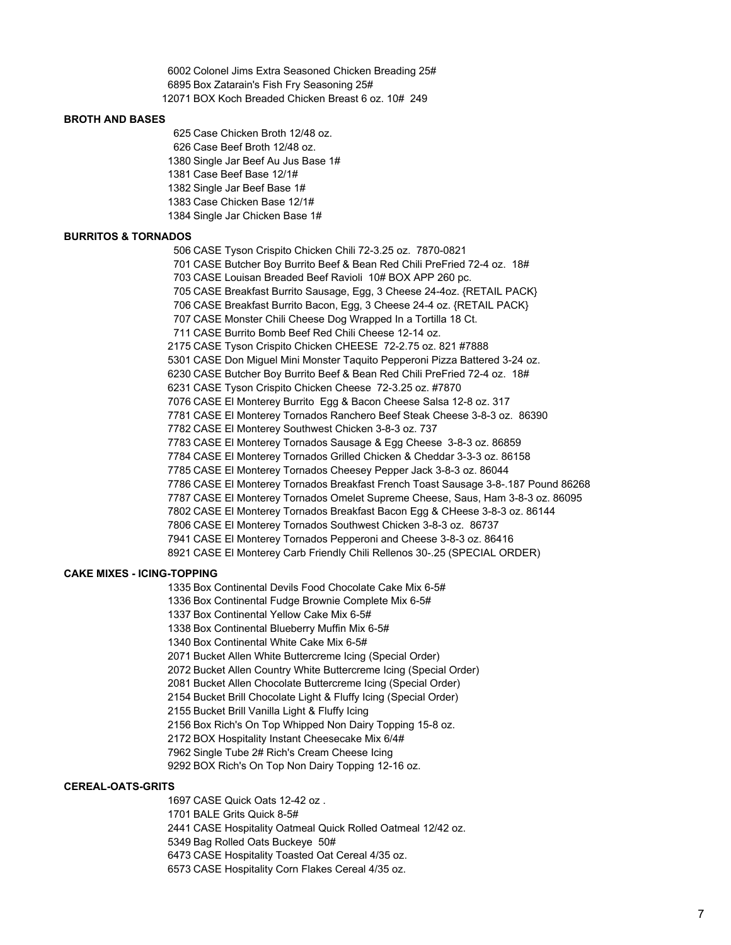Colonel Jims Extra Seasoned Chicken Breading 25# Box Zatarain's Fish Fry Seasoning 25# BOX Koch Breaded Chicken Breast 6 oz. 10# 249

#### **BROTH AND BASES**

 Case Chicken Broth 12/48 oz. Case Beef Broth 12/48 oz. Single Jar Beef Au Jus Base 1# Case Beef Base 12/1# Single Jar Beef Base 1# Case Chicken Base 12/1# Single Jar Chicken Base 1#

### **BURRITOS & TORNADOS**

 CASE Tyson Crispito Chicken Chili 72-3.25 oz. 7870-0821 CASE Butcher Boy Burrito Beef & Bean Red Chili PreFried 72-4 oz. 18# CASE Louisan Breaded Beef Ravioli 10# BOX APP 260 pc. CASE Breakfast Burrito Sausage, Egg, 3 Cheese 24-4oz. {RETAIL PACK} CASE Breakfast Burrito Bacon, Egg, 3 Cheese 24-4 oz. {RETAIL PACK} CASE Monster Chili Cheese Dog Wrapped In a Tortilla 18 Ct. CASE Burrito Bomb Beef Red Chili Cheese 12-14 oz. CASE Tyson Crispito Chicken CHEESE 72-2.75 oz. 821 #7888 CASE Don Miguel Mini Monster Taquito Pepperoni Pizza Battered 3-24 oz. CASE Butcher Boy Burrito Beef & Bean Red Chili PreFried 72-4 oz. 18# CASE Tyson Crispito Chicken Cheese 72-3.25 oz. #7870 CASE El Monterey Burrito Egg & Bacon Cheese Salsa 12-8 oz. 317 CASE El Monterey Tornados Ranchero Beef Steak Cheese 3-8-3 oz. 86390 CASE El Monterey Southwest Chicken 3-8-3 oz. 737 CASE El Monterey Tornados Sausage & Egg Cheese 3-8-3 oz. 86859 CASE El Monterey Tornados Grilled Chicken & Cheddar 3-3-3 oz. 86158 CASE El Monterey Tornados Cheesey Pepper Jack 3-8-3 oz. 86044 CASE El Monterey Tornados Breakfast French Toast Sausage 3-8-.187 Pound 86268 CASE El Monterey Tornados Omelet Supreme Cheese, Saus, Ham 3-8-3 oz. 86095 CASE El Monterey Tornados Breakfast Bacon Egg & CHeese 3-8-3 oz. 86144 CASE El Monterey Tornados Southwest Chicken 3-8-3 oz. 86737 CASE El Monterey Tornados Pepperoni and Cheese 3-8-3 oz. 86416 CASE El Monterey Carb Friendly Chili Rellenos 30-.25 (SPECIAL ORDER)

#### **CAKE MIXES - ICING-TOPPING**

Box Continental Devils Food Chocolate Cake Mix 6-5#

Box Continental Fudge Brownie Complete Mix 6-5#

- Box Continental Yellow Cake Mix 6-5#
- Box Continental Blueberry Muffin Mix 6-5#
- Box Continental White Cake Mix 6-5#

Bucket Allen White Buttercreme Icing (Special Order)

Bucket Allen Country White Buttercreme Icing (Special Order)

Bucket Allen Chocolate Buttercreme Icing (Special Order)

Bucket Brill Chocolate Light & Fluffy Icing (Special Order)

Bucket Brill Vanilla Light & Fluffy Icing

Box Rich's On Top Whipped Non Dairy Topping 15-8 oz.

BOX Hospitality Instant Cheesecake Mix 6/4#

Single Tube 2# Rich's Cream Cheese Icing

BOX Rich's On Top Non Dairy Topping 12-16 oz.

# **CEREAL-OATS-GRITS**

CASE Quick Oats 12-42 oz .

BALE Grits Quick 8-5#

CASE Hospitality Oatmeal Quick Rolled Oatmeal 12/42 oz.

Bag Rolled Oats Buckeye 50#

CASE Hospitality Toasted Oat Cereal 4/35 oz.

CASE Hospitality Corn Flakes Cereal 4/35 oz.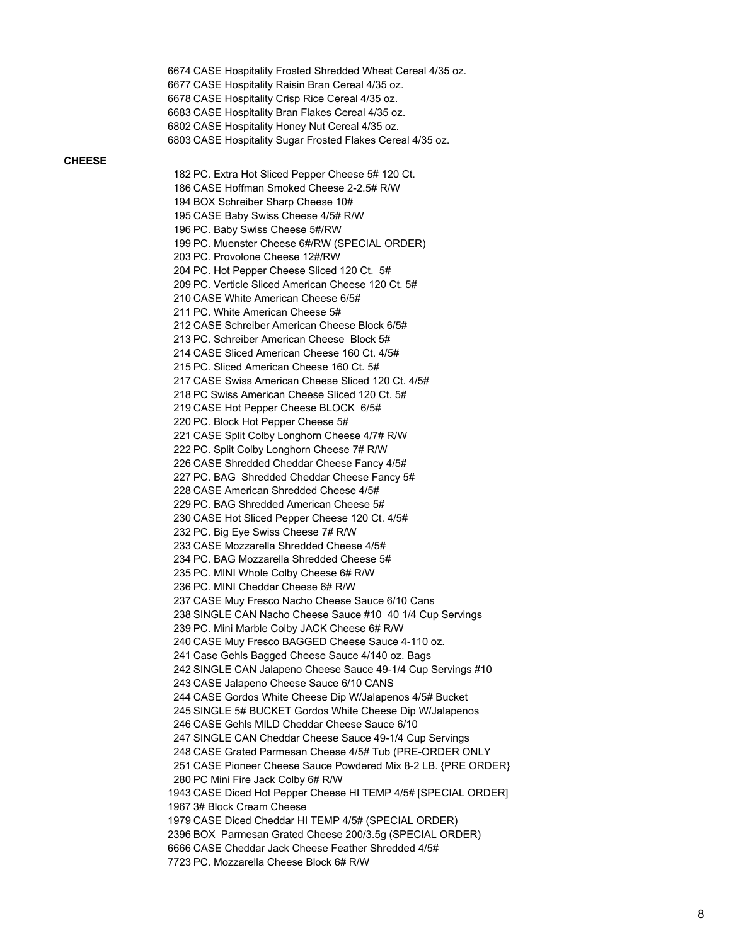CASE Hospitality Frosted Shredded Wheat Cereal 4/35 oz. CASE Hospitality Raisin Bran Cereal 4/35 oz. CASE Hospitality Crisp Rice Cereal 4/35 oz. CASE Hospitality Bran Flakes Cereal 4/35 oz. CASE Hospitality Honey Nut Cereal 4/35 oz. CASE Hospitality Sugar Frosted Flakes Cereal 4/35 oz.

### **CHEESE**

 PC. Extra Hot Sliced Pepper Cheese 5# 120 Ct. CASE Hoffman Smoked Cheese 2-2.5# R/W BOX Schreiber Sharp Cheese 10# CASE Baby Swiss Cheese 4/5# R/W PC. Baby Swiss Cheese 5#/RW PC. Muenster Cheese 6#/RW (SPECIAL ORDER) PC. Provolone Cheese 12#/RW PC. Hot Pepper Cheese Sliced 120 Ct. 5# PC. Verticle Sliced American Cheese 120 Ct. 5# CASE White American Cheese 6/5# PC. White American Cheese 5# CASE Schreiber American Cheese Block 6/5# PC. Schreiber American Cheese Block 5# CASE Sliced American Cheese 160 Ct. 4/5# PC. Sliced American Cheese 160 Ct. 5# CASE Swiss American Cheese Sliced 120 Ct. 4/5# PC Swiss American Cheese Sliced 120 Ct. 5# CASE Hot Pepper Cheese BLOCK 6/5# PC. Block Hot Pepper Cheese 5# CASE Split Colby Longhorn Cheese 4/7# R/W PC. Split Colby Longhorn Cheese 7# R/W CASE Shredded Cheddar Cheese Fancy 4/5# PC. BAG Shredded Cheddar Cheese Fancy 5# CASE American Shredded Cheese 4/5# PC. BAG Shredded American Cheese 5# CASE Hot Sliced Pepper Cheese 120 Ct. 4/5# PC. Big Eye Swiss Cheese 7# R/W CASE Mozzarella Shredded Cheese 4/5# PC. BAG Mozzarella Shredded Cheese 5# PC. MINI Whole Colby Cheese 6# R/W PC. MINI Cheddar Cheese 6# R/W CASE Muy Fresco Nacho Cheese Sauce 6/10 Cans SINGLE CAN Nacho Cheese Sauce #10 40 1/4 Cup Servings PC. Mini Marble Colby JACK Cheese 6# R/W CASE Muy Fresco BAGGED Cheese Sauce 4-110 oz. Case Gehls Bagged Cheese Sauce 4/140 oz. Bags SINGLE CAN Jalapeno Cheese Sauce 49-1/4 Cup Servings #10 CASE Jalapeno Cheese Sauce 6/10 CANS CASE Gordos White Cheese Dip W/Jalapenos 4/5# Bucket SINGLE 5# BUCKET Gordos White Cheese Dip W/Jalapenos CASE Gehls MILD Cheddar Cheese Sauce 6/10 SINGLE CAN Cheddar Cheese Sauce 49-1/4 Cup Servings CASE Grated Parmesan Cheese 4/5# Tub (PRE-ORDER ONLY CASE Pioneer Cheese Sauce Powdered Mix 8-2 LB. {PRE ORDER} PC Mini Fire Jack Colby 6# R/W CASE Diced Hot Pepper Cheese HI TEMP 4/5# [SPECIAL ORDER] 3# Block Cream Cheese CASE Diced Cheddar HI TEMP 4/5# (SPECIAL ORDER) BOX Parmesan Grated Cheese 200/3.5g (SPECIAL ORDER) CASE Cheddar Jack Cheese Feather Shredded 4/5# PC. Mozzarella Cheese Block 6# R/W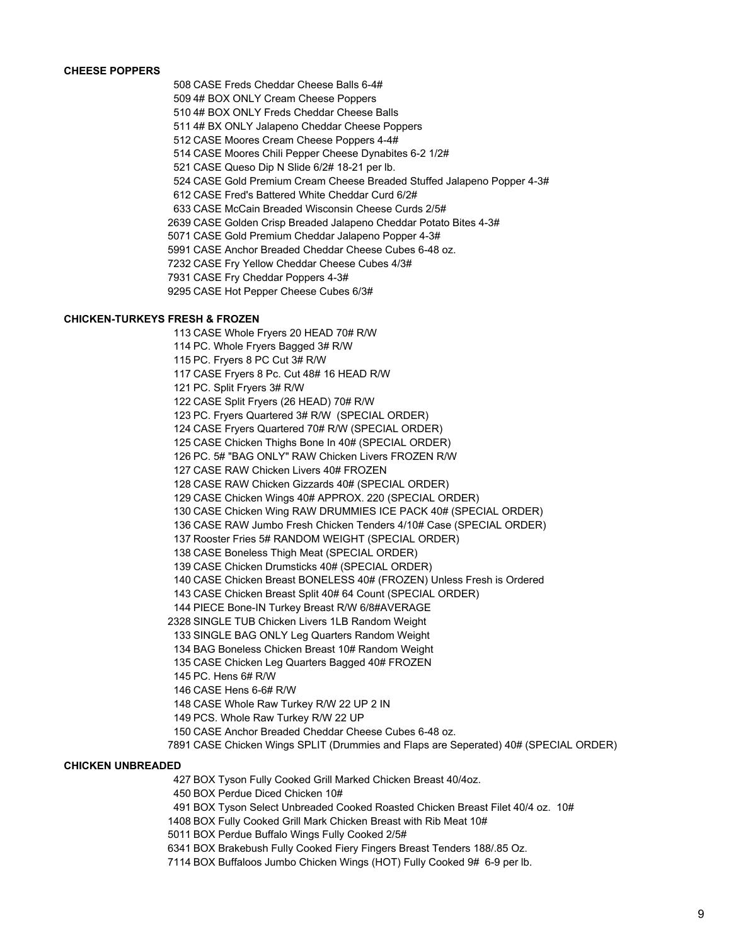# **CHEESE POPPERS**

CASE Freds Cheddar Cheese Balls 6-4#

4# BOX ONLY Cream Cheese Poppers

4# BOX ONLY Freds Cheddar Cheese Balls

4# BX ONLY Jalapeno Cheddar Cheese Poppers

CASE Moores Cream Cheese Poppers 4-4#

CASE Moores Chili Pepper Cheese Dynabites 6-2 1/2#

CASE Queso Dip N Slide 6/2# 18-21 per lb.

CASE Gold Premium Cream Cheese Breaded Stuffed Jalapeno Popper 4-3#

CASE Fred's Battered White Cheddar Curd 6/2#

CASE McCain Breaded Wisconsin Cheese Curds 2/5#

CASE Golden Crisp Breaded Jalapeno Cheddar Potato Bites 4-3#

CASE Gold Premium Cheddar Jalapeno Popper 4-3#

CASE Anchor Breaded Cheddar Cheese Cubes 6-48 oz.

CASE Fry Yellow Cheddar Cheese Cubes 4/3#

CASE Fry Cheddar Poppers 4-3#

CASE Hot Pepper Cheese Cubes 6/3#

#### **CHICKEN-TURKEYS FRESH & FROZEN**

CASE Whole Fryers 20 HEAD 70# R/W

PC. Whole Fryers Bagged 3# R/W

PC. Fryers 8 PC Cut 3# R/W

CASE Fryers 8 Pc. Cut 48# 16 HEAD R/W

PC. Split Fryers 3# R/W

CASE Split Fryers (26 HEAD) 70# R/W

PC. Fryers Quartered 3# R/W (SPECIAL ORDER)

CASE Fryers Quartered 70# R/W (SPECIAL ORDER)

CASE Chicken Thighs Bone In 40# (SPECIAL ORDER)

PC. 5# "BAG ONLY" RAW Chicken Livers FROZEN R/W

CASE RAW Chicken Livers 40# FROZEN

CASE RAW Chicken Gizzards 40# (SPECIAL ORDER)

CASE Chicken Wings 40# APPROX. 220 (SPECIAL ORDER)

CASE Chicken Wing RAW DRUMMIES ICE PACK 40# (SPECIAL ORDER)

CASE RAW Jumbo Fresh Chicken Tenders 4/10# Case (SPECIAL ORDER)

Rooster Fries 5# RANDOM WEIGHT (SPECIAL ORDER)

CASE Boneless Thigh Meat (SPECIAL ORDER)

CASE Chicken Drumsticks 40# (SPECIAL ORDER)

CASE Chicken Breast BONELESS 40# (FROZEN) Unless Fresh is Ordered

CASE Chicken Breast Split 40# 64 Count (SPECIAL ORDER)

PIECE Bone-IN Turkey Breast R/W 6/8#AVERAGE

SINGLE TUB Chicken Livers 1LB Random Weight

SINGLE BAG ONLY Leg Quarters Random Weight

BAG Boneless Chicken Breast 10# Random Weight

CASE Chicken Leg Quarters Bagged 40# FROZEN

PC. Hens 6# R/W

CASE Hens 6-6# R/W

CASE Whole Raw Turkey R/W 22 UP 2 IN

PCS. Whole Raw Turkey R/W 22 UP

CASE Anchor Breaded Cheddar Cheese Cubes 6-48 oz.

CASE Chicken Wings SPLIT (Drummies and Flaps are Seperated) 40# (SPECIAL ORDER)

#### **CHICKEN UNBREADED**

BOX Tyson Fully Cooked Grill Marked Chicken Breast 40/4oz.

BOX Perdue Diced Chicken 10#

BOX Tyson Select Unbreaded Cooked Roasted Chicken Breast Filet 40/4 oz. 10#

BOX Fully Cooked Grill Mark Chicken Breast with Rib Meat 10#

BOX Perdue Buffalo Wings Fully Cooked 2/5#

BOX Brakebush Fully Cooked Fiery Fingers Breast Tenders 188/.85 Oz.

BOX Buffaloos Jumbo Chicken Wings (HOT) Fully Cooked 9# 6-9 per lb.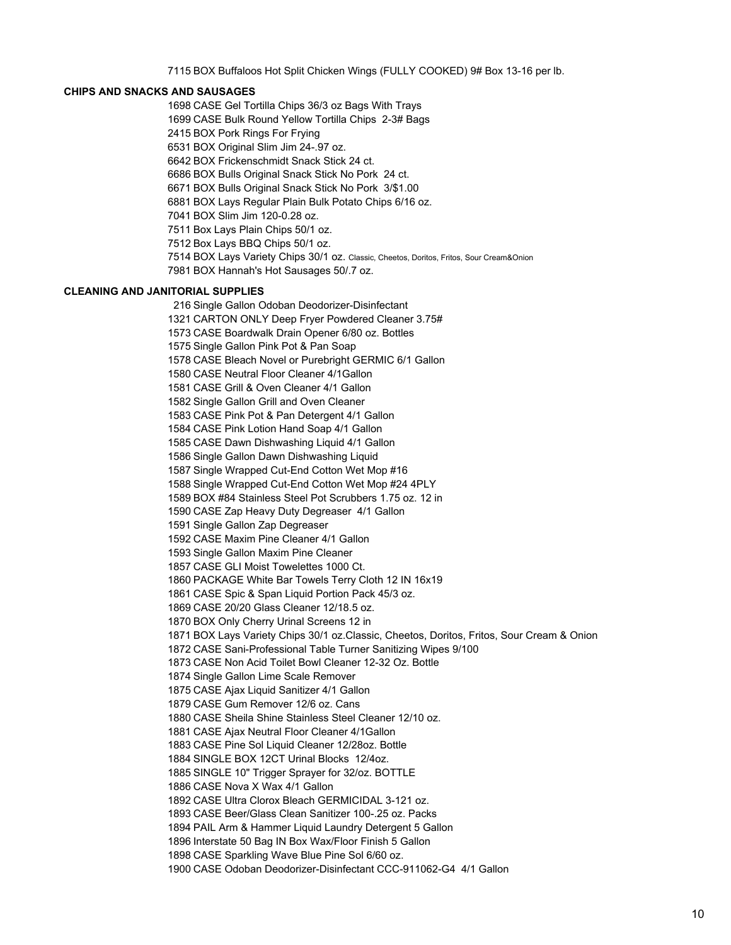BOX Buffaloos Hot Split Chicken Wings (FULLY COOKED) 9# Box 13-16 per lb.

# **CHIPS AND SNACKS AND SAUSAGES**

 CASE Gel Tortilla Chips 36/3 oz Bags With Trays CASE Bulk Round Yellow Tortilla Chips 2-3# Bags BOX Pork Rings For Frying BOX Original Slim Jim 24-.97 oz. BOX Frickenschmidt Snack Stick 24 ct. BOX Bulls Original Snack Stick No Pork 24 ct. BOX Bulls Original Snack Stick No Pork 3/\$1.00 BOX Lays Regular Plain Bulk Potato Chips 6/16 oz. BOX Slim Jim 120-0.28 oz. Box Lays Plain Chips 50/1 oz. Box Lays BBQ Chips 50/1 oz. BOX Lays Variety Chips 30/1 oz. Classic, Cheetos, Doritos, Fritos, Sour Cream&Onion BOX Hannah's Hot Sausages 50/.7 oz. **CLEANING AND JANITORIAL SUPPLIES** Single Gallon Odoban Deodorizer-Disinfectant CARTON ONLY Deep Fryer Powdered Cleaner 3.75# CASE Boardwalk Drain Opener 6/80 oz. Bottles Single Gallon Pink Pot & Pan Soap CASE Bleach Novel or Purebright GERMIC 6/1 Gallon CASE Neutral Floor Cleaner 4/1Gallon CASE Grill & Oven Cleaner 4/1 Gallon Single Gallon Grill and Oven Cleaner CASE Pink Pot & Pan Detergent 4/1 Gallon CASE Pink Lotion Hand Soap 4/1 Gallon CASE Dawn Dishwashing Liquid 4/1 Gallon Single Gallon Dawn Dishwashing Liquid Single Wrapped Cut-End Cotton Wet Mop #16 Single Wrapped Cut-End Cotton Wet Mop #24 4PLY BOX #84 Stainless Steel Pot Scrubbers 1.75 oz. 12 in CASE Zap Heavy Duty Degreaser 4/1 Gallon Single Gallon Zap Degreaser CASE Maxim Pine Cleaner 4/1 Gallon Single Gallon Maxim Pine Cleaner CASE GLI Moist Towelettes 1000 Ct. PACKAGE White Bar Towels Terry Cloth 12 IN 16x19 CASE Spic & Span Liquid Portion Pack 45/3 oz. CASE 20/20 Glass Cleaner 12/18.5 oz. BOX Only Cherry Urinal Screens 12 in BOX Lays Variety Chips 30/1 oz.Classic, Cheetos, Doritos, Fritos, Sour Cream & Onion CASE Sani-Professional Table Turner Sanitizing Wipes 9/100 CASE Non Acid Toilet Bowl Cleaner 12-32 Oz. Bottle Single Gallon Lime Scale Remover CASE Ajax Liquid Sanitizer 4/1 Gallon CASE Gum Remover 12/6 oz. Cans CASE Sheila Shine Stainless Steel Cleaner 12/10 oz. CASE Ajax Neutral Floor Cleaner 4/1Gallon CASE Pine Sol Liquid Cleaner 12/28oz. Bottle

SINGLE BOX 12CT Urinal Blocks 12/4oz.

SINGLE 10" Trigger Sprayer for 32/oz. BOTTLE

CASE Nova X Wax 4/1 Gallon

CASE Ultra Clorox Bleach GERMICIDAL 3-121 oz.

CASE Beer/Glass Clean Sanitizer 100-.25 oz. Packs

PAIL Arm & Hammer Liquid Laundry Detergent 5 Gallon

Interstate 50 Bag IN Box Wax/Floor Finish 5 Gallon

CASE Sparkling Wave Blue Pine Sol 6/60 oz.

CASE Odoban Deodorizer-Disinfectant CCC-911062-G4 4/1 Gallon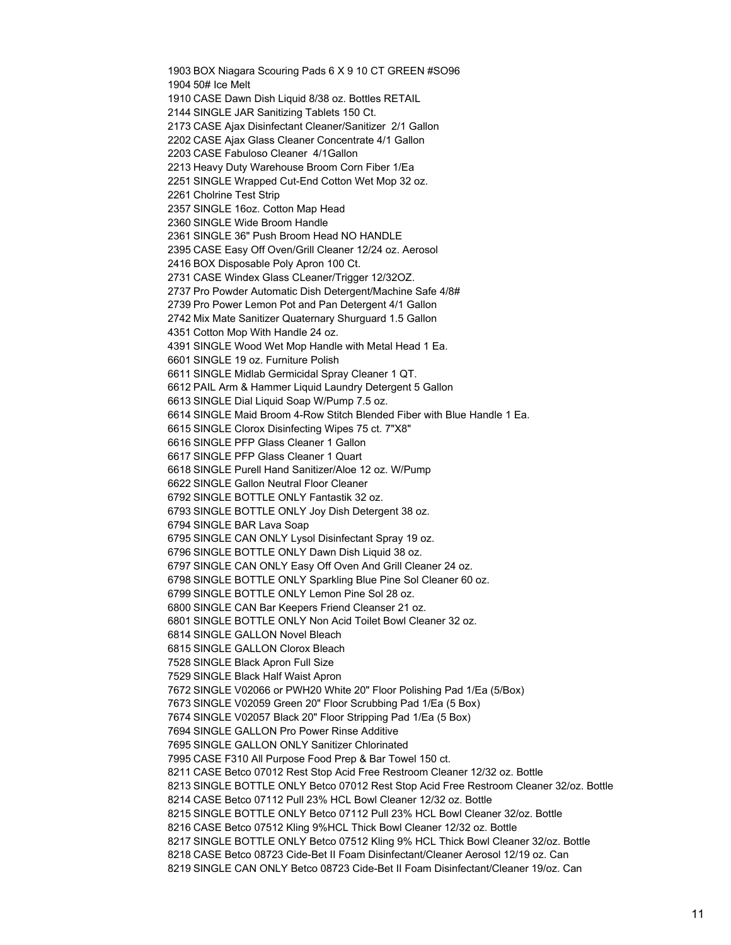BOX Niagara Scouring Pads 6 X 9 10 CT GREEN #SO96 50# Ice Melt CASE Dawn Dish Liquid 8/38 oz. Bottles RETAIL SINGLE JAR Sanitizing Tablets 150 Ct. CASE Ajax Disinfectant Cleaner/Sanitizer 2/1 Gallon CASE Ajax Glass Cleaner Concentrate 4/1 Gallon CASE Fabuloso Cleaner 4/1Gallon Heavy Duty Warehouse Broom Corn Fiber 1/Ea SINGLE Wrapped Cut-End Cotton Wet Mop 32 oz. Cholrine Test Strip SINGLE 16oz. Cotton Map Head SINGLE Wide Broom Handle SINGLE 36" Push Broom Head NO HANDLE CASE Easy Off Oven/Grill Cleaner 12/24 oz. Aerosol BOX Disposable Poly Apron 100 Ct. CASE Windex Glass CLeaner/Trigger 12/32OZ. Pro Powder Automatic Dish Detergent/Machine Safe 4/8# Pro Power Lemon Pot and Pan Detergent 4/1 Gallon Mix Mate Sanitizer Quaternary Shurguard 1.5 Gallon Cotton Mop With Handle 24 oz. SINGLE Wood Wet Mop Handle with Metal Head 1 Ea. SINGLE 19 oz. Furniture Polish SINGLE Midlab Germicidal Spray Cleaner 1 QT. PAIL Arm & Hammer Liquid Laundry Detergent 5 Gallon SINGLE Dial Liquid Soap W/Pump 7.5 oz. SINGLE Maid Broom 4-Row Stitch Blended Fiber with Blue Handle 1 Ea. SINGLE Clorox Disinfecting Wipes 75 ct. 7"X8" SINGLE PFP Glass Cleaner 1 Gallon SINGLE PFP Glass Cleaner 1 Quart SINGLE Purell Hand Sanitizer/Aloe 12 oz. W/Pump SINGLE Gallon Neutral Floor Cleaner SINGLE BOTTLE ONLY Fantastik 32 oz. SINGLE BOTTLE ONLY Joy Dish Detergent 38 oz. SINGLE BAR Lava Soap SINGLE CAN ONLY Lysol Disinfectant Spray 19 oz. SINGLE BOTTLE ONLY Dawn Dish Liquid 38 oz. SINGLE CAN ONLY Easy Off Oven And Grill Cleaner 24 oz. SINGLE BOTTLE ONLY Sparkling Blue Pine Sol Cleaner 60 oz. SINGLE BOTTLE ONLY Lemon Pine Sol 28 oz. SINGLE CAN Bar Keepers Friend Cleanser 21 oz. SINGLE BOTTLE ONLY Non Acid Toilet Bowl Cleaner 32 oz. SINGLE GALLON Novel Bleach SINGLE GALLON Clorox Bleach SINGLE Black Apron Full Size SINGLE Black Half Waist Apron SINGLE V02066 or PWH20 White 20" Floor Polishing Pad 1/Ea (5/Box) SINGLE V02059 Green 20" Floor Scrubbing Pad 1/Ea (5 Box) SINGLE V02057 Black 20" Floor Stripping Pad 1/Ea (5 Box) SINGLE GALLON Pro Power Rinse Additive SINGLE GALLON ONLY Sanitizer Chlorinated CASE F310 All Purpose Food Prep & Bar Towel 150 ct. CASE Betco 07012 Rest Stop Acid Free Restroom Cleaner 12/32 oz. Bottle SINGLE BOTTLE ONLY Betco 07012 Rest Stop Acid Free Restroom Cleaner 32/oz. Bottle CASE Betco 07112 Pull 23% HCL Bowl Cleaner 12/32 oz. Bottle SINGLE BOTTLE ONLY Betco 07112 Pull 23% HCL Bowl Cleaner 32/oz. Bottle CASE Betco 07512 Kling 9%HCL Thick Bowl Cleaner 12/32 oz. Bottle SINGLE BOTTLE ONLY Betco 07512 Kling 9% HCL Thick Bowl Cleaner 32/oz. Bottle CASE Betco 08723 Cide-Bet II Foam Disinfectant/Cleaner Aerosol 12/19 oz. Can SINGLE CAN ONLY Betco 08723 Cide-Bet II Foam Disinfectant/Cleaner 19/oz. Can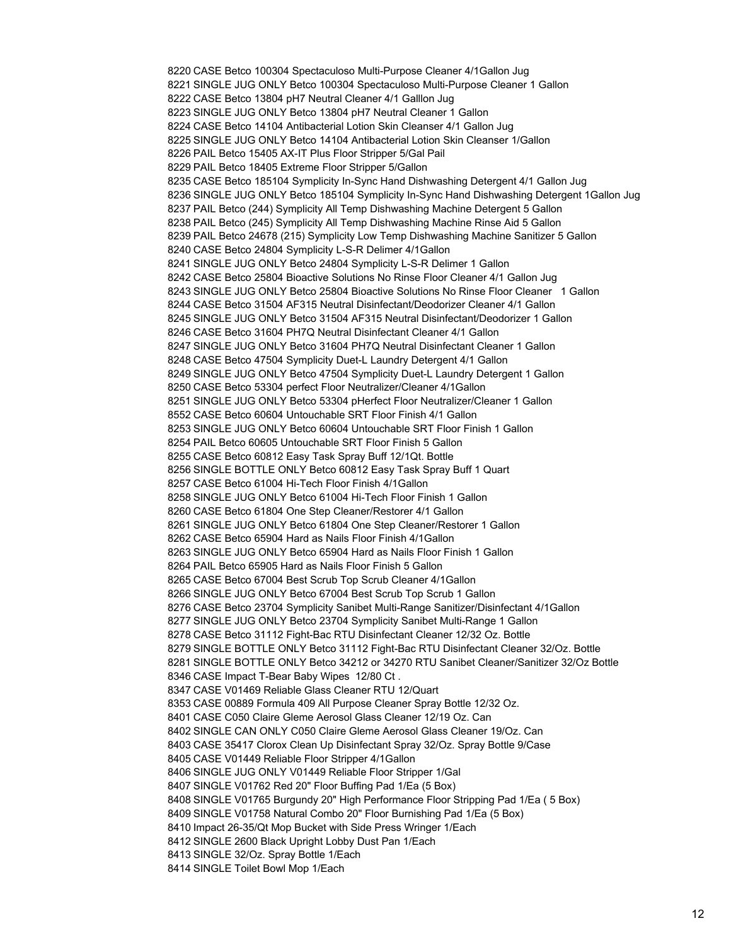CASE Betco 100304 Spectaculoso Multi-Purpose Cleaner 4/1Gallon Jug SINGLE JUG ONLY Betco 100304 Spectaculoso Multi-Purpose Cleaner 1 Gallon CASE Betco 13804 pH7 Neutral Cleaner 4/1 Galllon Jug SINGLE JUG ONLY Betco 13804 pH7 Neutral Cleaner 1 Gallon CASE Betco 14104 Antibacterial Lotion Skin Cleanser 4/1 Gallon Jug SINGLE JUG ONLY Betco 14104 Antibacterial Lotion Skin Cleanser 1/Gallon PAIL Betco 15405 AX-IT Plus Floor Stripper 5/Gal Pail PAIL Betco 18405 Extreme Floor Stripper 5/Gallon CASE Betco 185104 Symplicity In-Sync Hand Dishwashing Detergent 4/1 Gallon Jug SINGLE JUG ONLY Betco 185104 Symplicity In-Sync Hand Dishwashing Detergent 1Gallon Jug PAIL Betco (244) Symplicity All Temp Dishwashing Machine Detergent 5 Gallon PAIL Betco (245) Symplicity All Temp Dishwashing Machine Rinse Aid 5 Gallon PAIL Betco 24678 (215) Symplicity Low Temp Dishwashing Machine Sanitizer 5 Gallon CASE Betco 24804 Symplicity L-S-R Delimer 4/1Gallon SINGLE JUG ONLY Betco 24804 Symplicity L-S-R Delimer 1 Gallon CASE Betco 25804 Bioactive Solutions No Rinse Floor Cleaner 4/1 Gallon Jug SINGLE JUG ONLY Betco 25804 Bioactive Solutions No Rinse Floor Cleaner 1 Gallon CASE Betco 31504 AF315 Neutral Disinfectant/Deodorizer Cleaner 4/1 Gallon SINGLE JUG ONLY Betco 31504 AF315 Neutral Disinfectant/Deodorizer 1 Gallon CASE Betco 31604 PH7Q Neutral Disinfectant Cleaner 4/1 Gallon SINGLE JUG ONLY Betco 31604 PH7Q Neutral Disinfectant Cleaner 1 Gallon CASE Betco 47504 Symplicity Duet-L Laundry Detergent 4/1 Gallon SINGLE JUG ONLY Betco 47504 Symplicity Duet-L Laundry Detergent 1 Gallon CASE Betco 53304 perfect Floor Neutralizer/Cleaner 4/1Gallon SINGLE JUG ONLY Betco 53304 pHerfect Floor Neutralizer/Cleaner 1 Gallon CASE Betco 60604 Untouchable SRT Floor Finish 4/1 Gallon SINGLE JUG ONLY Betco 60604 Untouchable SRT Floor Finish 1 Gallon PAIL Betco 60605 Untouchable SRT Floor Finish 5 Gallon CASE Betco 60812 Easy Task Spray Buff 12/1Qt. Bottle SINGLE BOTTLE ONLY Betco 60812 Easy Task Spray Buff 1 Quart CASE Betco 61004 Hi-Tech Floor Finish 4/1Gallon SINGLE JUG ONLY Betco 61004 Hi-Tech Floor Finish 1 Gallon CASE Betco 61804 One Step Cleaner/Restorer 4/1 Gallon SINGLE JUG ONLY Betco 61804 One Step Cleaner/Restorer 1 Gallon CASE Betco 65904 Hard as Nails Floor Finish 4/1Gallon SINGLE JUG ONLY Betco 65904 Hard as Nails Floor Finish 1 Gallon PAIL Betco 65905 Hard as Nails Floor Finish 5 Gallon CASE Betco 67004 Best Scrub Top Scrub Cleaner 4/1Gallon SINGLE JUG ONLY Betco 67004 Best Scrub Top Scrub 1 Gallon CASE Betco 23704 Symplicity Sanibet Multi-Range Sanitizer/Disinfectant 4/1Gallon SINGLE JUG ONLY Betco 23704 Symplicity Sanibet Multi-Range 1 Gallon CASE Betco 31112 Fight-Bac RTU Disinfectant Cleaner 12/32 Oz. Bottle SINGLE BOTTLE ONLY Betco 31112 Fight-Bac RTU Disinfectant Cleaner 32/Oz. Bottle SINGLE BOTTLE ONLY Betco 34212 or 34270 RTU Sanibet Cleaner/Sanitizer 32/Oz Bottle CASE Impact T-Bear Baby Wipes 12/80 Ct . CASE V01469 Reliable Glass Cleaner RTU 12/Quart CASE 00889 Formula 409 All Purpose Cleaner Spray Bottle 12/32 Oz. CASE C050 Claire Gleme Aerosol Glass Cleaner 12/19 Oz. Can SINGLE CAN ONLY C050 Claire Gleme Aerosol Glass Cleaner 19/Oz. Can CASE 35417 Clorox Clean Up Disinfectant Spray 32/Oz. Spray Bottle 9/Case CASE V01449 Reliable Floor Stripper 4/1Gallon SINGLE JUG ONLY V01449 Reliable Floor Stripper 1/Gal SINGLE V01762 Red 20" Floor Buffing Pad 1/Ea (5 Box) SINGLE V01765 Burgundy 20" High Performance Floor Stripping Pad 1/Ea ( 5 Box) SINGLE V01758 Natural Combo 20" Floor Burnishing Pad 1/Ea (5 Box) Impact 26-35/Qt Mop Bucket with Side Press Wringer 1/Each SINGLE 2600 Black Upright Lobby Dust Pan 1/Each SINGLE 32/Oz. Spray Bottle 1/Each SINGLE Toilet Bowl Mop 1/Each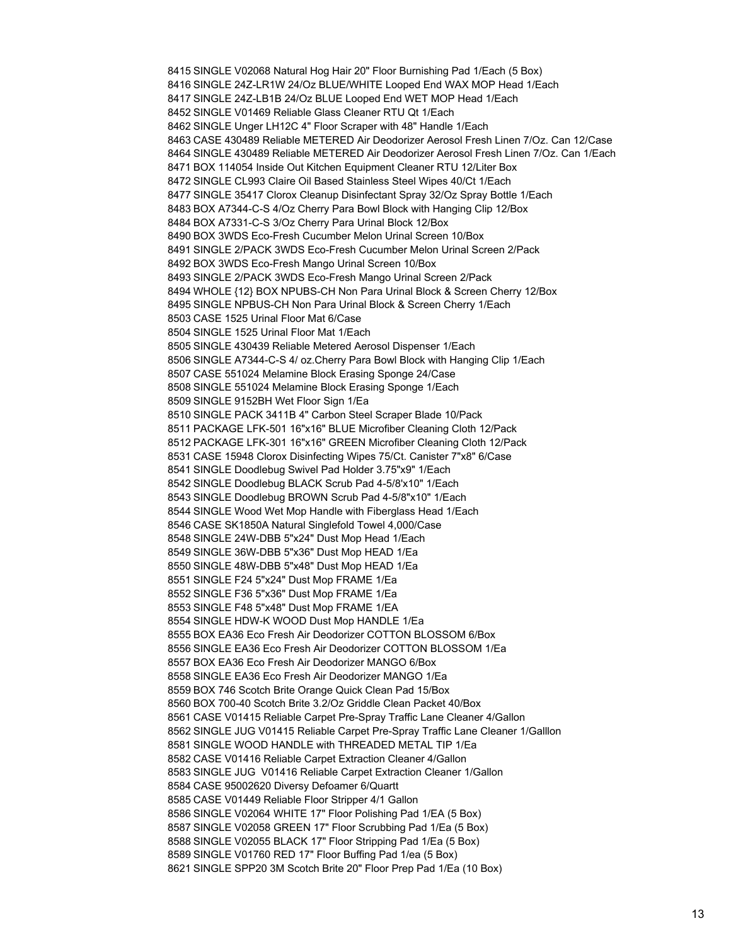SINGLE V02068 Natural Hog Hair 20" Floor Burnishing Pad 1/Each (5 Box) SINGLE 24Z-LR1W 24/Oz BLUE/WHITE Looped End WAX MOP Head 1/Each SINGLE 24Z-LB1B 24/Oz BLUE Looped End WET MOP Head 1/Each SINGLE V01469 Reliable Glass Cleaner RTU Qt 1/Each SINGLE Unger LH12C 4" Floor Scraper with 48" Handle 1/Each CASE 430489 Reliable METERED Air Deodorizer Aerosol Fresh Linen 7/Oz. Can 12/Case SINGLE 430489 Reliable METERED Air Deodorizer Aerosol Fresh Linen 7/Oz. Can 1/Each BOX 114054 Inside Out Kitchen Equipment Cleaner RTU 12/Liter Box SINGLE CL993 Claire Oil Based Stainless Steel Wipes 40/Ct 1/Each SINGLE 35417 Clorox Cleanup Disinfectant Spray 32/Oz Spray Bottle 1/Each BOX A7344-C-S 4/Oz Cherry Para Bowl Block with Hanging Clip 12/Box BOX A7331-C-S 3/Oz Cherry Para Urinal Block 12/Box BOX 3WDS Eco-Fresh Cucumber Melon Urinal Screen 10/Box SINGLE 2/PACK 3WDS Eco-Fresh Cucumber Melon Urinal Screen 2/Pack BOX 3WDS Eco-Fresh Mango Urinal Screen 10/Box SINGLE 2/PACK 3WDS Eco-Fresh Mango Urinal Screen 2/Pack WHOLE {12} BOX NPUBS-CH Non Para Urinal Block & Screen Cherry 12/Box SINGLE NPBUS-CH Non Para Urinal Block & Screen Cherry 1/Each CASE 1525 Urinal Floor Mat 6/Case SINGLE 1525 Urinal Floor Mat 1/Each SINGLE 430439 Reliable Metered Aerosol Dispenser 1/Each SINGLE A7344-C-S 4/ oz.Cherry Para Bowl Block with Hanging Clip 1/Each CASE 551024 Melamine Block Erasing Sponge 24/Case SINGLE 551024 Melamine Block Erasing Sponge 1/Each SINGLE 9152BH Wet Floor Sign 1/Ea SINGLE PACK 3411B 4" Carbon Steel Scraper Blade 10/Pack PACKAGE LFK-501 16"x16" BLUE Microfiber Cleaning Cloth 12/Pack PACKAGE LFK-301 16"x16" GREEN Microfiber Cleaning Cloth 12/Pack CASE 15948 Clorox Disinfecting Wipes 75/Ct. Canister 7"x8" 6/Case SINGLE Doodlebug Swivel Pad Holder 3.75"x9" 1/Each SINGLE Doodlebug BLACK Scrub Pad 4-5/8'x10" 1/Each SINGLE Doodlebug BROWN Scrub Pad 4-5/8"x10" 1/Each SINGLE Wood Wet Mop Handle with Fiberglass Head 1/Each CASE SK1850A Natural Singlefold Towel 4,000/Case SINGLE 24W-DBB 5"x24" Dust Mop Head 1/Each SINGLE 36W-DBB 5"x36" Dust Mop HEAD 1/Ea SINGLE 48W-DBB 5"x48" Dust Mop HEAD 1/Ea SINGLE F24 5"x24" Dust Mop FRAME 1/Ea SINGLE F36 5"x36" Dust Mop FRAME 1/Ea SINGLE F48 5"x48" Dust Mop FRAME 1/EA SINGLE HDW-K WOOD Dust Mop HANDLE 1/Ea BOX EA36 Eco Fresh Air Deodorizer COTTON BLOSSOM 6/Box SINGLE EA36 Eco Fresh Air Deodorizer COTTON BLOSSOM 1/Ea BOX EA36 Eco Fresh Air Deodorizer MANGO 6/Box SINGLE EA36 Eco Fresh Air Deodorizer MANGO 1/Ea BOX 746 Scotch Brite Orange Quick Clean Pad 15/Box BOX 700-40 Scotch Brite 3.2/Oz Griddle Clean Packet 40/Box CASE V01415 Reliable Carpet Pre-Spray Traffic Lane Cleaner 4/Gallon SINGLE JUG V01415 Reliable Carpet Pre-Spray Traffic Lane Cleaner 1/Galllon SINGLE WOOD HANDLE with THREADED METAL TIP 1/Ea CASE V01416 Reliable Carpet Extraction Cleaner 4/Gallon SINGLE JUG V01416 Reliable Carpet Extraction Cleaner 1/Gallon CASE 95002620 Diversy Defoamer 6/Quartt CASE V01449 Reliable Floor Stripper 4/1 Gallon SINGLE V02064 WHITE 17" Floor Polishing Pad 1/EA (5 Box) SINGLE V02058 GREEN 17" Floor Scrubbing Pad 1/Ea (5 Box) SINGLE V02055 BLACK 17" Floor Stripping Pad 1/Ea (5 Box) SINGLE V01760 RED 17" Floor Buffing Pad 1/ea (5 Box) SINGLE SPP20 3M Scotch Brite 20" Floor Prep Pad 1/Ea (10 Box)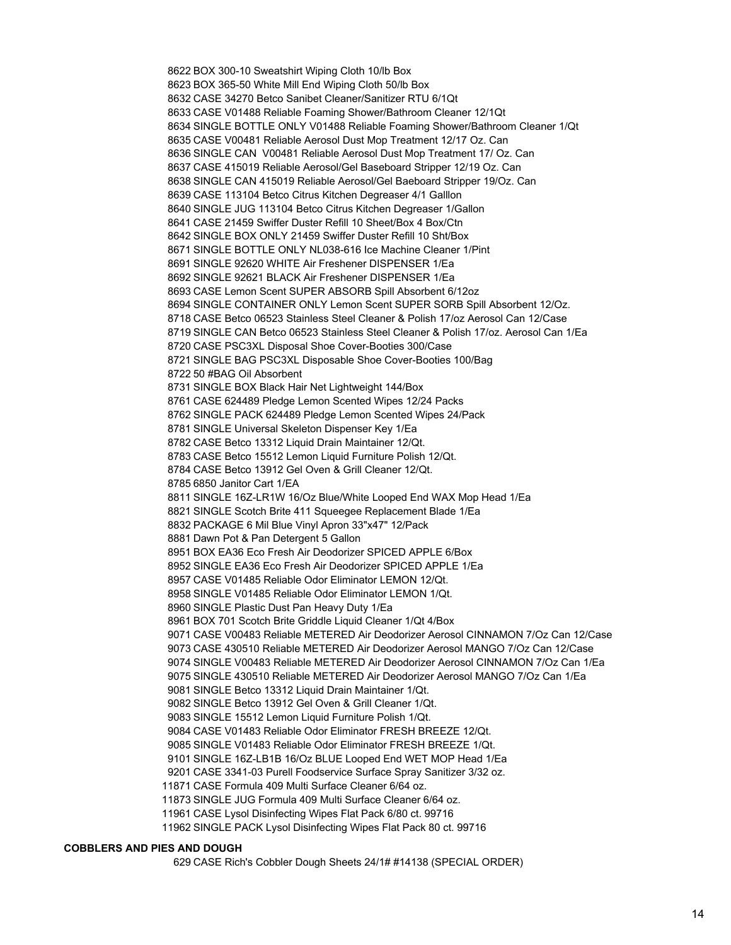BOX 300-10 Sweatshirt Wiping Cloth 10/lb Box BOX 365-50 White Mill End Wiping Cloth 50/lb Box CASE 34270 Betco Sanibet Cleaner/Sanitizer RTU 6/1Qt CASE V01488 Reliable Foaming Shower/Bathroom Cleaner 12/1Qt SINGLE BOTTLE ONLY V01488 Reliable Foaming Shower/Bathroom Cleaner 1/Qt CASE V00481 Reliable Aerosol Dust Mop Treatment 12/17 Oz. Can SINGLE CAN V00481 Reliable Aerosol Dust Mop Treatment 17/ Oz. Can CASE 415019 Reliable Aerosol/Gel Baseboard Stripper 12/19 Oz. Can SINGLE CAN 415019 Reliable Aerosol/Gel Baeboard Stripper 19/Oz. Can CASE 113104 Betco Citrus Kitchen Degreaser 4/1 Galllon SINGLE JUG 113104 Betco Citrus Kitchen Degreaser 1/Gallon CASE 21459 Swiffer Duster Refill 10 Sheet/Box 4 Box/Ctn SINGLE BOX ONLY 21459 Swiffer Duster Refill 10 Sht/Box SINGLE BOTTLE ONLY NL038-616 Ice Machine Cleaner 1/Pint SINGLE 92620 WHITE Air Freshener DISPENSER 1/Ea SINGLE 92621 BLACK Air Freshener DISPENSER 1/Ea CASE Lemon Scent SUPER ABSORB Spill Absorbent 6/12oz SINGLE CONTAINER ONLY Lemon Scent SUPER SORB Spill Absorbent 12/Oz. CASE Betco 06523 Stainless Steel Cleaner & Polish 17/oz Aerosol Can 12/Case SINGLE CAN Betco 06523 Stainless Steel Cleaner & Polish 17/oz. Aerosol Can 1/Ea CASE PSC3XL Disposal Shoe Cover-Booties 300/Case SINGLE BAG PSC3XL Disposable Shoe Cover-Booties 100/Bag 50 #BAG Oil Absorbent SINGLE BOX Black Hair Net Lightweight 144/Box CASE 624489 Pledge Lemon Scented Wipes 12/24 Packs SINGLE PACK 624489 Pledge Lemon Scented Wipes 24/Pack SINGLE Universal Skeleton Dispenser Key 1/Ea CASE Betco 13312 Liquid Drain Maintainer 12/Qt. CASE Betco 15512 Lemon Liquid Furniture Polish 12/Qt. CASE Betco 13912 Gel Oven & Grill Cleaner 12/Qt. 6850 Janitor Cart 1/EA SINGLE 16Z-LR1W 16/Oz Blue/White Looped End WAX Mop Head 1/Ea SINGLE Scotch Brite 411 Squeegee Replacement Blade 1/Ea PACKAGE 6 Mil Blue Vinyl Apron 33"x47" 12/Pack Dawn Pot & Pan Detergent 5 Gallon BOX EA36 Eco Fresh Air Deodorizer SPICED APPLE 6/Box SINGLE EA36 Eco Fresh Air Deodorizer SPICED APPLE 1/Ea CASE V01485 Reliable Odor Eliminator LEMON 12/Qt. SINGLE V01485 Reliable Odor Eliminator LEMON 1/Qt. SINGLE Plastic Dust Pan Heavy Duty 1/Ea BOX 701 Scotch Brite Griddle Liquid Cleaner 1/Qt 4/Box CASE V00483 Reliable METERED Air Deodorizer Aerosol CINNAMON 7/Oz Can 12/Case CASE 430510 Reliable METERED Air Deodorizer Aerosol MANGO 7/Oz Can 12/Case SINGLE V00483 Reliable METERED Air Deodorizer Aerosol CINNAMON 7/Oz Can 1/Ea SINGLE 430510 Reliable METERED Air Deodorizer Aerosol MANGO 7/Oz Can 1/Ea SINGLE Betco 13312 Liquid Drain Maintainer 1/Qt. SINGLE Betco 13912 Gel Oven & Grill Cleaner 1/Qt. SINGLE 15512 Lemon Liquid Furniture Polish 1/Qt. CASE V01483 Reliable Odor Eliminator FRESH BREEZE 12/Qt. SINGLE V01483 Reliable Odor Eliminator FRESH BREEZE 1/Qt. SINGLE 16Z-LB1B 16/Oz BLUE Looped End WET MOP Head 1/Ea CASE 3341-03 Purell Foodservice Surface Spray Sanitizer 3/32 oz. CASE Formula 409 Multi Surface Cleaner 6/64 oz. SINGLE JUG Formula 409 Multi Surface Cleaner 6/64 oz. CASE Lysol Disinfecting Wipes Flat Pack 6/80 ct. 99716 SINGLE PACK Lysol Disinfecting Wipes Flat Pack 80 ct. 99716

#### **COBBLERS AND PIES AND DOUGH**

CASE Rich's Cobbler Dough Sheets 24/1# #14138 (SPECIAL ORDER)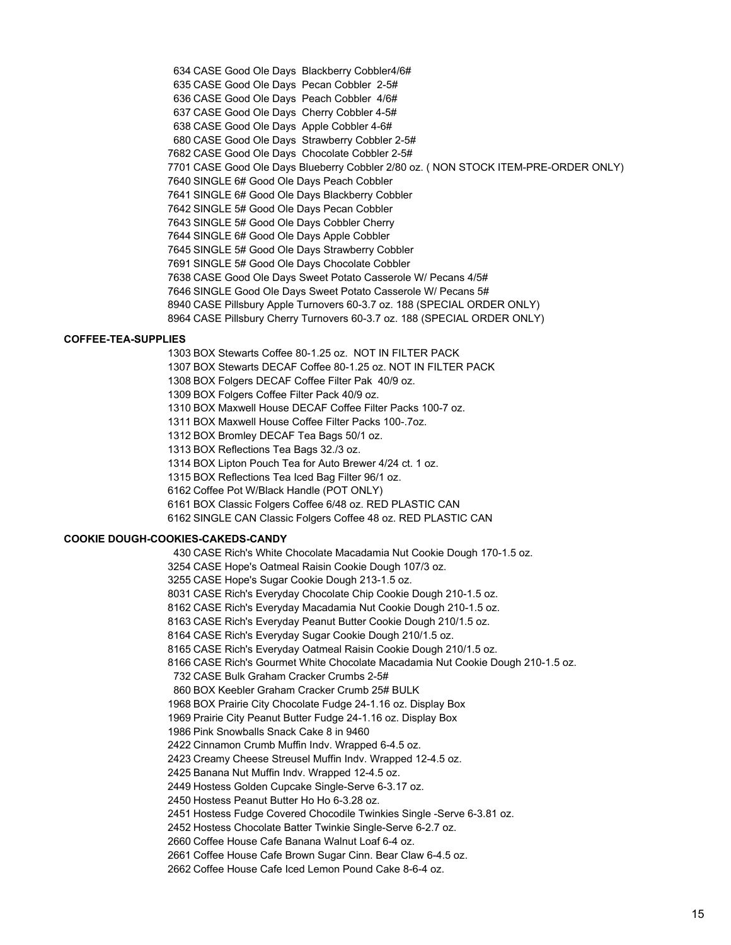CASE Good Ole Days Blackberry Cobbler4/6# CASE Good Ole Days Pecan Cobbler 2-5# CASE Good Ole Days Peach Cobbler 4/6# CASE Good Ole Days Cherry Cobbler 4-5# CASE Good Ole Days Apple Cobbler 4-6# CASE Good Ole Days Strawberry Cobbler 2-5# CASE Good Ole Days Chocolate Cobbler 2-5# CASE Good Ole Days Blueberry Cobbler 2/80 oz. ( NON STOCK ITEM-PRE-ORDER ONLY) SINGLE 6# Good Ole Days Peach Cobbler SINGLE 6# Good Ole Days Blackberry Cobbler SINGLE 5# Good Ole Days Pecan Cobbler SINGLE 5# Good Ole Days Cobbler Cherry SINGLE 6# Good Ole Days Apple Cobbler SINGLE 5# Good Ole Days Strawberry Cobbler SINGLE 5# Good Ole Days Chocolate Cobbler CASE Good Ole Days Sweet Potato Casserole W/ Pecans 4/5# SINGLE Good Ole Days Sweet Potato Casserole W/ Pecans 5# CASE Pillsbury Apple Turnovers 60-3.7 oz. 188 (SPECIAL ORDER ONLY) CASE Pillsbury Cherry Turnovers 60-3.7 oz. 188 (SPECIAL ORDER ONLY)

#### **COFFEE-TEA-SUPPLIES**

 BOX Stewarts Coffee 80-1.25 oz. NOT IN FILTER PACK BOX Stewarts DECAF Coffee 80-1.25 oz. NOT IN FILTER PACK BOX Folgers DECAF Coffee Filter Pak 40/9 oz. BOX Folgers Coffee Filter Pack 40/9 oz. BOX Maxwell House DECAF Coffee Filter Packs 100-7 oz. BOX Maxwell House Coffee Filter Packs 100-.7oz. BOX Bromley DECAF Tea Bags 50/1 oz. BOX Reflections Tea Bags 32./3 oz. BOX Lipton Pouch Tea for Auto Brewer 4/24 ct. 1 oz. BOX Reflections Tea Iced Bag Filter 96/1 oz. Coffee Pot W/Black Handle (POT ONLY) BOX Classic Folgers Coffee 6/48 oz. RED PLASTIC CAN SINGLE CAN Classic Folgers Coffee 48 oz. RED PLASTIC CAN

#### **COOKIE DOUGH-COOKIES-CAKEDS-CANDY**

 CASE Rich's White Chocolate Macadamia Nut Cookie Dough 170-1.5 oz. CASE Hope's Oatmeal Raisin Cookie Dough 107/3 oz. CASE Hope's Sugar Cookie Dough 213-1.5 oz. CASE Rich's Everyday Chocolate Chip Cookie Dough 210-1.5 oz. CASE Rich's Everyday Macadamia Nut Cookie Dough 210-1.5 oz. CASE Rich's Everyday Peanut Butter Cookie Dough 210/1.5 oz. CASE Rich's Everyday Sugar Cookie Dough 210/1.5 oz. CASE Rich's Everyday Oatmeal Raisin Cookie Dough 210/1.5 oz. CASE Rich's Gourmet White Chocolate Macadamia Nut Cookie Dough 210-1.5 oz. CASE Bulk Graham Cracker Crumbs 2-5# BOX Keebler Graham Cracker Crumb 25# BULK BOX Prairie City Chocolate Fudge 24-1.16 oz. Display Box Prairie City Peanut Butter Fudge 24-1.16 oz. Display Box Pink Snowballs Snack Cake 8 in 9460 Cinnamon Crumb Muffin Indv. Wrapped 6-4.5 oz. Creamy Cheese Streusel Muffin Indv. Wrapped 12-4.5 oz. Banana Nut Muffin Indv. Wrapped 12-4.5 oz. Hostess Golden Cupcake Single-Serve 6-3.17 oz. Hostess Peanut Butter Ho Ho 6-3.28 oz. Hostess Fudge Covered Chocodile Twinkies Single -Serve 6-3.81 oz. Hostess Chocolate Batter Twinkie Single-Serve 6-2.7 oz. Coffee House Cafe Banana Walnut Loaf 6-4 oz.

Coffee House Cafe Brown Sugar Cinn. Bear Claw 6-4.5 oz.

Coffee House Cafe Iced Lemon Pound Cake 8-6-4 oz.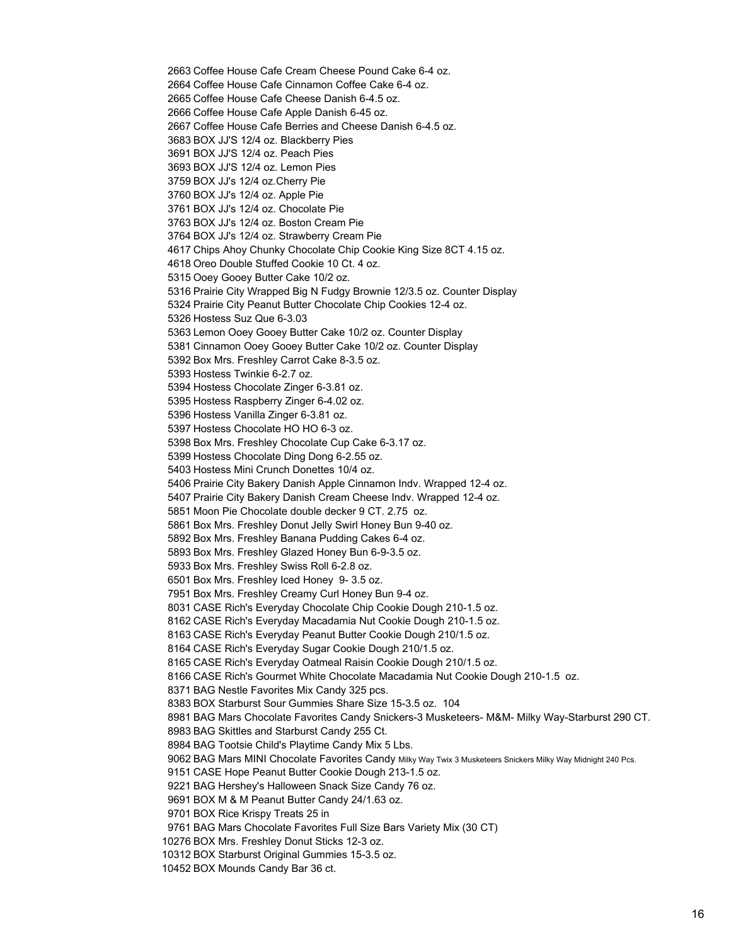Coffee House Cafe Cream Cheese Pound Cake 6-4 oz. Coffee House Cafe Cinnamon Coffee Cake 6-4 oz. Coffee House Cafe Cheese Danish 6-4.5 oz. Coffee House Cafe Apple Danish 6-45 oz. Coffee House Cafe Berries and Cheese Danish 6-4.5 oz. BOX JJ'S 12/4 oz. Blackberry Pies BOX JJ'S 12/4 oz. Peach Pies BOX JJ'S 12/4 oz. Lemon Pies BOX JJ's 12/4 oz.Cherry Pie BOX JJ's 12/4 oz. Apple Pie BOX JJ's 12/4 oz. Chocolate Pie BOX JJ's 12/4 oz. Boston Cream Pie BOX JJ's 12/4 oz. Strawberry Cream Pie Chips Ahoy Chunky Chocolate Chip Cookie King Size 8CT 4.15 oz. Oreo Double Stuffed Cookie 10 Ct. 4 oz. Ooey Gooey Butter Cake 10/2 oz. Prairie City Wrapped Big N Fudgy Brownie 12/3.5 oz. Counter Display Prairie City Peanut Butter Chocolate Chip Cookies 12-4 oz. Hostess Suz Que 6-3.03 Lemon Ooey Gooey Butter Cake 10/2 oz. Counter Display Cinnamon Ooey Gooey Butter Cake 10/2 oz. Counter Display Box Mrs. Freshley Carrot Cake 8-3.5 oz. Hostess Twinkie 6-2.7 oz. Hostess Chocolate Zinger 6-3.81 oz. Hostess Raspberry Zinger 6-4.02 oz. Hostess Vanilla Zinger 6-3.81 oz. Hostess Chocolate HO HO 6-3 oz. Box Mrs. Freshley Chocolate Cup Cake 6-3.17 oz. Hostess Chocolate Ding Dong 6-2.55 oz. Hostess Mini Crunch Donettes 10/4 oz. Prairie City Bakery Danish Apple Cinnamon Indv. Wrapped 12-4 oz. Prairie City Bakery Danish Cream Cheese Indv. Wrapped 12-4 oz. Moon Pie Chocolate double decker 9 CT. 2.75 oz. Box Mrs. Freshley Donut Jelly Swirl Honey Bun 9-40 oz. Box Mrs. Freshley Banana Pudding Cakes 6-4 oz. Box Mrs. Freshley Glazed Honey Bun 6-9-3.5 oz. Box Mrs. Freshley Swiss Roll 6-2.8 oz. Box Mrs. Freshley Iced Honey 9- 3.5 oz. Box Mrs. Freshley Creamy Curl Honey Bun 9-4 oz. CASE Rich's Everyday Chocolate Chip Cookie Dough 210-1.5 oz. CASE Rich's Everyday Macadamia Nut Cookie Dough 210-1.5 oz. CASE Rich's Everyday Peanut Butter Cookie Dough 210/1.5 oz. CASE Rich's Everyday Sugar Cookie Dough 210/1.5 oz. CASE Rich's Everyday Oatmeal Raisin Cookie Dough 210/1.5 oz. CASE Rich's Gourmet White Chocolate Macadamia Nut Cookie Dough 210-1.5 oz. BAG Nestle Favorites Mix Candy 325 pcs. BOX Starburst Sour Gummies Share Size 15-3.5 oz. 104 BAG Mars Chocolate Favorites Candy Snickers-3 Musketeers- M&M- Milky Way-Starburst 290 CT. BAG Skittles and Starburst Candy 255 Ct. BAG Tootsie Child's Playtime Candy Mix 5 Lbs. BAG Mars MINI Chocolate Favorites Candy Milky Way Twix 3 Musketeers Snickers Milky Way Midnight 240 Pcs. CASE Hope Peanut Butter Cookie Dough 213-1.5 oz. BAG Hershey's Halloween Snack Size Candy 76 oz. BOX M & M Peanut Butter Candy 24/1.63 oz. BOX Rice Krispy Treats 25 in BAG Mars Chocolate Favorites Full Size Bars Variety Mix (30 CT) BOX Mrs. Freshley Donut Sticks 12-3 oz. BOX Starburst Original Gummies 15-3.5 oz.

BOX Mounds Candy Bar 36 ct.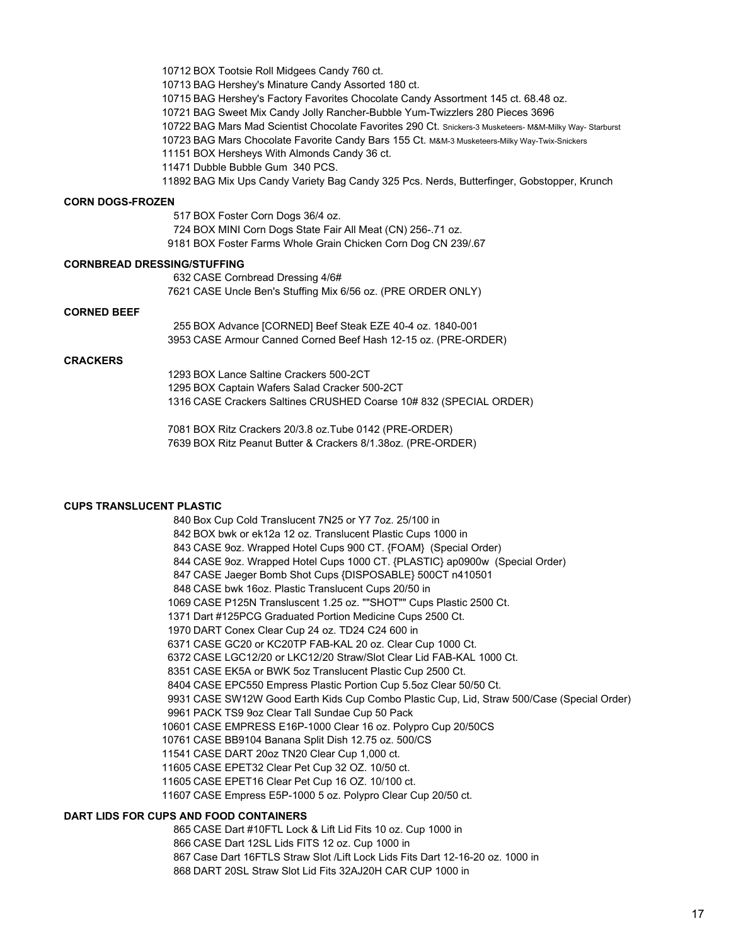BOX Tootsie Roll Midgees Candy 760 ct. BAG Hershey's Minature Candy Assorted 180 ct. BAG Hershey's Factory Favorites Chocolate Candy Assortment 145 ct. 68.48 oz. BAG Sweet Mix Candy Jolly Rancher-Bubble Yum-Twizzlers 280 Pieces 3696 BAG Mars Mad Scientist Chocolate Favorites 290 Ct. Snickers-3 Musketeers- M&M-Milky Way- Starburst BAG Mars Chocolate Favorite Candy Bars 155 Ct. M&M-3 Musketeers-Milky Way-Twix-Snickers BOX Hersheys With Almonds Candy 36 ct. Dubble Bubble Gum 340 PCS. BAG Mix Ups Candy Variety Bag Candy 325 Pcs. Nerds, Butterfinger, Gobstopper, Krunch

#### **CORN DOGS-FROZEN**

 BOX Foster Corn Dogs 36/4 oz. BOX MINI Corn Dogs State Fair All Meat (CN) 256-.71 oz. BOX Foster Farms Whole Grain Chicken Corn Dog CN 239/.67

# **CORNBREAD DRESSING/STUFFING**

 CASE Cornbread Dressing 4/6# CASE Uncle Ben's Stuffing Mix 6/56 oz. (PRE ORDER ONLY)

#### **CORNED BEEF**

 BOX Advance [CORNED] Beef Steak EZE 40-4 oz. 1840-001 CASE Armour Canned Corned Beef Hash 12-15 oz. (PRE-ORDER)

# **CRACKERS**

 BOX Lance Saltine Crackers 500-2CT BOX Captain Wafers Salad Cracker 500-2CT CASE Crackers Saltines CRUSHED Coarse 10# 832 (SPECIAL ORDER)

 BOX Ritz Crackers 20/3.8 oz.Tube 0142 (PRE-ORDER) BOX Ritz Peanut Butter & Crackers 8/1.38oz. (PRE-ORDER)

### **CUPS TRANSLUCENT PLASTIC**

 Box Cup Cold Translucent 7N25 or Y7 7oz. 25/100 in BOX bwk or ek12a 12 oz. Translucent Plastic Cups 1000 in CASE 9oz. Wrapped Hotel Cups 900 CT. {FOAM} (Special Order) CASE 9oz. Wrapped Hotel Cups 1000 CT. {PLASTIC} ap0900w (Special Order) CASE Jaeger Bomb Shot Cups {DISPOSABLE} 500CT n410501 CASE bwk 16oz. Plastic Translucent Cups 20/50 in CASE P125N Transluscent 1.25 oz. ""SHOT"" Cups Plastic 2500 Ct. Dart #125PCG Graduated Portion Medicine Cups 2500 Ct. DART Conex Clear Cup 24 oz. TD24 C24 600 in CASE GC20 or KC20TP FAB-KAL 20 oz. Clear Cup 1000 Ct. CASE LGC12/20 or LKC12/20 Straw/Slot Clear Lid FAB-KAL 1000 Ct. CASE EK5A or BWK 5oz Translucent Plastic Cup 2500 Ct. CASE EPC550 Empress Plastic Portion Cup 5.5oz Clear 50/50 Ct. CASE SW12W Good Earth Kids Cup Combo Plastic Cup, Lid, Straw 500/Case (Special Order) PACK TS9 9oz Clear Tall Sundae Cup 50 Pack CASE EMPRESS E16P-1000 Clear 16 oz. Polypro Cup 20/50CS CASE BB9104 Banana Split Dish 12.75 oz. 500/CS CASE DART 20oz TN20 Clear Cup 1,000 ct. CASE EPET32 Clear Pet Cup 32 OZ. 10/50 ct. CASE EPET16 Clear Pet Cup 16 OZ. 10/100 ct. CASE Empress E5P-1000 5 oz. Polypro Clear Cup 20/50 ct.

#### **DART LIDS FOR CUPS AND FOOD CONTAINERS**

 CASE Dart #10FTL Lock & Lift Lid Fits 10 oz. Cup 1000 in CASE Dart 12SL Lids FITS 12 oz. Cup 1000 in Case Dart 16FTLS Straw Slot /Lift Lock Lids Fits Dart 12-16-20 oz. 1000 in DART 20SL Straw Slot Lid Fits 32AJ20H CAR CUP 1000 in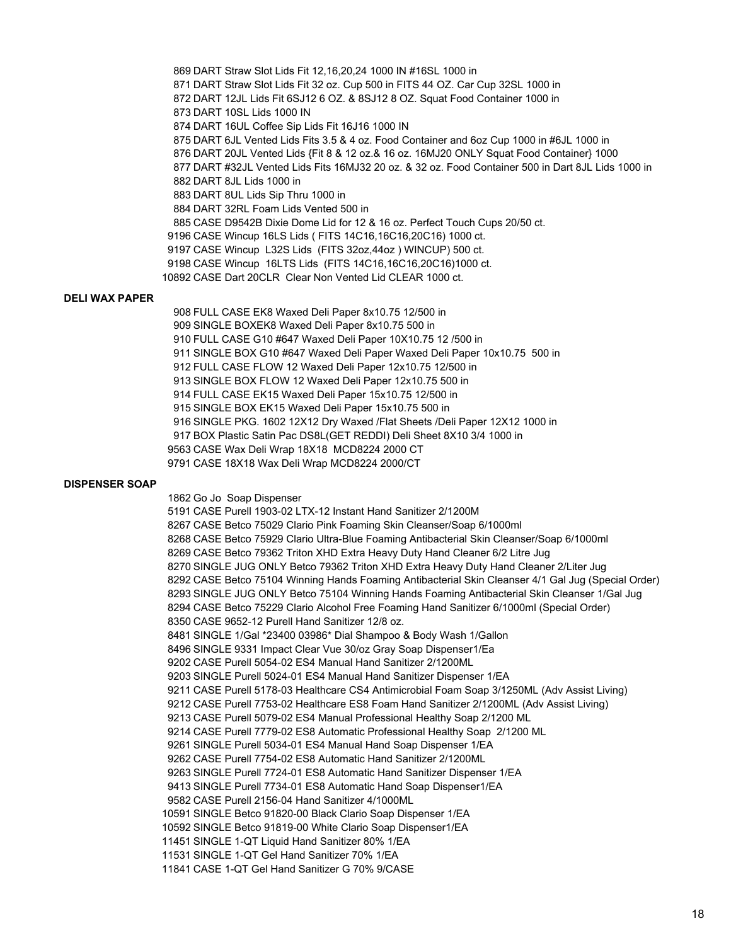DART Straw Slot Lids Fit 12,16,20,24 1000 IN #16SL 1000 in DART Straw Slot Lids Fit 32 oz. Cup 500 in FITS 44 OZ. Car Cup 32SL 1000 in DART 12JL Lids Fit 6SJ12 6 OZ. & 8SJ12 8 OZ. Squat Food Container 1000 in DART 10SL Lids 1000 IN DART 16UL Coffee Sip Lids Fit 16J16 1000 IN DART 6JL Vented Lids Fits 3.5 & 4 oz. Food Container and 6oz Cup 1000 in #6JL 1000 in DART 20JL Vented Lids {Fit 8 & 12 oz.& 16 oz. 16MJ20 ONLY Squat Food Container} 1000 DART #32JL Vented Lids Fits 16MJ32 20 oz. & 32 oz. Food Container 500 in Dart 8JL Lids 1000 in DART 8JL Lids 1000 in DART 8UL Lids Sip Thru 1000 in DART 32RL Foam Lids Vented 500 in CASE D9542B Dixie Dome Lid for 12 & 16 oz. Perfect Touch Cups 20/50 ct. CASE Wincup 16LS Lids ( FITS 14C16,16C16,20C16) 1000 ct. CASE Wincup L32S Lids (FITS 32oz,44oz ) WINCUP) 500 ct. CASE Wincup 16LTS Lids (FITS 14C16,16C16,20C16)1000 ct. CASE Dart 20CLR Clear Non Vented Lid CLEAR 1000 ct.

### **DELI WAX PAPER**

 FULL CASE EK8 Waxed Deli Paper 8x10.75 12/500 in SINGLE BOXEK8 Waxed Deli Paper 8x10.75 500 in FULL CASE G10 #647 Waxed Deli Paper 10X10.75 12 /500 in SINGLE BOX G10 #647 Waxed Deli Paper Waxed Deli Paper 10x10.75 500 in FULL CASE FLOW 12 Waxed Deli Paper 12x10.75 12/500 in SINGLE BOX FLOW 12 Waxed Deli Paper 12x10.75 500 in FULL CASE EK15 Waxed Deli Paper 15x10.75 12/500 in SINGLE BOX EK15 Waxed Deli Paper 15x10.75 500 in SINGLE PKG. 1602 12X12 Dry Waxed /Flat Sheets /Deli Paper 12X12 1000 in BOX Plastic Satin Pac DS8L(GET REDDI) Deli Sheet 8X10 3/4 1000 in CASE Wax Deli Wrap 18X18 MCD8224 2000 CT CASE 18X18 Wax Deli Wrap MCD8224 2000/CT

#### **DISPENSER SOAP**

 Go Jo Soap Dispenser CASE Purell 1903-02 LTX-12 Instant Hand Sanitizer 2/1200M CASE Betco 75029 Clario Pink Foaming Skin Cleanser/Soap 6/1000ml CASE Betco 75929 Clario Ultra-Blue Foaming Antibacterial Skin Cleanser/Soap 6/1000ml CASE Betco 79362 Triton XHD Extra Heavy Duty Hand Cleaner 6/2 Litre Jug SINGLE JUG ONLY Betco 79362 Triton XHD Extra Heavy Duty Hand Cleaner 2/Liter Jug CASE Betco 75104 Winning Hands Foaming Antibacterial Skin Cleanser 4/1 Gal Jug (Special Order) SINGLE JUG ONLY Betco 75104 Winning Hands Foaming Antibacterial Skin Cleanser 1/Gal Jug CASE Betco 75229 Clario Alcohol Free Foaming Hand Sanitizer 6/1000ml (Special Order) CASE 9652-12 Purell Hand Sanitizer 12/8 oz. SINGLE 1/Gal \*23400 03986\* Dial Shampoo & Body Wash 1/Gallon SINGLE 9331 Impact Clear Vue 30/oz Gray Soap Dispenser1/Ea CASE Purell 5054-02 ES4 Manual Hand Sanitizer 2/1200ML SINGLE Purell 5024-01 ES4 Manual Hand Sanitizer Dispenser 1/EA CASE Purell 5178-03 Healthcare CS4 Antimicrobial Foam Soap 3/1250ML (Adv Assist Living) CASE Purell 7753-02 Healthcare ES8 Foam Hand Sanitizer 2/1200ML (Adv Assist Living) CASE Purell 5079-02 ES4 Manual Professional Healthy Soap 2/1200 ML CASE Purell 7779-02 ES8 Automatic Professional Healthy Soap 2/1200 ML SINGLE Purell 5034-01 ES4 Manual Hand Soap Dispenser 1/EA CASE Purell 7754-02 ES8 Automatic Hand Sanitizer 2/1200ML SINGLE Purell 7724-01 ES8 Automatic Hand Sanitizer Dispenser 1/EA SINGLE Purell 7734-01 ES8 Automatic Hand Soap Dispenser1/EA CASE Purell 2156-04 Hand Sanitizer 4/1000ML SINGLE Betco 91820-00 Black Clario Soap Dispenser 1/EA SINGLE Betco 91819-00 White Clario Soap Dispenser1/EA SINGLE 1-QT Liquid Hand Sanitizer 80% 1/EA SINGLE 1-QT Gel Hand Sanitizer 70% 1/EA CASE 1-QT Gel Hand Sanitizer G 70% 9/CASE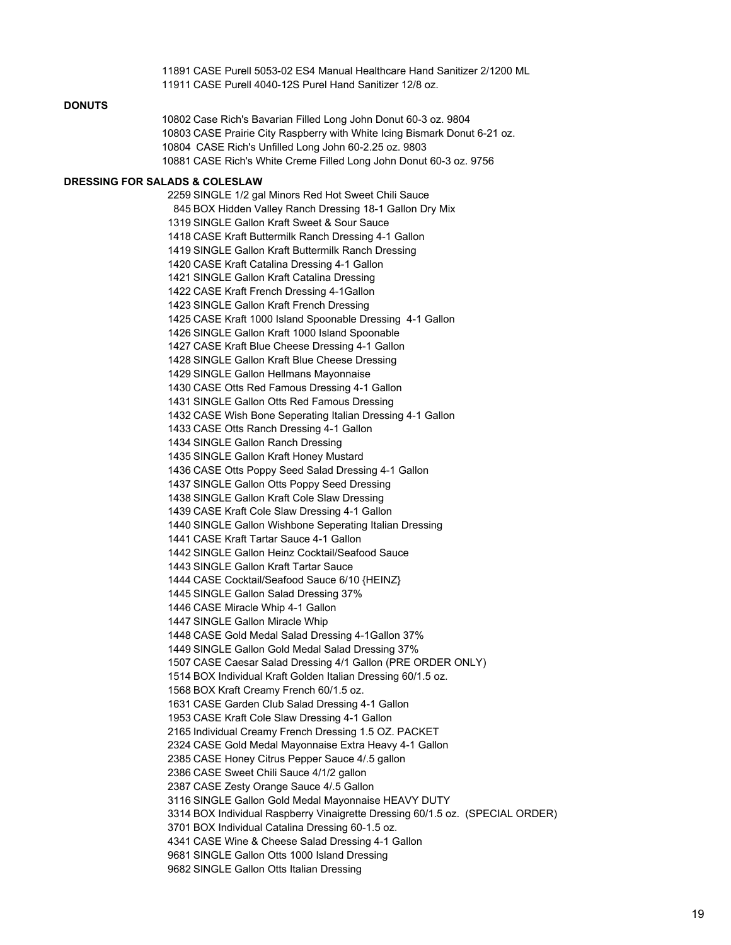CASE Purell 5053-02 ES4 Manual Healthcare Hand Sanitizer 2/1200 ML CASE Purell 4040-12S Purel Hand Sanitizer 12/8 oz.

# **DONUTS**

 Case Rich's Bavarian Filled Long John Donut 60-3 oz. 9804 CASE Prairie City Raspberry with White Icing Bismark Donut 6-21 oz. 10804 CASE Rich's Unfilled Long John 60-2.25 oz. 9803 CASE Rich's White Creme Filled Long John Donut 60-3 oz. 9756

#### **DRESSING FOR SALADS & COLESLAW**

 SINGLE 1/2 gal Minors Red Hot Sweet Chili Sauce BOX Hidden Valley Ranch Dressing 18-1 Gallon Dry Mix SINGLE Gallon Kraft Sweet & Sour Sauce CASE Kraft Buttermilk Ranch Dressing 4-1 Gallon SINGLE Gallon Kraft Buttermilk Ranch Dressing CASE Kraft Catalina Dressing 4-1 Gallon SINGLE Gallon Kraft Catalina Dressing CASE Kraft French Dressing 4-1Gallon SINGLE Gallon Kraft French Dressing CASE Kraft 1000 Island Spoonable Dressing 4-1 Gallon SINGLE Gallon Kraft 1000 Island Spoonable CASE Kraft Blue Cheese Dressing 4-1 Gallon SINGLE Gallon Kraft Blue Cheese Dressing SINGLE Gallon Hellmans Mayonnaise CASE Otts Red Famous Dressing 4-1 Gallon SINGLE Gallon Otts Red Famous Dressing CASE Wish Bone Seperating Italian Dressing 4-1 Gallon CASE Otts Ranch Dressing 4-1 Gallon SINGLE Gallon Ranch Dressing SINGLE Gallon Kraft Honey Mustard CASE Otts Poppy Seed Salad Dressing 4-1 Gallon SINGLE Gallon Otts Poppy Seed Dressing SINGLE Gallon Kraft Cole Slaw Dressing CASE Kraft Cole Slaw Dressing 4-1 Gallon SINGLE Gallon Wishbone Seperating Italian Dressing CASE Kraft Tartar Sauce 4-1 Gallon SINGLE Gallon Heinz Cocktail/Seafood Sauce SINGLE Gallon Kraft Tartar Sauce CASE Cocktail/Seafood Sauce 6/10 {HEINZ} SINGLE Gallon Salad Dressing 37% CASE Miracle Whip 4-1 Gallon SINGLE Gallon Miracle Whip CASE Gold Medal Salad Dressing 4-1Gallon 37% SINGLE Gallon Gold Medal Salad Dressing 37% CASE Caesar Salad Dressing 4/1 Gallon (PRE ORDER ONLY) BOX Individual Kraft Golden Italian Dressing 60/1.5 oz. BOX Kraft Creamy French 60/1.5 oz. CASE Garden Club Salad Dressing 4-1 Gallon CASE Kraft Cole Slaw Dressing 4-1 Gallon Individual Creamy French Dressing 1.5 OZ. PACKET CASE Gold Medal Mayonnaise Extra Heavy 4-1 Gallon CASE Honey Citrus Pepper Sauce 4/.5 gallon CASE Sweet Chili Sauce 4/1/2 gallon CASE Zesty Orange Sauce 4/.5 Gallon SINGLE Gallon Gold Medal Mayonnaise HEAVY DUTY BOX Individual Raspberry Vinaigrette Dressing 60/1.5 oz. (SPECIAL ORDER) BOX Individual Catalina Dressing 60-1.5 oz. CASE Wine & Cheese Salad Dressing 4-1 Gallon SINGLE Gallon Otts 1000 Island Dressing SINGLE Gallon Otts Italian Dressing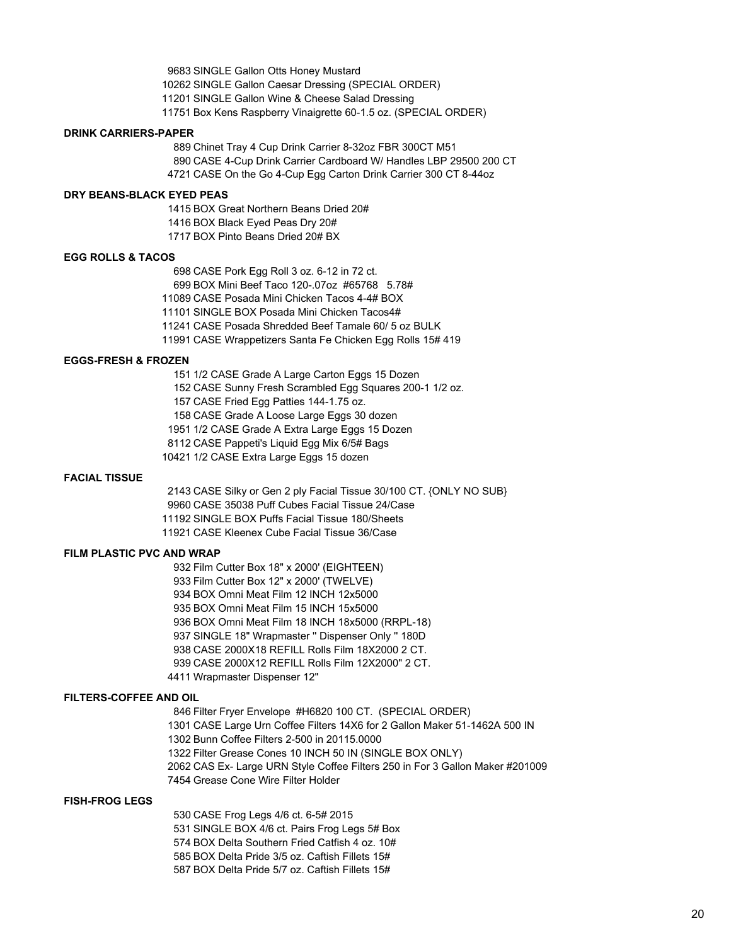SINGLE Gallon Otts Honey Mustard SINGLE Gallon Caesar Dressing (SPECIAL ORDER) SINGLE Gallon Wine & Cheese Salad Dressing Box Kens Raspberry Vinaigrette 60-1.5 oz. (SPECIAL ORDER)

#### **DRINK CARRIERS-PAPER**

 Chinet Tray 4 Cup Drink Carrier 8-32oz FBR 300CT M51 CASE 4-Cup Drink Carrier Cardboard W/ Handles LBP 29500 200 CT CASE On the Go 4-Cup Egg Carton Drink Carrier 300 CT 8-44oz

### **DRY BEANS-BLACK EYED PEAS**

 BOX Great Northern Beans Dried 20# BOX Black Eyed Peas Dry 20# BOX Pinto Beans Dried 20# BX

#### **EGG ROLLS & TACOS**

 CASE Pork Egg Roll 3 oz. 6-12 in 72 ct. BOX Mini Beef Taco 120-.07oz #65768 5.78# CASE Posada Mini Chicken Tacos 4-4# BOX SINGLE BOX Posada Mini Chicken Tacos4# CASE Posada Shredded Beef Tamale 60/ 5 oz BULK CASE Wrappetizers Santa Fe Chicken Egg Rolls 15# 419

# **EGGS-FRESH & FROZEN**

1/2 CASE Grade A Large Carton Eggs 15 Dozen

CASE Sunny Fresh Scrambled Egg Squares 200-1 1/2 oz.

CASE Fried Egg Patties 144-1.75 oz.

CASE Grade A Loose Large Eggs 30 dozen

1/2 CASE Grade A Extra Large Eggs 15 Dozen

CASE Pappeti's Liquid Egg Mix 6/5# Bags

1/2 CASE Extra Large Eggs 15 dozen

#### **FACIAL TISSUE**

CASE Silky or Gen 2 ply Facial Tissue 30/100 CT. {ONLY NO SUB}

CASE 35038 Puff Cubes Facial Tissue 24/Case

SINGLE BOX Puffs Facial Tissue 180/Sheets

CASE Kleenex Cube Facial Tissue 36/Case

#### **FILM PLASTIC PVC AND WRAP**

 Film Cutter Box 18" x 2000' (EIGHTEEN) Film Cutter Box 12" x 2000' (TWELVE) BOX Omni Meat Film 12 INCH 12x5000 BOX Omni Meat Film 15 INCH 15x5000 BOX Omni Meat Film 18 INCH 18x5000 (RRPL-18) SINGLE 18" Wrapmaster '' Dispenser Only '' 180D CASE 2000X18 REFILL Rolls Film 18X2000 2 CT. CASE 2000X12 REFILL Rolls Film 12X2000" 2 CT. Wrapmaster Dispenser 12"

#### **FILTERS-COFFEE AND OIL**

 Filter Fryer Envelope #H6820 100 CT. (SPECIAL ORDER) CASE Large Urn Coffee Filters 14X6 for 2 Gallon Maker 51-1462A 500 IN Bunn Coffee Filters 2-500 in 20115.0000 Filter Grease Cones 10 INCH 50 IN (SINGLE BOX ONLY) CAS Ex- Large URN Style Coffee Filters 250 in For 3 Gallon Maker #201009 Grease Cone Wire Filter Holder

### **FISH-FROG LEGS**

 CASE Frog Legs 4/6 ct. 6-5# 2015 SINGLE BOX 4/6 ct. Pairs Frog Legs 5# Box BOX Delta Southern Fried Catfish 4 oz. 10# BOX Delta Pride 3/5 oz. Caftish Fillets 15# BOX Delta Pride 5/7 oz. Caftish Fillets 15#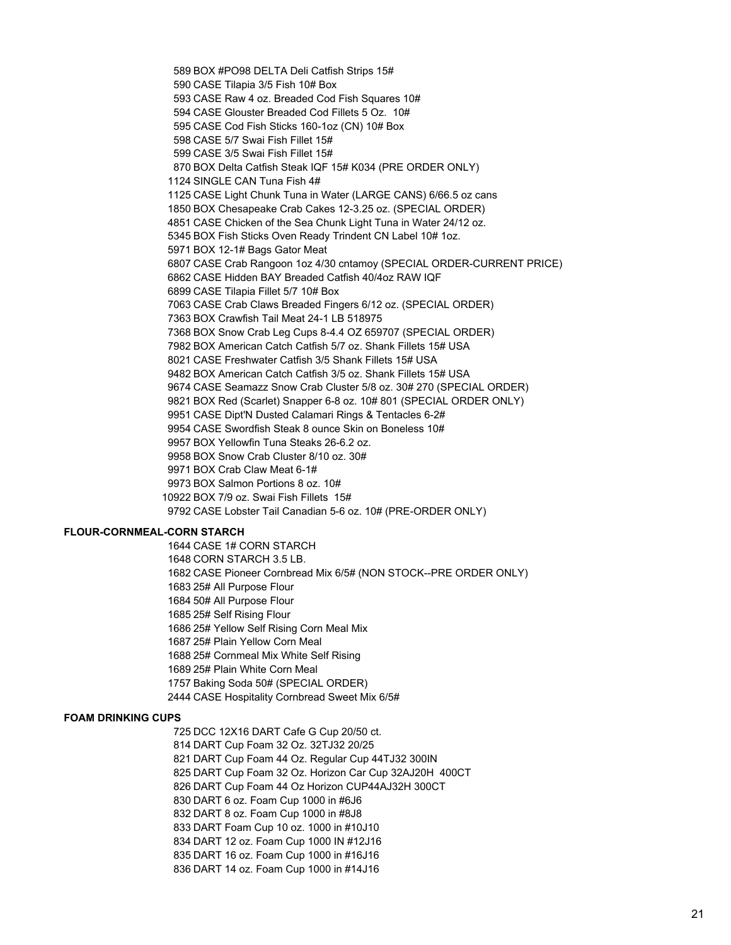BOX #PO98 DELTA Deli Catfish Strips 15# CASE Tilapia 3/5 Fish 10# Box CASE Raw 4 oz. Breaded Cod Fish Squares 10# CASE Glouster Breaded Cod Fillets 5 Oz. 10# CASE Cod Fish Sticks 160-1oz (CN) 10# Box CASE 5/7 Swai Fish Fillet 15# CASE 3/5 Swai Fish Fillet 15# BOX Delta Catfish Steak IQF 15# K034 (PRE ORDER ONLY) SINGLE CAN Tuna Fish 4# CASE Light Chunk Tuna in Water (LARGE CANS) 6/66.5 oz cans BOX Chesapeake Crab Cakes 12-3.25 oz. (SPECIAL ORDER) CASE Chicken of the Sea Chunk Light Tuna in Water 24/12 oz. BOX Fish Sticks Oven Ready Trindent CN Label 10# 1oz. BOX 12-1# Bags Gator Meat CASE Crab Rangoon 1oz 4/30 cntamoy (SPECIAL ORDER-CURRENT PRICE) CASE Hidden BAY Breaded Catfish 40/4oz RAW IQF CASE Tilapia Fillet 5/7 10# Box CASE Crab Claws Breaded Fingers 6/12 oz. (SPECIAL ORDER) BOX Crawfish Tail Meat 24-1 LB 518975 BOX Snow Crab Leg Cups 8-4.4 OZ 659707 (SPECIAL ORDER) BOX American Catch Catfish 5/7 oz. Shank Fillets 15# USA CASE Freshwater Catfish 3/5 Shank Fillets 15# USA BOX American Catch Catfish 3/5 oz. Shank Fillets 15# USA CASE Seamazz Snow Crab Cluster 5/8 oz. 30# 270 (SPECIAL ORDER) BOX Red (Scarlet) Snapper 6-8 oz. 10# 801 (SPECIAL ORDER ONLY) CASE Dipt'N Dusted Calamari Rings & Tentacles 6-2# CASE Swordfish Steak 8 ounce Skin on Boneless 10# BOX Yellowfin Tuna Steaks 26-6.2 oz. BOX Snow Crab Cluster 8/10 oz. 30# BOX Crab Claw Meat 6-1# BOX Salmon Portions 8 oz. 10# BOX 7/9 oz. Swai Fish Fillets 15# CASE Lobster Tail Canadian 5-6 oz. 10# (PRE-ORDER ONLY)

#### **FLOUR-CORNMEAL-CORN STARCH**

 CASE 1# CORN STARCH CORN STARCH 3.5 LB. CASE Pioneer Cornbread Mix 6/5# (NON STOCK--PRE ORDER ONLY) 25# All Purpose Flour 50# All Purpose Flour 25# Self Rising Flour 25# Yellow Self Rising Corn Meal Mix 25# Plain Yellow Corn Meal 25# Cornmeal Mix White Self Rising 25# Plain White Corn Meal Baking Soda 50# (SPECIAL ORDER) CASE Hospitality Cornbread Sweet Mix 6/5#

#### **FOAM DRINKING CUPS**

 DCC 12X16 DART Cafe G Cup 20/50 ct. DART Cup Foam 32 Oz. 32TJ32 20/25

DART Cup Foam 44 Oz. Regular Cup 44TJ32 300IN

DART Cup Foam 32 Oz. Horizon Car Cup 32AJ20H 400CT

DART Cup Foam 44 Oz Horizon CUP44AJ32H 300CT

DART 6 oz. Foam Cup 1000 in #6J6

DART 8 oz. Foam Cup 1000 in #8J8

DART Foam Cup 10 oz. 1000 in #10J10

DART 12 oz. Foam Cup 1000 IN #12J16

DART 16 oz. Foam Cup 1000 in #16J16

DART 14 oz. Foam Cup 1000 in #14J16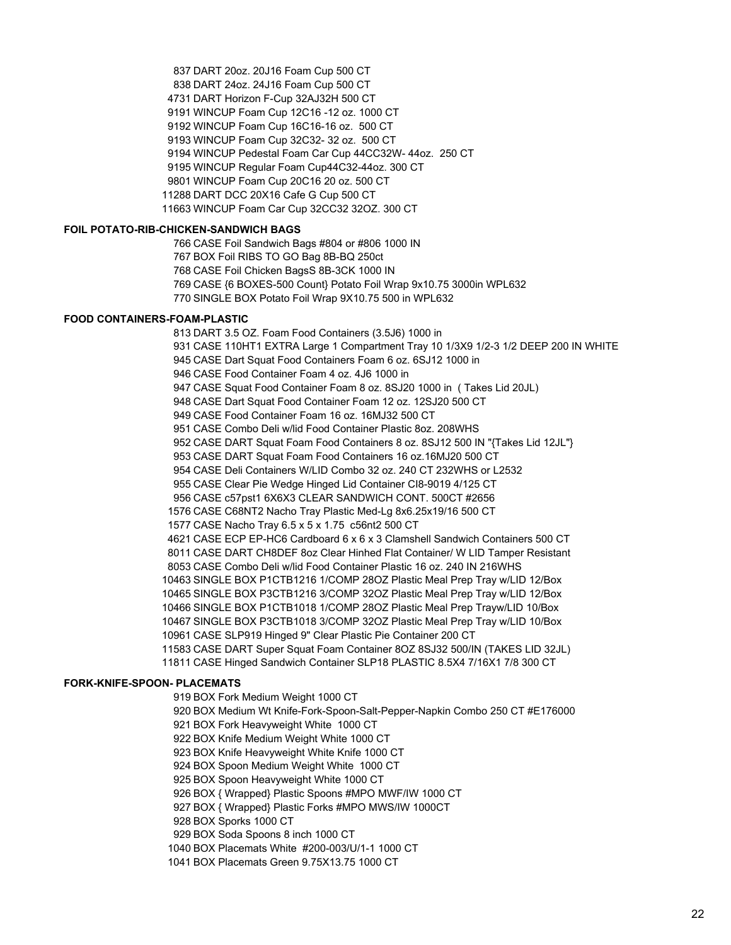DART 20oz. 20J16 Foam Cup 500 CT DART 24oz. 24J16 Foam Cup 500 CT DART Horizon F-Cup 32AJ32H 500 CT WINCUP Foam Cup 12C16 -12 oz. 1000 CT WINCUP Foam Cup 16C16-16 oz. 500 CT WINCUP Foam Cup 32C32- 32 oz. 500 CT WINCUP Pedestal Foam Car Cup 44CC32W- 44oz. 250 CT WINCUP Regular Foam Cup44C32-44oz. 300 CT WINCUP Foam Cup 20C16 20 oz. 500 CT DART DCC 20X16 Cafe G Cup 500 CT WINCUP Foam Car Cup 32CC32 32OZ. 300 CT

#### **FOIL POTATO-RIB-CHICKEN-SANDWICH BAGS**

 CASE Foil Sandwich Bags #804 or #806 1000 IN BOX Foil RIBS TO GO Bag 8B-BQ 250ct CASE Foil Chicken BagsS 8B-3CK 1000 IN CASE {6 BOXES-500 Count} Potato Foil Wrap 9x10.75 3000in WPL632 SINGLE BOX Potato Foil Wrap 9X10.75 500 in WPL632

#### **FOOD CONTAINERS-FOAM-PLASTIC**

 DART 3.5 OZ. Foam Food Containers (3.5J6) 1000 in CASE 110HT1 EXTRA Large 1 Compartment Tray 10 1/3X9 1/2-3 1/2 DEEP 200 IN WHITE CASE Dart Squat Food Containers Foam 6 oz. 6SJ12 1000 in CASE Food Container Foam 4 oz. 4J6 1000 in CASE Squat Food Container Foam 8 oz. 8SJ20 1000 in ( Takes Lid 20JL) CASE Dart Squat Food Container Foam 12 oz. 12SJ20 500 CT CASE Food Container Foam 16 oz. 16MJ32 500 CT CASE Combo Deli w/lid Food Container Plastic 8oz. 208WHS CASE DART Squat Foam Food Containers 8 oz. 8SJ12 500 IN "{Takes Lid 12JL"} CASE DART Squat Foam Food Containers 16 oz.16MJ20 500 CT CASE Deli Containers W/LID Combo 32 oz. 240 CT 232WHS or L2532 CASE Clear Pie Wedge Hinged Lid Container CI8-9019 4/125 CT CASE c57pst1 6X6X3 CLEAR SANDWICH CONT. 500CT #2656 CASE C68NT2 Nacho Tray Plastic Med-Lg 8x6.25x19/16 500 CT CASE Nacho Tray 6.5 x 5 x 1.75 c56nt2 500 CT CASE ECP EP-HC6 Cardboard 6 x 6 x 3 Clamshell Sandwich Containers 500 CT CASE DART CH8DEF 8oz Clear Hinhed Flat Container/ W LID Tamper Resistant CASE Combo Deli w/lid Food Container Plastic 16 oz. 240 IN 216WHS SINGLE BOX P1CTB1216 1/COMP 28OZ Plastic Meal Prep Tray w/LID 12/Box SINGLE BOX P3CTB1216 3/COMP 32OZ Plastic Meal Prep Tray w/LID 12/Box SINGLE BOX P1CTB1018 1/COMP 28OZ Plastic Meal Prep Trayw/LID 10/Box SINGLE BOX P3CTB1018 3/COMP 32OZ Plastic Meal Prep Tray w/LID 10/Box CASE SLP919 Hinged 9" Clear Plastic Pie Container 200 CT CASE DART Super Squat Foam Container 8OZ 8SJ32 500/IN (TAKES LID 32JL) CASE Hinged Sandwich Container SLP18 PLASTIC 8.5X4 7/16X1 7/8 300 CT

#### **FORK-KNIFE-SPOON- PLACEMATS**

BOX Fork Medium Weight 1000 CT

BOX Medium Wt Knife-Fork-Spoon-Salt-Pepper-Napkin Combo 250 CT #E176000

BOX Fork Heavyweight White 1000 CT

BOX Knife Medium Weight White 1000 CT

BOX Knife Heavyweight White Knife 1000 CT

BOX Spoon Medium Weight White 1000 CT

BOX Spoon Heavyweight White 1000 CT

BOX { Wrapped} Plastic Spoons #MPO MWF/IW 1000 CT

BOX { Wrapped} Plastic Forks #MPO MWS/IW 1000CT

BOX Sporks 1000 CT

BOX Soda Spoons 8 inch 1000 CT

BOX Placemats White #200-003/U/1-1 1000 CT

BOX Placemats Green 9.75X13.75 1000 CT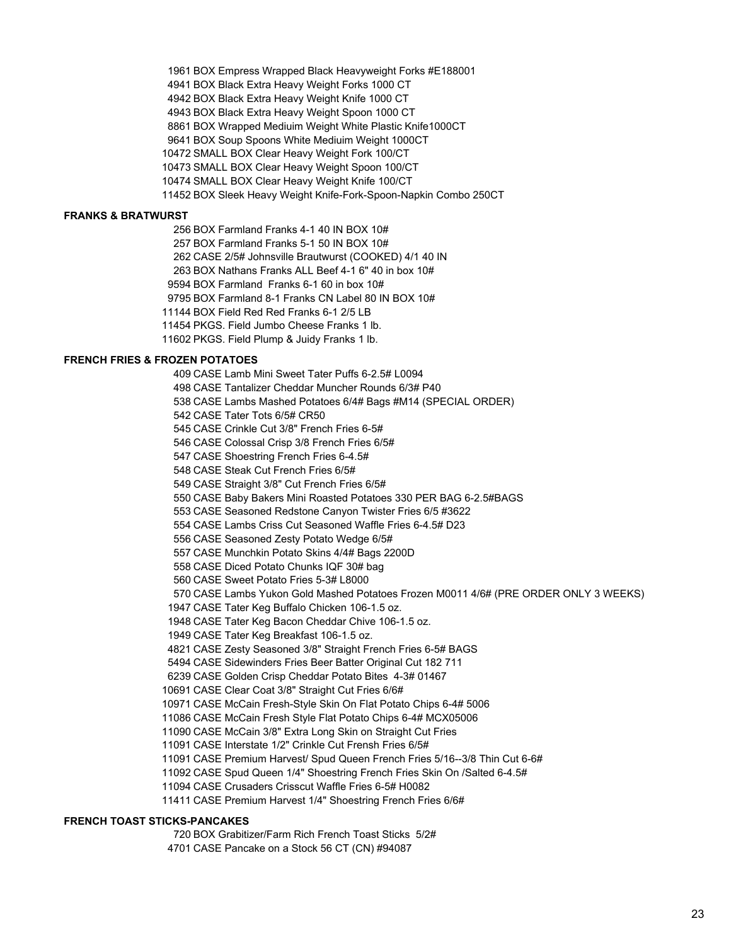BOX Empress Wrapped Black Heavyweight Forks #E188001 BOX Black Extra Heavy Weight Forks 1000 CT BOX Black Extra Heavy Weight Knife 1000 CT BOX Black Extra Heavy Weight Spoon 1000 CT BOX Wrapped Mediuim Weight White Plastic Knife1000CT BOX Soup Spoons White Mediuim Weight 1000CT SMALL BOX Clear Heavy Weight Fork 100/CT SMALL BOX Clear Heavy Weight Spoon 100/CT SMALL BOX Clear Heavy Weight Knife 100/CT BOX Sleek Heavy Weight Knife-Fork-Spoon-Napkin Combo 250CT

# **FRANKS & BRATWURST**

 BOX Farmland Franks 4-1 40 IN BOX 10# BOX Farmland Franks 5-1 50 IN BOX 10# CASE 2/5# Johnsville Brautwurst (COOKED) 4/1 40 IN BOX Nathans Franks ALL Beef 4-1 6" 40 in box 10# BOX Farmland Franks 6-1 60 in box 10# BOX Farmland 8-1 Franks CN Label 80 IN BOX 10# BOX Field Red Red Franks 6-1 2/5 LB

PKGS. Field Jumbo Cheese Franks 1 lb.

PKGS. Field Plump & Juidy Franks 1 lb.

# **FRENCH FRIES & FROZEN POTATOES**

 CASE Lamb Mini Sweet Tater Puffs 6-2.5# L0094 CASE Tantalizer Cheddar Muncher Rounds 6/3# P40 CASE Lambs Mashed Potatoes 6/4# Bags #M14 (SPECIAL ORDER) CASE Tater Tots 6/5# CR50 CASE Crinkle Cut 3/8" French Fries 6-5# CASE Colossal Crisp 3/8 French Fries 6/5# CASE Shoestring French Fries 6-4.5# CASE Steak Cut French Fries 6/5# CASE Straight 3/8" Cut French Fries 6/5# CASE Baby Bakers Mini Roasted Potatoes 330 PER BAG 6-2.5#BAGS CASE Seasoned Redstone Canyon Twister Fries 6/5 #3622 CASE Lambs Criss Cut Seasoned Waffle Fries 6-4.5# D23 CASE Seasoned Zesty Potato Wedge 6/5# CASE Munchkin Potato Skins 4/4# Bags 2200D CASE Diced Potato Chunks IQF 30# bag CASE Sweet Potato Fries 5-3# L8000 CASE Lambs Yukon Gold Mashed Potatoes Frozen M0011 4/6# (PRE ORDER ONLY 3 WEEKS) CASE Tater Keg Buffalo Chicken 106-1.5 oz. CASE Tater Keg Bacon Cheddar Chive 106-1.5 oz. CASE Tater Keg Breakfast 106-1.5 oz. CASE Zesty Seasoned 3/8" Straight French Fries 6-5# BAGS CASE Sidewinders Fries Beer Batter Original Cut 182 711 CASE Golden Crisp Cheddar Potato Bites 4-3# 01467 CASE Clear Coat 3/8" Straight Cut Fries 6/6# CASE McCain Fresh-Style Skin On Flat Potato Chips 6-4# 5006 CASE McCain Fresh Style Flat Potato Chips 6-4# MCX05006 CASE McCain 3/8" Extra Long Skin on Straight Cut Fries CASE Interstate 1/2" Crinkle Cut Frensh Fries 6/5# CASE Premium Harvest/ Spud Queen French Fries 5/16--3/8 Thin Cut 6-6# CASE Spud Queen 1/4" Shoestring French Fries Skin On /Salted 6-4.5# CASE Crusaders Crisscut Waffle Fries 6-5# H0082 CASE Premium Harvest 1/4" Shoestring French Fries 6/6#

# **FRENCH TOAST STICKS-PANCAKES**

BOX Grabitizer/Farm Rich French Toast Sticks 5/2#

CASE Pancake on a Stock 56 CT (CN) #94087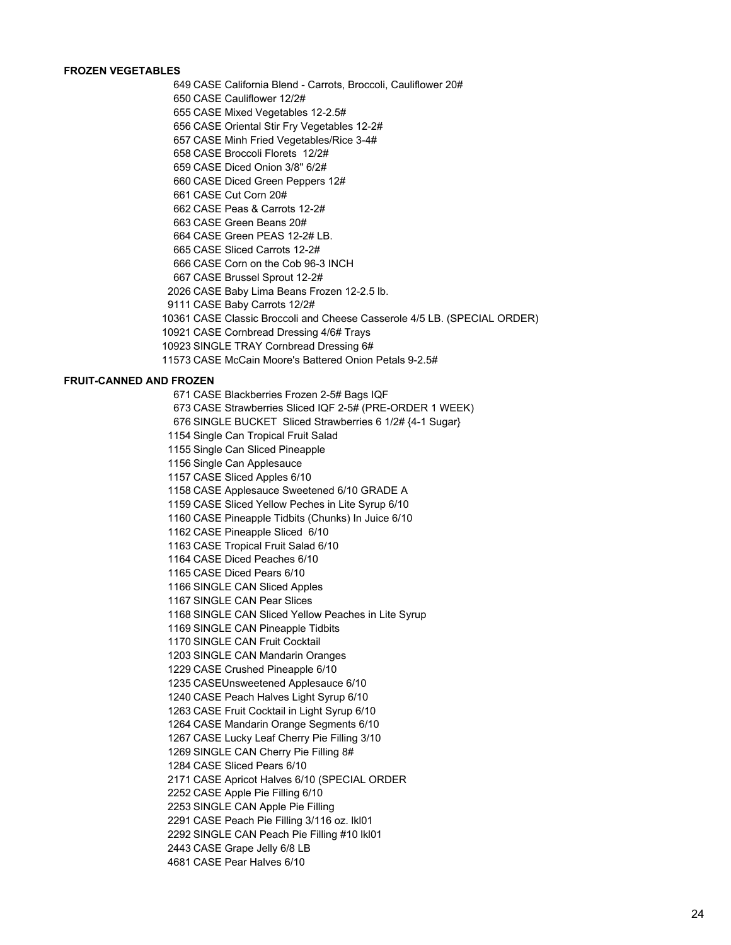# **FROZEN VEGETABLES**

CASE California Blend - Carrots, Broccoli, Cauliflower 20#

CASE Cauliflower 12/2#

CASE Mixed Vegetables 12-2.5#

CASE Oriental Stir Fry Vegetables 12-2#

CASE Minh Fried Vegetables/Rice 3-4#

CASE Broccoli Florets 12/2#

CASE Diced Onion 3/8" 6/2#

CASE Diced Green Peppers 12#

CASE Cut Corn 20#

CASE Peas & Carrots 12-2#

CASE Green Beans 20#

CASE Green PEAS 12-2# LB.

CASE Sliced Carrots 12-2#

CASE Corn on the Cob 96-3 INCH

CASE Brussel Sprout 12-2#

CASE Baby Lima Beans Frozen 12-2.5 lb.

CASE Baby Carrots 12/2#

CASE Classic Broccoli and Cheese Casserole 4/5 LB. (SPECIAL ORDER)

CASE Cornbread Dressing 4/6# Trays

SINGLE TRAY Cornbread Dressing 6#

CASE McCain Moore's Battered Onion Petals 9-2.5#

#### **FRUIT-CANNED AND FROZEN**

 CASE Blackberries Frozen 2-5# Bags IQF CASE Strawberries Sliced IQF 2-5# (PRE-ORDER 1 WEEK) SINGLE BUCKET Sliced Strawberries 6 1/2# {4-1 Sugar} Single Can Tropical Fruit Salad Single Can Sliced Pineapple Single Can Applesauce CASE Sliced Apples 6/10 CASE Applesauce Sweetened 6/10 GRADE A CASE Sliced Yellow Peches in Lite Syrup 6/10 CASE Pineapple Tidbits (Chunks) In Juice 6/10 CASE Pineapple Sliced 6/10 CASE Tropical Fruit Salad 6/10 CASE Diced Peaches 6/10 CASE Diced Pears 6/10 SINGLE CAN Sliced Apples SINGLE CAN Pear Slices SINGLE CAN Sliced Yellow Peaches in Lite Syrup SINGLE CAN Pineapple Tidbits SINGLE CAN Fruit Cocktail SINGLE CAN Mandarin Oranges CASE Crushed Pineapple 6/10 CASEUnsweetened Applesauce 6/10 CASE Peach Halves Light Syrup 6/10 CASE Fruit Cocktail in Light Syrup 6/10 CASE Mandarin Orange Segments 6/10 CASE Lucky Leaf Cherry Pie Filling 3/10 SINGLE CAN Cherry Pie Filling 8# CASE Sliced Pears 6/10 CASE Apricot Halves 6/10 (SPECIAL ORDER CASE Apple Pie Filling 6/10 SINGLE CAN Apple Pie Filling CASE Peach Pie Filling 3/116 oz. lkl01

SINGLE CAN Peach Pie Filling #10 lkl01

CASE Grape Jelly 6/8 LB

CASE Pear Halves 6/10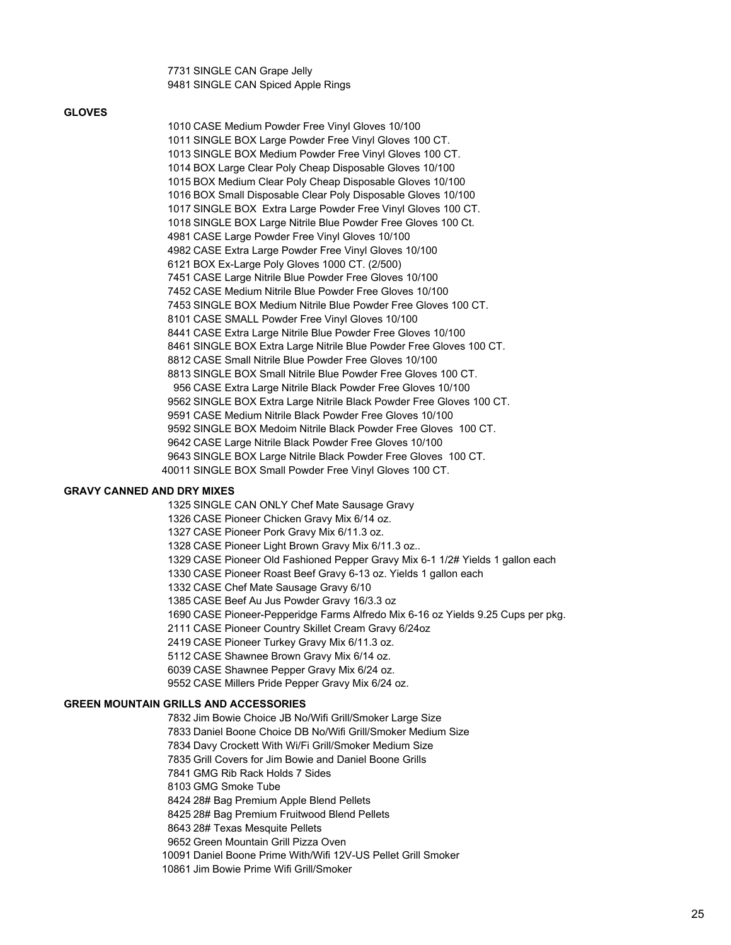SINGLE CAN Grape Jelly SINGLE CAN Spiced Apple Rings

#### **GLOVES**

 CASE Medium Powder Free Vinyl Gloves 10/100 SINGLE BOX Large Powder Free Vinyl Gloves 100 CT. SINGLE BOX Medium Powder Free Vinyl Gloves 100 CT. BOX Large Clear Poly Cheap Disposable Gloves 10/100 BOX Medium Clear Poly Cheap Disposable Gloves 10/100 BOX Small Disposable Clear Poly Disposable Gloves 10/100 SINGLE BOX Extra Large Powder Free Vinyl Gloves 100 CT. SINGLE BOX Large Nitrile Blue Powder Free Gloves 100 Ct. CASE Large Powder Free Vinyl Gloves 10/100 CASE Extra Large Powder Free Vinyl Gloves 10/100 BOX Ex-Large Poly Gloves 1000 CT. (2/500) CASE Large Nitrile Blue Powder Free Gloves 10/100 CASE Medium Nitrile Blue Powder Free Gloves 10/100 SINGLE BOX Medium Nitrile Blue Powder Free Gloves 100 CT. CASE SMALL Powder Free Vinyl Gloves 10/100 CASE Extra Large Nitrile Blue Powder Free Gloves 10/100 SINGLE BOX Extra Large Nitrile Blue Powder Free Gloves 100 CT. CASE Small Nitrile Blue Powder Free Gloves 10/100 SINGLE BOX Small Nitrile Blue Powder Free Gloves 100 CT. CASE Extra Large Nitrile Black Powder Free Gloves 10/100 SINGLE BOX Extra Large Nitrile Black Powder Free Gloves 100 CT. CASE Medium Nitrile Black Powder Free Gloves 10/100 SINGLE BOX Medoim Nitrile Black Powder Free Gloves 100 CT. CASE Large Nitrile Black Powder Free Gloves 10/100 SINGLE BOX Large Nitrile Black Powder Free Gloves 100 CT. SINGLE BOX Small Powder Free Vinyl Gloves 100 CT.

#### **GRAVY CANNED AND DRY MIXES**

 SINGLE CAN ONLY Chef Mate Sausage Gravy CASE Pioneer Chicken Gravy Mix 6/14 oz. CASE Pioneer Pork Gravy Mix 6/11.3 oz. CASE Pioneer Light Brown Gravy Mix 6/11.3 oz.. CASE Pioneer Old Fashioned Pepper Gravy Mix 6-1 1/2# Yields 1 gallon each CASE Pioneer Roast Beef Gravy 6-13 oz. Yields 1 gallon each CASE Chef Mate Sausage Gravy 6/10 CASE Beef Au Jus Powder Gravy 16/3.3 oz CASE Pioneer-Pepperidge Farms Alfredo Mix 6-16 oz Yields 9.25 Cups per pkg. CASE Pioneer Country Skillet Cream Gravy 6/24oz CASE Pioneer Turkey Gravy Mix 6/11.3 oz. CASE Shawnee Brown Gravy Mix 6/14 oz. CASE Shawnee Pepper Gravy Mix 6/24 oz. CASE Millers Pride Pepper Gravy Mix 6/24 oz.

# **GREEN MOUNTAIN GRILLS AND ACCESSORIES**

 Jim Bowie Choice JB No/Wifi Grill/Smoker Large Size Daniel Boone Choice DB No/Wifi Grill/Smoker Medium Size Davy Crockett With Wi/Fi Grill/Smoker Medium Size Grill Covers for Jim Bowie and Daniel Boone Grills GMG Rib Rack Holds 7 Sides GMG Smoke Tube 28# Bag Premium Apple Blend Pellets 28# Bag Premium Fruitwood Blend Pellets 28# Texas Mesquite Pellets Green Mountain Grill Pizza Oven Daniel Boone Prime With/Wifi 12V-US Pellet Grill Smoker Jim Bowie Prime Wifi Grill/Smoker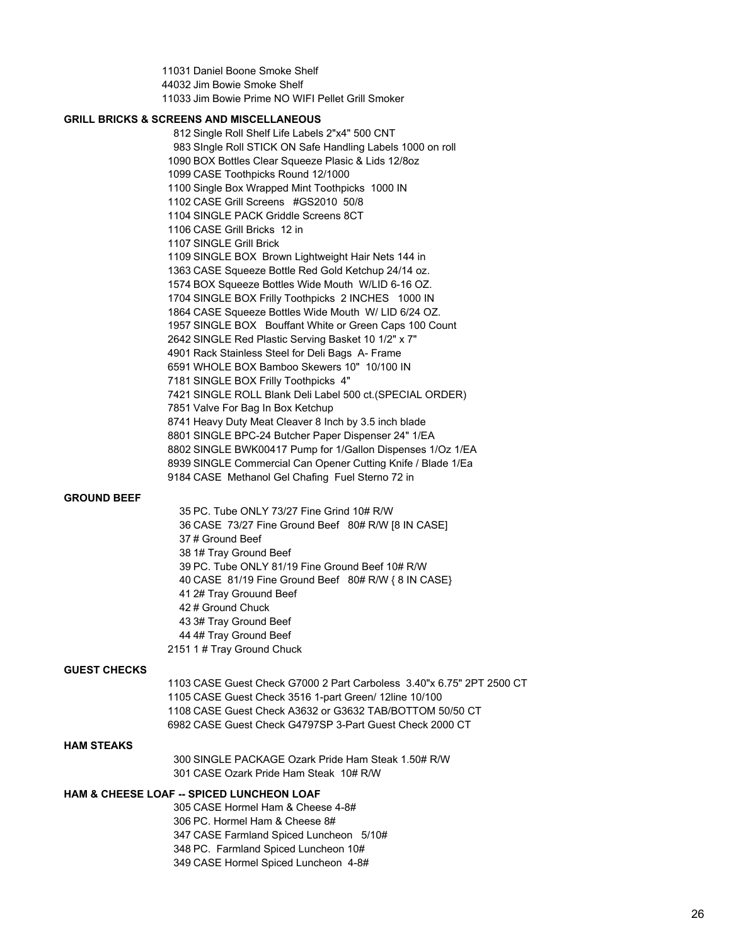Daniel Boone Smoke Shelf Jim Bowie Smoke Shelf Jim Bowie Prime NO WIFI Pellet Grill Smoker

#### **GRILL BRICKS & SCREENS AND MISCELLANEOUS**

 Single Roll Shelf Life Labels 2"x4" 500 CNT SIngle Roll STICK ON Safe Handling Labels 1000 on roll BOX Bottles Clear Squeeze Plasic & Lids 12/8oz CASE Toothpicks Round 12/1000 Single Box Wrapped Mint Toothpicks 1000 IN CASE Grill Screens #GS2010 50/8 SINGLE PACK Griddle Screens 8CT CASE Grill Bricks 12 in SINGLE Grill Brick SINGLE BOX Brown Lightweight Hair Nets 144 in CASE Squeeze Bottle Red Gold Ketchup 24/14 oz. BOX Squeeze Bottles Wide Mouth W/LID 6-16 OZ. SINGLE BOX Frilly Toothpicks 2 INCHES 1000 IN CASE Squeeze Bottles Wide Mouth W/ LID 6/24 OZ. SINGLE BOX Bouffant White or Green Caps 100 Count SINGLE Red Plastic Serving Basket 10 1/2" x 7" Rack Stainless Steel for Deli Bags A- Frame WHOLE BOX Bamboo Skewers 10" 10/100 IN SINGLE BOX Frilly Toothpicks 4" SINGLE ROLL Blank Deli Label 500 ct.(SPECIAL ORDER) Valve For Bag In Box Ketchup Heavy Duty Meat Cleaver 8 Inch by 3.5 inch blade SINGLE BPC-24 Butcher Paper Dispenser 24" 1/EA SINGLE BWK00417 Pump for 1/Gallon Dispenses 1/Oz 1/EA SINGLE Commercial Can Opener Cutting Knife / Blade 1/Ea CASE Methanol Gel Chafing Fuel Sterno 72 in

#### **GROUND BEEF**

 PC. Tube ONLY 73/27 Fine Grind 10# R/W CASE 73/27 Fine Ground Beef 80# R/W [8 IN CASE] # Ground Beef 1# Tray Ground Beef PC. Tube ONLY 81/19 Fine Ground Beef 10# R/W CASE 81/19 Fine Ground Beef 80# R/W { 8 IN CASE} 2# Tray Grouund Beef # Ground Chuck 3# Tray Ground Beef 4# Tray Ground Beef 1 # Tray Ground Chuck

#### **GUEST CHECKS**

 CASE Guest Check G7000 2 Part Carboless 3.40"x 6.75" 2PT 2500 CT CASE Guest Check 3516 1-part Green/ 12line 10/100 CASE Guest Check A3632 or G3632 TAB/BOTTOM 50/50 CT CASE Guest Check G4797SP 3-Part Guest Check 2000 CT

#### **HAM STEAKS**

 SINGLE PACKAGE Ozark Pride Ham Steak 1.50# R/W CASE Ozark Pride Ham Steak 10# R/W

# **HAM & CHEESE LOAF -- SPICED LUNCHEON LOAF**

 CASE Hormel Ham & Cheese 4-8# PC. Hormel Ham & Cheese 8# CASE Farmland Spiced Luncheon 5/10# PC. Farmland Spiced Luncheon 10# CASE Hormel Spiced Luncheon 4-8#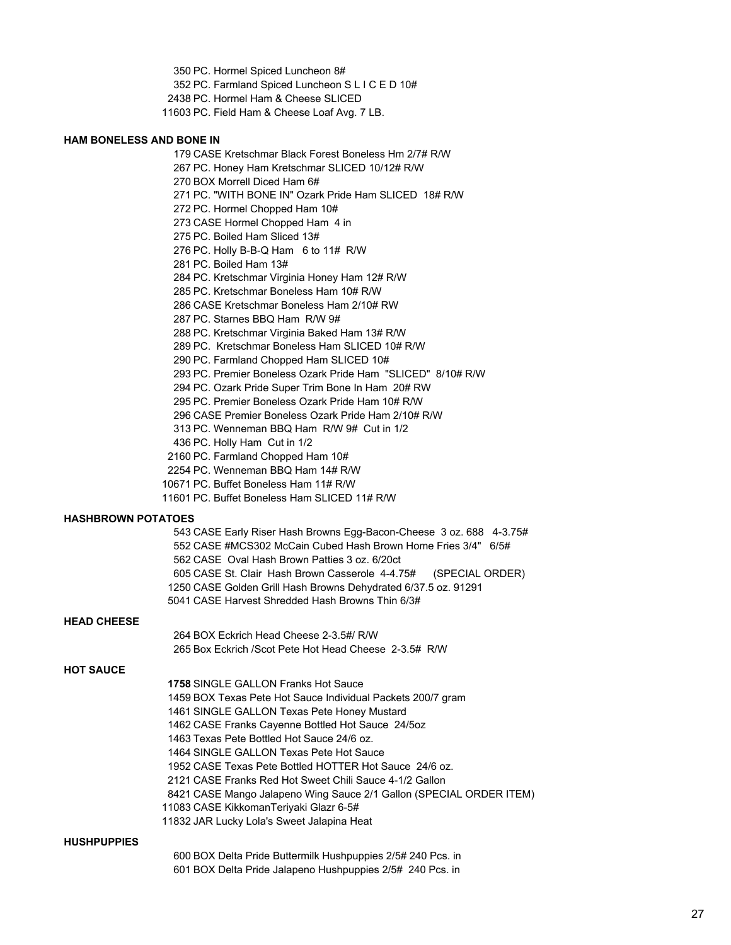PC. Hormel Spiced Luncheon 8#

PC. Farmland Spiced Luncheon S L I C E D 10#

PC. Hormel Ham & Cheese SLICED

PC. Field Ham & Cheese Loaf Avg. 7 LB.

# **HAM BONELESS AND BONE IN**

 CASE Kretschmar Black Forest Boneless Hm 2/7# R/W PC. Honey Ham Kretschmar SLICED 10/12# R/W BOX Morrell Diced Ham 6# PC. "WITH BONE IN" Ozark Pride Ham SLICED 18# R/W PC. Hormel Chopped Ham 10# CASE Hormel Chopped Ham 4 in PC. Boiled Ham Sliced 13# PC. Holly B-B-Q Ham 6 to 11# R/W PC. Boiled Ham 13# PC. Kretschmar Virginia Honey Ham 12# R/W PC. Kretschmar Boneless Ham 10# R/W CASE Kretschmar Boneless Ham 2/10# RW PC. Starnes BBQ Ham R/W 9# PC. Kretschmar Virginia Baked Ham 13# R/W PC. Kretschmar Boneless Ham SLICED 10# R/W PC. Farmland Chopped Ham SLICED 10# PC. Premier Boneless Ozark Pride Ham "SLICED" 8/10# R/W PC. Ozark Pride Super Trim Bone In Ham 20# RW PC. Premier Boneless Ozark Pride Ham 10# R/W CASE Premier Boneless Ozark Pride Ham 2/10# R/W PC. Wenneman BBQ Ham R/W 9# Cut in 1/2 PC. Holly Ham Cut in 1/2 PC. Farmland Chopped Ham 10# PC. Wenneman BBQ Ham 14# R/W

PC. Buffet Boneless Ham 11# R/W

PC. Buffet Boneless Ham SLICED 11# R/W

# **HASHBROWN POTATOES**

| 543 CASE Early Riser Hash Browns Egg-Bacon-Cheese 3 oz. 688 4-3.75# |
|---------------------------------------------------------------------|
| 552 CASE #MCS302 McCain Cubed Hash Brown Home Fries 3/4" 6/5#       |
| 562 CASE Oval Hash Brown Patties 3 oz. 6/20ct                       |
| 605 CASE St. Clair Hash Brown Casserole 4-4.75# (SPECIAL ORDER)     |
| 1250 CASE Golden Grill Hash Browns Dehydrated 6/37.5 oz. 91291      |
| 5041 CASE Harvest Shredded Hash Browns Thin 6/3#                    |

#### **HEAD CHEESE**

|                  | 264 BOX Eckrich Head Cheese 2-3.5#/ R/W                             |
|------------------|---------------------------------------------------------------------|
|                  | 265 Box Eckrich / Scot Pete Hot Head Cheese 2-3.5# R/W              |
| <b>HOT SAUCE</b> |                                                                     |
|                  | <b>1758 SINGLE GALLON Franks Hot Sauce</b>                          |
|                  | 1459 BOX Texas Pete Hot Sauce Individual Packets 200/7 gram         |
|                  | 1461 SINGLE GALLON Texas Pete Honey Mustard                         |
|                  | 1462 CASE Franks Cayenne Bottled Hot Sauce 24/50z                   |
|                  | 1463 Texas Pete Bottled Hot Sauce 24/6 oz.                          |
|                  | 1464 SINGLE GALLON Texas Pete Hot Sauce                             |
|                  | 1952 CASE Texas Pete Bottled HOTTER Hot Sauce 24/6 oz.              |
|                  | 2121 CASE Franks Red Hot Sweet Chili Sauce 4-1/2 Gallon             |
|                  | 8421 CASE Mango Jalapeno Wing Sauce 2/1 Gallon (SPECIAL ORDER ITEM) |
|                  | 11083 CASE KikkomanTeriyaki Glazr 6-5#                              |
|                  |                                                                     |

JAR Lucky Lola's Sweet Jalapina Heat

#### **HUSHPUPPIES**

 BOX Delta Pride Buttermilk Hushpuppies 2/5# 240 Pcs. in BOX Delta Pride Jalapeno Hushpuppies 2/5# 240 Pcs. in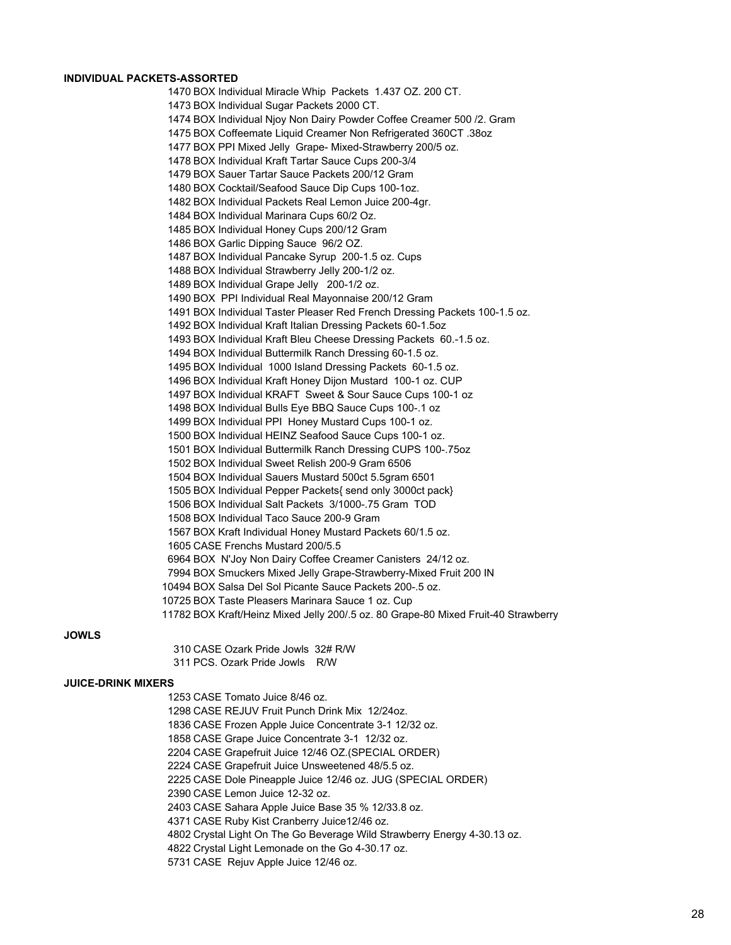#### **INDIVIDUAL PACKETS-ASSORTED**

 BOX Individual Miracle Whip Packets 1.437 OZ. 200 CT. BOX Individual Sugar Packets 2000 CT. BOX Individual Njoy Non Dairy Powder Coffee Creamer 500 /2. Gram BOX Coffeemate Liquid Creamer Non Refrigerated 360CT .38oz BOX PPI Mixed Jelly Grape- Mixed-Strawberry 200/5 oz. BOX Individual Kraft Tartar Sauce Cups 200-3/4 BOX Sauer Tartar Sauce Packets 200/12 Gram BOX Cocktail/Seafood Sauce Dip Cups 100-1oz. BOX Individual Packets Real Lemon Juice 200-4gr. BOX Individual Marinara Cups 60/2 Oz. BOX Individual Honey Cups 200/12 Gram BOX Garlic Dipping Sauce 96/2 OZ. BOX Individual Pancake Syrup 200-1.5 oz. Cups BOX Individual Strawberry Jelly 200-1/2 oz. BOX Individual Grape Jelly 200-1/2 oz. BOX PPI Individual Real Mayonnaise 200/12 Gram BOX Individual Taster Pleaser Red French Dressing Packets 100-1.5 oz. BOX Individual Kraft Italian Dressing Packets 60-1.5oz BOX Individual Kraft Bleu Cheese Dressing Packets 60.-1.5 oz. BOX Individual Buttermilk Ranch Dressing 60-1.5 oz. BOX Individual 1000 Island Dressing Packets 60-1.5 oz. BOX Individual Kraft Honey Dijon Mustard 100-1 oz. CUP BOX Individual KRAFT Sweet & Sour Sauce Cups 100-1 oz BOX Individual Bulls Eye BBQ Sauce Cups 100-.1 oz BOX Individual PPI Honey Mustard Cups 100-1 oz. BOX Individual HEINZ Seafood Sauce Cups 100-1 oz. BOX Individual Buttermilk Ranch Dressing CUPS 100-.75oz BOX Individual Sweet Relish 200-9 Gram 6506 BOX Individual Sauers Mustard 500ct 5.5gram 6501 BOX Individual Pepper Packets{ send only 3000ct pack} BOX Individual Salt Packets 3/1000-.75 Gram TOD BOX Individual Taco Sauce 200-9 Gram BOX Kraft Individual Honey Mustard Packets 60/1.5 oz. CASE Frenchs Mustard 200/5.5 BOX N'Joy Non Dairy Coffee Creamer Canisters 24/12 oz. BOX Smuckers Mixed Jelly Grape-Strawberry-Mixed Fruit 200 IN BOX Salsa Del Sol Picante Sauce Packets 200-.5 oz. BOX Taste Pleasers Marinara Sauce 1 oz. Cup BOX Kraft/Heinz Mixed Jelly 200/.5 oz. 80 Grape-80 Mixed Fruit-40 Strawberry

#### **JOWLS**

 CASE Ozark Pride Jowls 32# R/W PCS. Ozark Pride Jowls R/W

#### **JUICE-DRINK MIXERS**

 CASE Tomato Juice 8/46 oz. CASE REJUV Fruit Punch Drink Mix 12/24oz. CASE Frozen Apple Juice Concentrate 3-1 12/32 oz. CASE Grape Juice Concentrate 3-1 12/32 oz. CASE Grapefruit Juice 12/46 OZ.(SPECIAL ORDER) CASE Grapefruit Juice Unsweetened 48/5.5 oz. CASE Dole Pineapple Juice 12/46 oz. JUG (SPECIAL ORDER) CASE Lemon Juice 12-32 oz. CASE Sahara Apple Juice Base 35 % 12/33.8 oz. CASE Ruby Kist Cranberry Juice12/46 oz. Crystal Light On The Go Beverage Wild Strawberry Energy 4-30.13 oz. Crystal Light Lemonade on the Go 4-30.17 oz. CASE Rejuv Apple Juice 12/46 oz.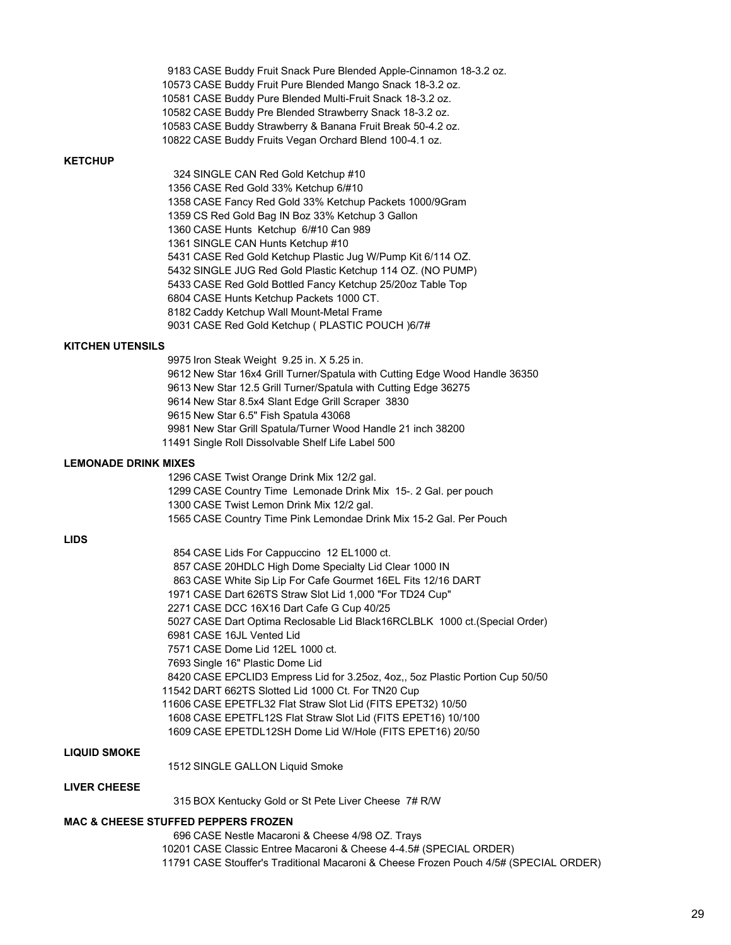|                             | 9183 CASE Buddy Fruit Snack Pure Blended Apple-Cinnamon 18-3.2 oz.                                                       |
|-----------------------------|--------------------------------------------------------------------------------------------------------------------------|
|                             | 10573 CASE Buddy Fruit Pure Blended Mango Snack 18-3.2 oz.                                                               |
|                             | 10581 CASE Buddy Pure Blended Multi-Fruit Snack 18-3.2 oz.                                                               |
|                             | 10582 CASE Buddy Pre Blended Strawberry Snack 18-3.2 oz.                                                                 |
|                             | 10583 CASE Buddy Strawberry & Banana Fruit Break 50-4.2 oz.                                                              |
|                             | 10822 CASE Buddy Fruits Vegan Orchard Blend 100-4.1 oz.                                                                  |
| <b>KETCHUP</b>              |                                                                                                                          |
|                             | 324 SINGLE CAN Red Gold Ketchup #10                                                                                      |
|                             | 1356 CASE Red Gold 33% Ketchup 6/#10                                                                                     |
|                             | 1358 CASE Fancy Red Gold 33% Ketchup Packets 1000/9Gram                                                                  |
|                             | 1359 CS Red Gold Bag IN Boz 33% Ketchup 3 Gallon                                                                         |
|                             | 1360 CASE Hunts Ketchup 6/#10 Can 989                                                                                    |
|                             | 1361 SINGLE CAN Hunts Ketchup #10                                                                                        |
|                             | 5431 CASE Red Gold Ketchup Plastic Jug W/Pump Kit 6/114 OZ.                                                              |
|                             | 5432 SINGLE JUG Red Gold Plastic Ketchup 114 OZ. (NO PUMP)                                                               |
|                             | 5433 CASE Red Gold Bottled Fancy Ketchup 25/20oz Table Top                                                               |
|                             | 6804 CASE Hunts Ketchup Packets 1000 CT.                                                                                 |
|                             | 8182 Caddy Ketchup Wall Mount-Metal Frame                                                                                |
|                             | 9031 CASE Red Gold Ketchup ( PLASTIC POUCH )6/7#                                                                         |
|                             |                                                                                                                          |
| <b>KITCHEN UTENSILS</b>     |                                                                                                                          |
|                             | 9975 Iron Steak Weight 9.25 in. X 5.25 in.                                                                               |
|                             | 9612 New Star 16x4 Grill Turner/Spatula with Cutting Edge Wood Handle 36350                                              |
|                             | 9613 New Star 12.5 Grill Turner/Spatula with Cutting Edge 36275                                                          |
|                             | 9614 New Star 8.5x4 Slant Edge Grill Scraper 3830                                                                        |
|                             | 9615 New Star 6.5" Fish Spatula 43068                                                                                    |
|                             | 9981 New Star Grill Spatula/Turner Wood Handle 21 inch 38200                                                             |
|                             | 11491 Single Roll Dissolvable Shelf Life Label 500                                                                       |
|                             |                                                                                                                          |
| <b>LEMONADE DRINK MIXES</b> |                                                                                                                          |
|                             | 1296 CASE Twist Orange Drink Mix 12/2 gal.                                                                               |
|                             | 1299 CASE Country Time Lemonade Drink Mix 15-. 2 Gal. per pouch                                                          |
|                             | 1300 CASE Twist Lemon Drink Mix 12/2 gal.                                                                                |
|                             | 1565 CASE Country Time Pink Lemondae Drink Mix 15-2 Gal. Per Pouch                                                       |
|                             |                                                                                                                          |
| <b>LIDS</b>                 |                                                                                                                          |
|                             | 854 CASE Lids For Cappuccino 12 EL1000 ct.                                                                               |
|                             | 857 CASE 20HDLC High Dome Specialty Lid Clear 1000 IN                                                                    |
|                             | 863 CASE White Sip Lip For Cafe Gourmet 16EL Fits 12/16 DART                                                             |
|                             | 1971 CASE Dart 626TS Straw Slot Lid 1,000 "For TD24 Cup"                                                                 |
|                             | 2271 CASE DCC 16X16 Dart Cafe G Cup 40/25                                                                                |
|                             | 5027 CASE Dart Optima Reclosable Lid Black16RCLBLK 1000 ct.(Special Order)                                               |
|                             | 6981 CASE 16JL Vented Lid                                                                                                |
|                             | 7571 CASE Dome Lid 12EL 1000 ct.                                                                                         |
|                             | 7693 Single 16" Plastic Dome Lid                                                                                         |
|                             | 8420 CASE EPCLID3 Empress Lid for 3.25oz, 4oz,, 5oz Plastic Portion Cup 50/50                                            |
|                             | 11542 DART 662TS Slotted Lid 1000 Ct. For TN20 Cup                                                                       |
|                             | 11606 CASE EPETFL32 Flat Straw Slot Lid (FITS EPET32) 10/50                                                              |
|                             | 1608 CASE EPETFL12S Flat Straw Slot Lid (FITS EPET16) 10/100<br>1609 CASE EPETDL12SH Dome Lid W/Hole (FITS EPET16) 20/50 |
|                             |                                                                                                                          |
| <b>LIQUID SMOKE</b>         |                                                                                                                          |
|                             | 1512 SINGLE GALLON Liquid Smoke                                                                                          |
| LIVER CHEESE                |                                                                                                                          |
|                             | 315 BOX Kentucky Gold or St Pete Liver Cheese 7# R/W                                                                     |

 CASE Nestle Macaroni & Cheese 4/98 OZ. Trays CASE Classic Entree Macaroni & Cheese 4-4.5# (SPECIAL ORDER) CASE Stouffer's Traditional Macaroni & Cheese Frozen Pouch 4/5# (SPECIAL ORDER)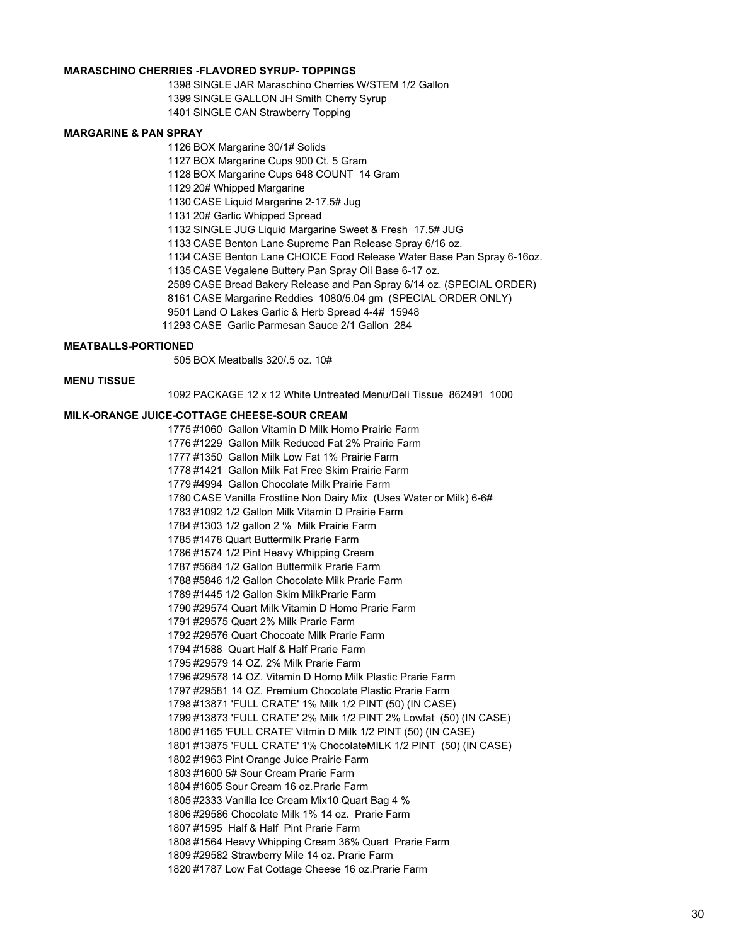# **MARASCHINO CHERRIES -FLAVORED SYRUP- TOPPINGS**

 SINGLE JAR Maraschino Cherries W/STEM 1/2 Gallon SINGLE GALLON JH Smith Cherry Syrup SINGLE CAN Strawberry Topping

#### **MARGARINE & PAN SPRAY**

 BOX Margarine 30/1# Solids BOX Margarine Cups 900 Ct. 5 Gram BOX Margarine Cups 648 COUNT 14 Gram 20# Whipped Margarine CASE Liquid Margarine 2-17.5# Jug 20# Garlic Whipped Spread SINGLE JUG Liquid Margarine Sweet & Fresh 17.5# JUG CASE Benton Lane Supreme Pan Release Spray 6/16 oz. CASE Benton Lane CHOICE Food Release Water Base Pan Spray 6-16oz. CASE Vegalene Buttery Pan Spray Oil Base 6-17 oz. CASE Bread Bakery Release and Pan Spray 6/14 oz. (SPECIAL ORDER) CASE Margarine Reddies 1080/5.04 gm (SPECIAL ORDER ONLY) Land O Lakes Garlic & Herb Spread 4-4# 15948 CASE Garlic Parmesan Sauce 2/1 Gallon 284

#### **MEATBALLS-PORTIONED**

BOX Meatballs 320/.5 oz. 10#

#### **MENU TISSUE**

PACKAGE 12 x 12 White Untreated Menu/Deli Tissue 862491 1000

#### **MILK-ORANGE JUICE-COTTAGE CHEESE-SOUR CREAM**

 #1060 Gallon Vitamin D Milk Homo Prairie Farm #1229 Gallon Milk Reduced Fat 2% Prairie Farm #1350 Gallon Milk Low Fat 1% Prairie Farm #1421 Gallon Milk Fat Free Skim Prairie Farm #4994 Gallon Chocolate Milk Prairie Farm CASE Vanilla Frostline Non Dairy Mix (Uses Water or Milk) 6-6# #1092 1/2 Gallon Milk Vitamin D Prairie Farm #1303 1/2 gallon 2 % Milk Prairie Farm #1478 Quart Buttermilk Prarie Farm #1574 1/2 Pint Heavy Whipping Cream #5684 1/2 Gallon Buttermilk Prarie Farm #5846 1/2 Gallon Chocolate Milk Prarie Farm #1445 1/2 Gallon Skim MilkPrarie Farm #29574 Quart Milk Vitamin D Homo Prarie Farm #29575 Quart 2% Milk Prarie Farm #29576 Quart Chocoate Milk Prarie Farm #1588 Quart Half & Half Prarie Farm #29579 14 OZ. 2% Milk Prarie Farm #29578 14 OZ. Vitamin D Homo Milk Plastic Prarie Farm #29581 14 OZ. Premium Chocolate Plastic Prarie Farm #13871 'FULL CRATE' 1% Milk 1/2 PINT (50) (IN CASE) #13873 'FULL CRATE' 2% Milk 1/2 PINT 2% Lowfat (50) (IN CASE) #1165 'FULL CRATE' Vitmin D Milk 1/2 PINT (50) (IN CASE) #13875 'FULL CRATE' 1% ChocolateMILK 1/2 PINT (50) (IN CASE) #1963 Pint Orange Juice Prairie Farm #1600 5# Sour Cream Prarie Farm #1605 Sour Cream 16 oz.Prarie Farm #2333 Vanilla Ice Cream Mix10 Quart Bag 4 % #29586 Chocolate Milk 1% 14 oz. Prarie Farm #1595 Half & Half Pint Prarie Farm #1564 Heavy Whipping Cream 36% Quart Prarie Farm #29582 Strawberry Mile 14 oz. Prarie Farm #1787 Low Fat Cottage Cheese 16 oz.Prarie Farm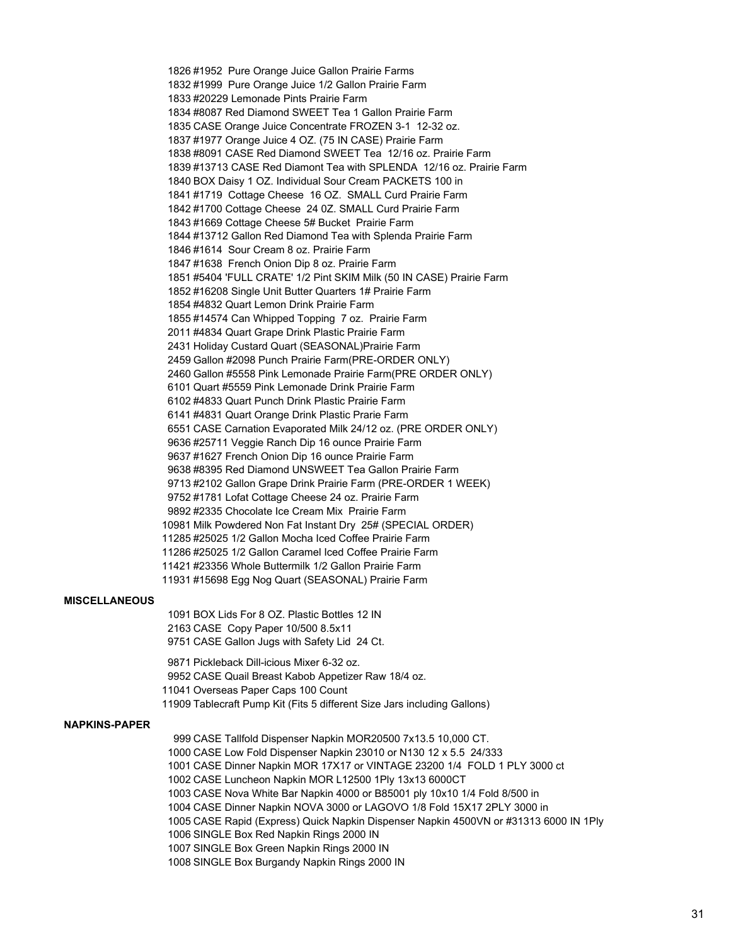#1952 Pure Orange Juice Gallon Prairie Farms #1999 Pure Orange Juice 1/2 Gallon Prairie Farm #20229 Lemonade Pints Prairie Farm #8087 Red Diamond SWEET Tea 1 Gallon Prairie Farm CASE Orange Juice Concentrate FROZEN 3-1 12-32 oz. #1977 Orange Juice 4 OZ. (75 IN CASE) Prairie Farm #8091 CASE Red Diamond SWEET Tea 12/16 oz. Prairie Farm #13713 CASE Red Diamont Tea with SPLENDA 12/16 oz. Prairie Farm BOX Daisy 1 OZ. Individual Sour Cream PACKETS 100 in #1719 Cottage Cheese 16 OZ. SMALL Curd Prairie Farm #1700 Cottage Cheese 24 0Z. SMALL Curd Prairie Farm #1669 Cottage Cheese 5# Bucket Prairie Farm #13712 Gallon Red Diamond Tea with Splenda Prairie Farm #1614 Sour Cream 8 oz. Prairie Farm #1638 French Onion Dip 8 oz. Prairie Farm #5404 'FULL CRATE' 1/2 Pint SKIM Milk (50 IN CASE) Prairie Farm #16208 Single Unit Butter Quarters 1# Prairie Farm #4832 Quart Lemon Drink Prairie Farm #14574 Can Whipped Topping 7 oz. Prairie Farm #4834 Quart Grape Drink Plastic Prairie Farm Holiday Custard Quart (SEASONAL)Prairie Farm Gallon #2098 Punch Prairie Farm(PRE-ORDER ONLY) Gallon #5558 Pink Lemonade Prairie Farm(PRE ORDER ONLY) Quart #5559 Pink Lemonade Drink Prairie Farm #4833 Quart Punch Drink Plastic Prairie Farm #4831 Quart Orange Drink Plastic Prarie Farm CASE Carnation Evaporated Milk 24/12 oz. (PRE ORDER ONLY) #25711 Veggie Ranch Dip 16 ounce Prairie Farm #1627 French Onion Dip 16 ounce Prairie Farm #8395 Red Diamond UNSWEET Tea Gallon Prairie Farm #2102 Gallon Grape Drink Prairie Farm (PRE-ORDER 1 WEEK) #1781 Lofat Cottage Cheese 24 oz. Prairie Farm #2335 Chocolate Ice Cream Mix Prairie Farm Milk Powdered Non Fat Instant Dry 25# (SPECIAL ORDER) #25025 1/2 Gallon Mocha Iced Coffee Prairie Farm #25025 1/2 Gallon Caramel Iced Coffee Prairie Farm #23356 Whole Buttermilk 1/2 Gallon Prairie Farm #15698 Egg Nog Quart (SEASONAL) Prairie Farm

# **MISCELLANEOUS**

 BOX Lids For 8 OZ. Plastic Bottles 12 IN CASE Copy Paper 10/500 8.5x11 CASE Gallon Jugs with Safety Lid 24 Ct.

 Pickleback Dill-icious Mixer 6-32 oz. CASE Quail Breast Kabob Appetizer Raw 18/4 oz. Overseas Paper Caps 100 Count Tablecraft Pump Kit (Fits 5 different Size Jars including Gallons)

#### **NAPKINS-PAPER**

 CASE Tallfold Dispenser Napkin MOR20500 7x13.5 10,000 CT. CASE Low Fold Dispenser Napkin 23010 or N130 12 x 5.5 24/333 CASE Dinner Napkin MOR 17X17 or VINTAGE 23200 1/4 FOLD 1 PLY 3000 ct CASE Luncheon Napkin MOR L12500 1Ply 13x13 6000CT CASE Nova White Bar Napkin 4000 or B85001 ply 10x10 1/4 Fold 8/500 in CASE Dinner Napkin NOVA 3000 or LAGOVO 1/8 Fold 15X17 2PLY 3000 in CASE Rapid (Express) Quick Napkin Dispenser Napkin 4500VN or #31313 6000 IN 1Ply SINGLE Box Red Napkin Rings 2000 IN SINGLE Box Green Napkin Rings 2000 IN SINGLE Box Burgandy Napkin Rings 2000 IN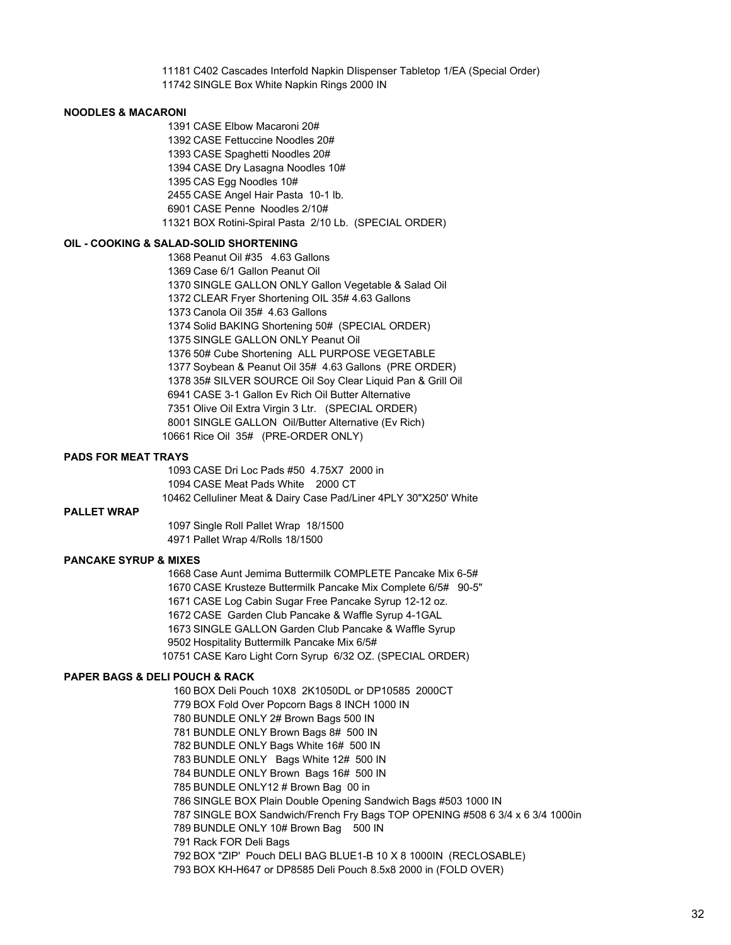C402 Cascades Interfold Napkin DIispenser Tabletop 1/EA (Special Order) SINGLE Box White Napkin Rings 2000 IN

#### **NOODLES & MACARONI**

 CASE Elbow Macaroni 20# CASE Fettuccine Noodles 20# CASE Spaghetti Noodles 20# CASE Dry Lasagna Noodles 10# CAS Egg Noodles 10# CASE Angel Hair Pasta 10-1 lb. CASE Penne Noodles 2/10# BOX Rotini-Spiral Pasta 2/10 Lb. (SPECIAL ORDER)

# **OIL - COOKING & SALAD-SOLID SHORTENING**

 Peanut Oil #35 4.63 Gallons Case 6/1 Gallon Peanut Oil SINGLE GALLON ONLY Gallon Vegetable & Salad Oil CLEAR Fryer Shortening OIL 35# 4.63 Gallons Canola Oil 35# 4.63 Gallons Solid BAKING Shortening 50# (SPECIAL ORDER) SINGLE GALLON ONLY Peanut Oil 50# Cube Shortening ALL PURPOSE VEGETABLE Soybean & Peanut Oil 35# 4.63 Gallons (PRE ORDER) 35# SILVER SOURCE Oil Soy Clear Liquid Pan & Grill Oil CASE 3-1 Gallon Ev Rich Oil Butter Alternative Olive Oil Extra Virgin 3 Ltr. (SPECIAL ORDER) SINGLE GALLON Oil/Butter Alternative (Ev Rich) Rice Oil 35# (PRE-ORDER ONLY)

#### **PADS FOR MEAT TRAYS**

 CASE Dri Loc Pads #50 4.75X7 2000 in CASE Meat Pads White 2000 CT Celluliner Meat & Dairy Case Pad/Liner 4PLY 30"X250' White

#### **PALLET WRAP**

 Single Roll Pallet Wrap 18/1500 Pallet Wrap 4/Rolls 18/1500

# **PANCAKE SYRUP & MIXES**

 Case Aunt Jemima Buttermilk COMPLETE Pancake Mix 6-5# CASE Krusteze Buttermilk Pancake Mix Complete 6/5# 90-5" CASE Log Cabin Sugar Free Pancake Syrup 12-12 oz. CASE Garden Club Pancake & Waffle Syrup 4-1GAL SINGLE GALLON Garden Club Pancake & Waffle Syrup Hospitality Buttermilk Pancake Mix 6/5# CASE Karo Light Corn Syrup 6/32 OZ. (SPECIAL ORDER)

#### **PAPER BAGS & DELI POUCH & RACK**

 BOX Deli Pouch 10X8 2K1050DL or DP10585 2000CT BOX Fold Over Popcorn Bags 8 INCH 1000 IN BUNDLE ONLY 2# Brown Bags 500 IN BUNDLE ONLY Brown Bags 8# 500 IN BUNDLE ONLY Bags White 16# 500 IN BUNDLE ONLY Bags White 12# 500 IN BUNDLE ONLY Brown Bags 16# 500 IN BUNDLE ONLY12 # Brown Bag 00 in SINGLE BOX Plain Double Opening Sandwich Bags #503 1000 IN SINGLE BOX Sandwich/French Fry Bags TOP OPENING #508 6 3/4 x 6 3/4 1000in BUNDLE ONLY 10# Brown Bag 500 IN Rack FOR Deli Bags BOX "ZIP' Pouch DELI BAG BLUE1-B 10 X 8 1000IN (RECLOSABLE) BOX KH-H647 or DP8585 Deli Pouch 8.5x8 2000 in (FOLD OVER)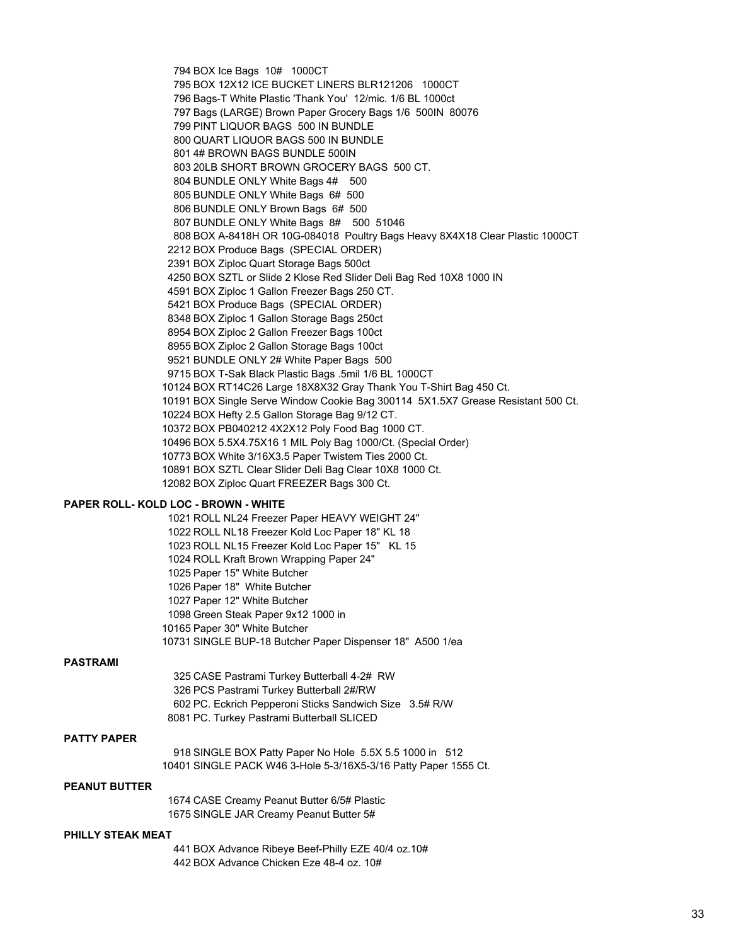BOX Ice Bags 10# 1000CT BOX 12X12 ICE BUCKET LINERS BLR121206 1000CT Bags-T White Plastic 'Thank You' 12/mic. 1/6 BL 1000ct Bags (LARGE) Brown Paper Grocery Bags 1/6 500IN 80076 PINT LIQUOR BAGS 500 IN BUNDLE QUART LIQUOR BAGS 500 IN BUNDLE 4# BROWN BAGS BUNDLE 500IN 20LB SHORT BROWN GROCERY BAGS 500 CT. BUNDLE ONLY White Bags 4# 500 BUNDLE ONLY White Bags 6# 500 BUNDLE ONLY Brown Bags 6# 500 BUNDLE ONLY White Bags 8# 500 51046 BOX A-8418H OR 10G-084018 Poultry Bags Heavy 8X4X18 Clear Plastic 1000CT BOX Produce Bags (SPECIAL ORDER) BOX Ziploc Quart Storage Bags 500ct BOX SZTL or Slide 2 Klose Red Slider Deli Bag Red 10X8 1000 IN BOX Ziploc 1 Gallon Freezer Bags 250 CT. BOX Produce Bags (SPECIAL ORDER) BOX Ziploc 1 Gallon Storage Bags 250ct BOX Ziploc 2 Gallon Freezer Bags 100ct BOX Ziploc 2 Gallon Storage Bags 100ct BUNDLE ONLY 2# White Paper Bags 500 BOX T-Sak Black Plastic Bags .5mil 1/6 BL 1000CT BOX RT14C26 Large 18X8X32 Gray Thank You T-Shirt Bag 450 Ct. BOX Single Serve Window Cookie Bag 300114 5X1.5X7 Grease Resistant 500 Ct. BOX Hefty 2.5 Gallon Storage Bag 9/12 CT. BOX PB040212 4X2X12 Poly Food Bag 1000 CT. BOX 5.5X4.75X16 1 MIL Poly Bag 1000/Ct. (Special Order) BOX White 3/16X3.5 Paper Twistem Ties 2000 Ct. BOX SZTL Clear Slider Deli Bag Clear 10X8 1000 Ct. BOX Ziploc Quart FREEZER Bags 300 Ct.

#### **PAPER ROLL- KOLD LOC - BROWN - WHITE**

 ROLL NL24 Freezer Paper HEAVY WEIGHT 24" ROLL NL18 Freezer Kold Loc Paper 18" KL 18 ROLL NL15 Freezer Kold Loc Paper 15" KL 15 ROLL Kraft Brown Wrapping Paper 24" Paper 15" White Butcher Paper 18" White Butcher Paper 12" White Butcher Green Steak Paper 9x12 1000 in Paper 30" White Butcher SINGLE BUP-18 Butcher Paper Dispenser 18" A500 1/ea

# **PASTRAMI**

 CASE Pastrami Turkey Butterball 4-2# RW PCS Pastrami Turkey Butterball 2#/RW PC. Eckrich Pepperoni Sticks Sandwich Size 3.5# R/W PC. Turkey Pastrami Butterball SLICED

### **PATTY PAPER**

 SINGLE BOX Patty Paper No Hole 5.5X 5.5 1000 in 512 SINGLE PACK W46 3-Hole 5-3/16X5-3/16 Patty Paper 1555 Ct.

### **PEANUT BUTTER**

 CASE Creamy Peanut Butter 6/5# Plastic SINGLE JAR Creamy Peanut Butter 5#

#### **PHILLY STEAK MEAT**

 BOX Advance Ribeye Beef-Philly EZE 40/4 oz.10# BOX Advance Chicken Eze 48-4 oz. 10#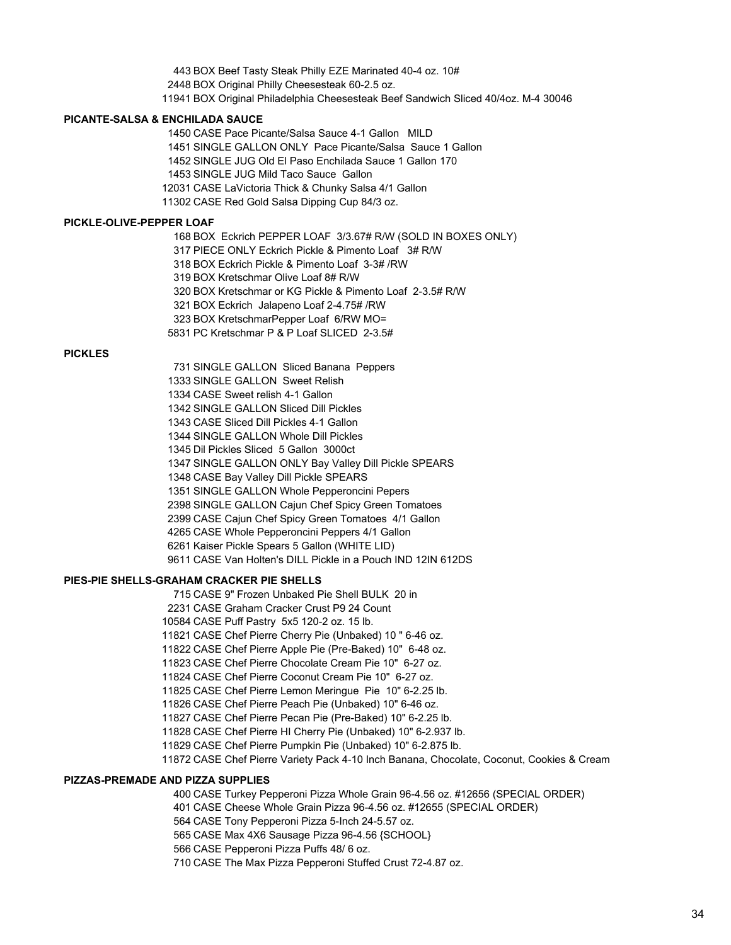BOX Beef Tasty Steak Philly EZE Marinated 40-4 oz. 10# BOX Original Philly Cheesesteak 60-2.5 oz. BOX Original Philadelphia Cheesesteak Beef Sandwich Sliced 40/4oz. M-4 30046

#### **PICANTE-SALSA & ENCHILADA SAUCE**

 CASE Pace Picante/Salsa Sauce 4-1 Gallon MILD SINGLE GALLON ONLY Pace Picante/Salsa Sauce 1 Gallon SINGLE JUG Old El Paso Enchilada Sauce 1 Gallon 170 SINGLE JUG Mild Taco Sauce Gallon CASE LaVictoria Thick & Chunky Salsa 4/1 Gallon CASE Red Gold Salsa Dipping Cup 84/3 oz.

#### **PICKLE-OLIVE-PEPPER LOAF**

BOX Eckrich PEPPER LOAF 3/3.67# R/W (SOLD IN BOXES ONLY)

PIECE ONLY Eckrich Pickle & Pimento Loaf 3# R/W

BOX Eckrich Pickle & Pimento Loaf 3-3# /RW

BOX Kretschmar Olive Loaf 8# R/W

BOX Kretschmar or KG Pickle & Pimento Loaf 2-3.5# R/W

BOX Eckrich Jalapeno Loaf 2-4.75# /RW

BOX KretschmarPepper Loaf 6/RW MO=

PC Kretschmar P & P Loaf SLICED 2-3.5#

# **PICKLES**

 SINGLE GALLON Sliced Banana Peppers SINGLE GALLON Sweet Relish CASE Sweet relish 4-1 Gallon SINGLE GALLON Sliced Dill Pickles CASE Sliced Dill Pickles 4-1 Gallon SINGLE GALLON Whole Dill Pickles Dil Pickles Sliced 5 Gallon 3000ct SINGLE GALLON ONLY Bay Valley Dill Pickle SPEARS CASE Bay Valley Dill Pickle SPEARS SINGLE GALLON Whole Pepperoncini Pepers SINGLE GALLON Cajun Chef Spicy Green Tomatoes CASE Cajun Chef Spicy Green Tomatoes 4/1 Gallon CASE Whole Pepperoncini Peppers 4/1 Gallon Kaiser Pickle Spears 5 Gallon (WHITE LID) CASE Van Holten's DILL Pickle in a Pouch IND 12IN 612DS

### **PIES-PIE SHELLS-GRAHAM CRACKER PIE SHELLS**

CASE 9" Frozen Unbaked Pie Shell BULK 20 in

CASE Graham Cracker Crust P9 24 Count

CASE Puff Pastry 5x5 120-2 oz. 15 lb.

CASE Chef Pierre Cherry Pie (Unbaked) 10 " 6-46 oz.

CASE Chef Pierre Apple Pie (Pre-Baked) 10" 6-48 oz.

CASE Chef Pierre Chocolate Cream Pie 10" 6-27 oz.

CASE Chef Pierre Coconut Cream Pie 10" 6-27 oz.

CASE Chef Pierre Lemon Meringue Pie 10" 6-2.25 lb.

CASE Chef Pierre Peach Pie (Unbaked) 10" 6-46 oz.

CASE Chef Pierre Pecan Pie (Pre-Baked) 10" 6-2.25 lb.

CASE Chef Pierre HI Cherry Pie (Unbaked) 10" 6-2.937 lb.

CASE Chef Pierre Pumpkin Pie (Unbaked) 10" 6-2.875 lb.

CASE Chef Pierre Variety Pack 4-10 Inch Banana, Chocolate, Coconut, Cookies & Cream

#### **PIZZAS-PREMADE AND PIZZA SUPPLIES**

CASE Turkey Pepperoni Pizza Whole Grain 96-4.56 oz. #12656 (SPECIAL ORDER)

CASE Cheese Whole Grain Pizza 96-4.56 oz. #12655 (SPECIAL ORDER)

CASE Tony Pepperoni Pizza 5-Inch 24-5.57 oz.

CASE Max 4X6 Sausage Pizza 96-4.56 {SCHOOL}

CASE Pepperoni Pizza Puffs 48/ 6 oz.

CASE The Max Pizza Pepperoni Stuffed Crust 72-4.87 oz.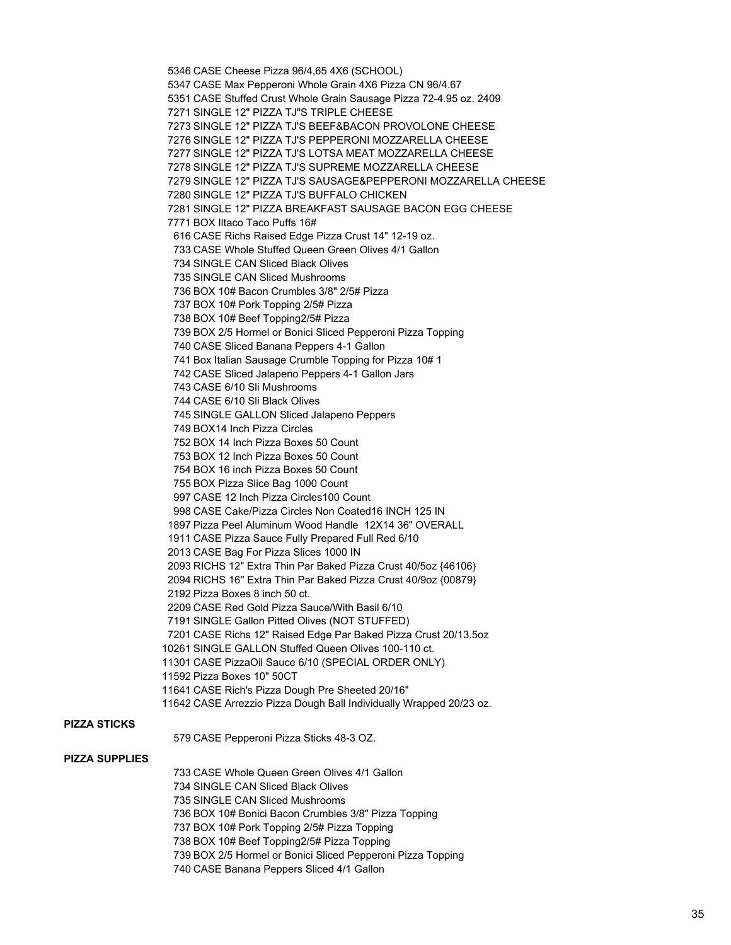CASE Cheese Pizza 96/4,65 4X6 (SCHOOL) CASE Max Pepperoni Whole Grain 4X6 Pizza CN 96/4.67 CASE Stuffed Crust Whole Grain Sausage Pizza 72-4.95 oz. 2409 SINGLE 12" PIZZA TJ"S TRIPLE CHEESE SINGLE 12" PIZZA TJ'S BEEF&BACON PROVOLONE CHEESE SINGLE 12" PIZZA TJ'S PEPPERONI MOZZARELLA CHEESE SINGLE 12" PIZZA TJ'S LOTSA MEAT MOZZARELLA CHEESE SINGLE 12" PIZZA TJ'S SUPREME MOZZARELLA CHEESE SINGLE 12" PIZZA TJ'S SAUSAGE&PEPPERONI MOZZARELLA CHEESE SINGLE 12" PIZZA TJ'S BUFFALO CHICKEN SINGLE 12" PIZZA BREAKFAST SAUSAGE BACON EGG CHEESE BOX Iltaco Taco Puffs 16# CASE Richs Raised Edge Pizza Crust 14" 12-19 oz. CASE Whole Stuffed Queen Green Olives 4/1 Gallon SINGLE CAN Sliced Black Olives SINGLE CAN Sliced Mushrooms BOX 10# Bacon Crumbles 3/8" 2/5# Pizza BOX 10# Pork Topping 2/5# Pizza BOX 10# Beef Topping2/5# Pizza BOX 2/5 Hormel or Bonici Sliced Pepperoni Pizza Topping CASE Sliced Banana Peppers 4-1 Gallon Box Italian Sausage Crumble Topping for Pizza 10# 1 CASE Sliced Jalapeno Peppers 4-1 Gallon Jars CASE 6/10 Sli Mushrooms CASE 6/10 Sli Black Olives SINGLE GALLON Sliced Jalapeno Peppers BOX14 Inch Pizza Circles BOX 14 Inch Pizza Boxes 50 Count BOX 12 Inch Pizza Boxes 50 Count BOX 16 inch Pizza Boxes 50 Count BOX Pizza Slice Bag 1000 Count CASE 12 Inch Pizza Circles100 Count CASE Cake/Pizza Circles Non Coated16 INCH 125 IN Pizza Peel Aluminum Wood Handle 12X14 36" OVERALL CASE Pizza Sauce Fully Prepared Full Red 6/10 CASE Bag For Pizza Slices 1000 IN RICHS 12" Extra Thin Par Baked Pizza Crust 40/5oz {46106} RICHS 16'' Extra Thin Par Baked Pizza Crust 40/9oz {00879} Pizza Boxes 8 inch 50 ct. CASE Red Gold Pizza Sauce/With Basil 6/10 SINGLE Gallon Pitted Olives (NOT STUFFED) CASE Richs 12" Raised Edge Par Baked Pizza Crust 20/13.5oz SINGLE GALLON Stuffed Queen Olives 100-110 ct. CASE PizzaOil Sauce 6/10 (SPECIAL ORDER ONLY) Pizza Boxes 10" 50CT CASE Rich's Pizza Dough Pre Sheeted 20/16" CASE Arrezzio Pizza Dough Ball Individually Wrapped 20/23 oz.

### **PIZZA STICKS**

CASE Pepperoni Pizza Sticks 48-3 OZ.

#### **PIZZA SUPPLIES**

 CASE Whole Queen Green Olives 4/1 Gallon SINGLE CAN Sliced Black Olives SINGLE CAN Sliced Mushrooms BOX 10# Bonici Bacon Crumbles 3/8" Pizza Topping BOX 10# Pork Topping 2/5# Pizza Topping BOX 10# Beef Topping2/5# Pizza Topping BOX 2/5 Hormel or Bonici Sliced Pepperoni Pizza Topping CASE Banana Peppers Sliced 4/1 Gallon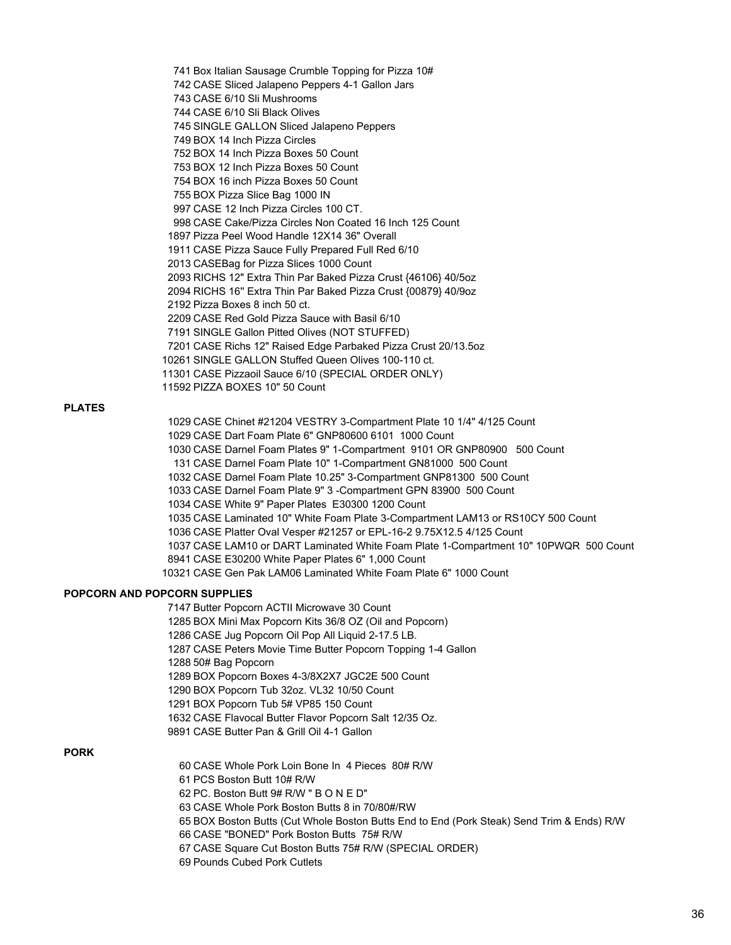Box Italian Sausage Crumble Topping for Pizza 10# CASE Sliced Jalapeno Peppers 4-1 Gallon Jars CASE 6/10 Sli Mushrooms CASE 6/10 Sli Black Olives SINGLE GALLON Sliced Jalapeno Peppers BOX 14 Inch Pizza Circles BOX 14 Inch Pizza Boxes 50 Count BOX 12 Inch Pizza Boxes 50 Count BOX 16 inch Pizza Boxes 50 Count BOX Pizza Slice Bag 1000 IN CASE 12 Inch Pizza Circles 100 CT. CASE Cake/Pizza Circles Non Coated 16 Inch 125 Count Pizza Peel Wood Handle 12X14 36" Overall CASE Pizza Sauce Fully Prepared Full Red 6/10 CASEBag for Pizza Slices 1000 Count RICHS 12" Extra Thin Par Baked Pizza Crust {46106} 40/5oz RICHS 16'' Extra Thin Par Baked Pizza Crust {00879} 40/9oz Pizza Boxes 8 inch 50 ct. CASE Red Gold Pizza Sauce with Basil 6/10 SINGLE Gallon Pitted Olives (NOT STUFFED) CASE Richs 12" Raised Edge Parbaked Pizza Crust 20/13.5oz SINGLE GALLON Stuffed Queen Olives 100-110 ct. CASE Pizzaoil Sauce 6/10 (SPECIAL ORDER ONLY) PIZZA BOXES 10" 50 Count

# **PLATES**

 CASE Chinet #21204 VESTRY 3-Compartment Plate 10 1/4" 4/125 Count CASE Dart Foam Plate 6" GNP80600 6101 1000 Count CASE Darnel Foam Plates 9" 1-Compartment 9101 OR GNP80900 500 Count CASE Darnel Foam Plate 10" 1-Compartment GN81000 500 Count CASE Darnel Foam Plate 10.25" 3-Compartment GNP81300 500 Count CASE Darnel Foam Plate 9" 3 -Compartment GPN 83900 500 Count CASE White 9" Paper Plates E30300 1200 Count CASE Laminated 10" White Foam Plate 3-Compartment LAM13 or RS10CY 500 Count CASE Platter Oval Vesper #21257 or EPL-16-2 9.75X12.5 4/125 Count CASE LAM10 or DART Laminated White Foam Plate 1-Compartment 10" 10PWQR 500 Count CASE E30200 White Paper Plates 6" 1,000 Count CASE Gen Pak LAM06 Laminated White Foam Plate 6" 1000 Count

# **POPCORN AND POPCORN SUPPLIES**

 Butter Popcorn ACTII Microwave 30 Count BOX Mini Max Popcorn Kits 36/8 OZ (Oil and Popcorn) CASE Jug Popcorn Oil Pop All Liquid 2-17.5 LB. CASE Peters Movie Time Butter Popcorn Topping 1-4 Gallon 50# Bag Popcorn BOX Popcorn Boxes 4-3/8X2X7 JGC2E 500 Count BOX Popcorn Tub 32oz. VL32 10/50 Count BOX Popcorn Tub 5# VP85 150 Count CASE Flavocal Butter Flavor Popcorn Salt 12/35 Oz. CASE Butter Pan & Grill Oil 4-1 Gallon

#### **PORK**

- CASE Whole Pork Loin Bone In 4 Pieces 80# R/W
- PCS Boston Butt 10# R/W
- PC. Boston Butt 9# R/W " B O N E D"
- CASE Whole Pork Boston Butts 8 in 70/80#/RW
- BOX Boston Butts (Cut Whole Boston Butts End to End (Pork Steak) Send Trim & Ends) R/W
- CASE "BONED" Pork Boston Butts 75# R/W
- CASE Square Cut Boston Butts 75# R/W (SPECIAL ORDER)
- Pounds Cubed Pork Cutlets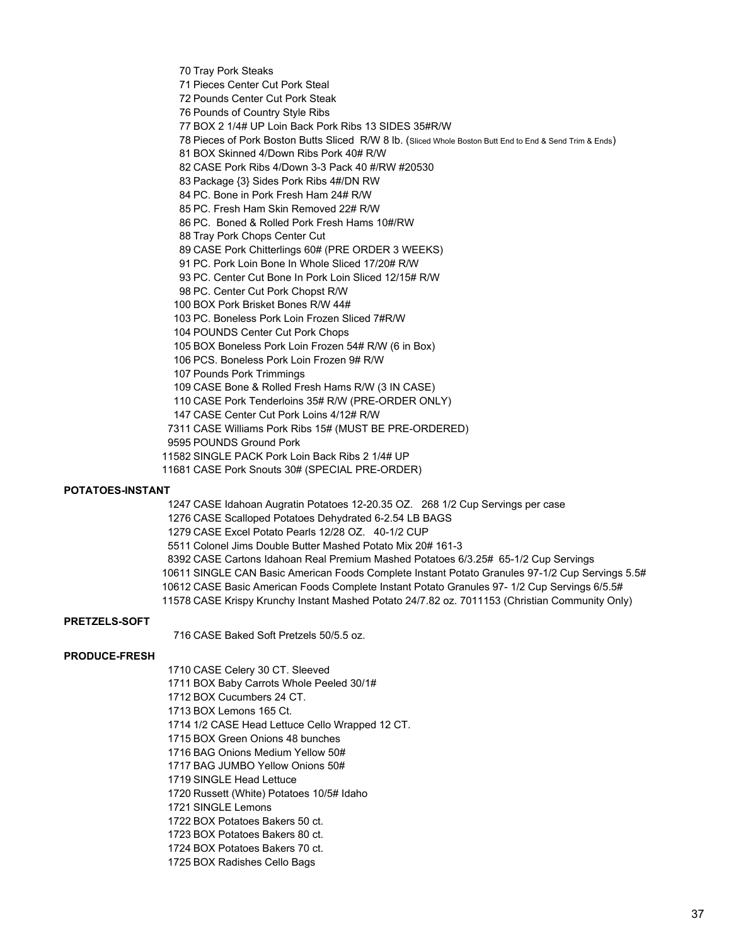Tray Pork Steaks

Pieces Center Cut Pork Steal

Pounds Center Cut Pork Steak

Pounds of Country Style Ribs

BOX 2 1/4# UP Loin Back Pork Ribs 13 SIDES 35#R/W

Pieces of Pork Boston Butts Sliced R/W 8 lb. (Sliced Whole Boston Butt End to End & Send Trim & Ends)

BOX Skinned 4/Down Ribs Pork 40# R/W

CASE Pork Ribs 4/Down 3-3 Pack 40 #/RW #20530

Package {3} Sides Pork Ribs 4#/DN RW

PC. Bone in Pork Fresh Ham 24# R/W

PC. Fresh Ham Skin Removed 22# R/W

PC. Boned & Rolled Pork Fresh Hams 10#/RW

Tray Pork Chops Center Cut

CASE Pork Chitterlings 60# (PRE ORDER 3 WEEKS)

PC. Pork Loin Bone In Whole Sliced 17/20# R/W

PC. Center Cut Bone In Pork Loin Sliced 12/15# R/W

PC. Center Cut Pork Chopst R/W

BOX Pork Brisket Bones R/W 44#

PC. Boneless Pork Loin Frozen Sliced 7#R/W

POUNDS Center Cut Pork Chops

BOX Boneless Pork Loin Frozen 54# R/W (6 in Box)

PCS. Boneless Pork Loin Frozen 9# R/W

Pounds Pork Trimmings

CASE Bone & Rolled Fresh Hams R/W (3 IN CASE)

CASE Pork Tenderloins 35# R/W (PRE-ORDER ONLY)

CASE Center Cut Pork Loins 4/12# R/W

CASE Williams Pork Ribs 15# (MUST BE PRE-ORDERED)

POUNDS Ground Pork

SINGLE PACK Pork Loin Back Ribs 2 1/4# UP

CASE Pork Snouts 30# (SPECIAL PRE-ORDER)

# **POTATOES-INSTANT**

CASE Idahoan Augratin Potatoes 12-20.35 OZ. 268 1/2 Cup Servings per case

CASE Scalloped Potatoes Dehydrated 6-2.54 LB BAGS

CASE Excel Potato Pearls 12/28 OZ. 40-1/2 CUP

Colonel Jims Double Butter Mashed Potato Mix 20# 161-3

CASE Cartons Idahoan Real Premium Mashed Potatoes 6/3.25# 65-1/2 Cup Servings

SINGLE CAN Basic American Foods Complete Instant Potato Granules 97-1/2 Cup Servings 5.5#

CASE Basic American Foods Complete Instant Potato Granules 97- 1/2 Cup Servings 6/5.5#

CASE Krispy Krunchy Instant Mashed Potato 24/7.82 oz. 7011153 (Christian Community Only)

# **PRETZELS-SOFT**

CASE Baked Soft Pretzels 50/5.5 oz.

# **PRODUCE-FRESH**

 CASE Celery 30 CT. Sleeved BOX Baby Carrots Whole Peeled 30/1#

BOX Cucumbers 24 CT.

BOX Lemons 165 Ct.

1/2 CASE Head Lettuce Cello Wrapped 12 CT.

BOX Green Onions 48 bunches

BAG Onions Medium Yellow 50#

BAG JUMBO Yellow Onions 50#

SINGLE Head Lettuce

Russett (White) Potatoes 10/5# Idaho

SINGLE Lemons

BOX Potatoes Bakers 50 ct.

BOX Potatoes Bakers 80 ct.

BOX Potatoes Bakers 70 ct.

BOX Radishes Cello Bags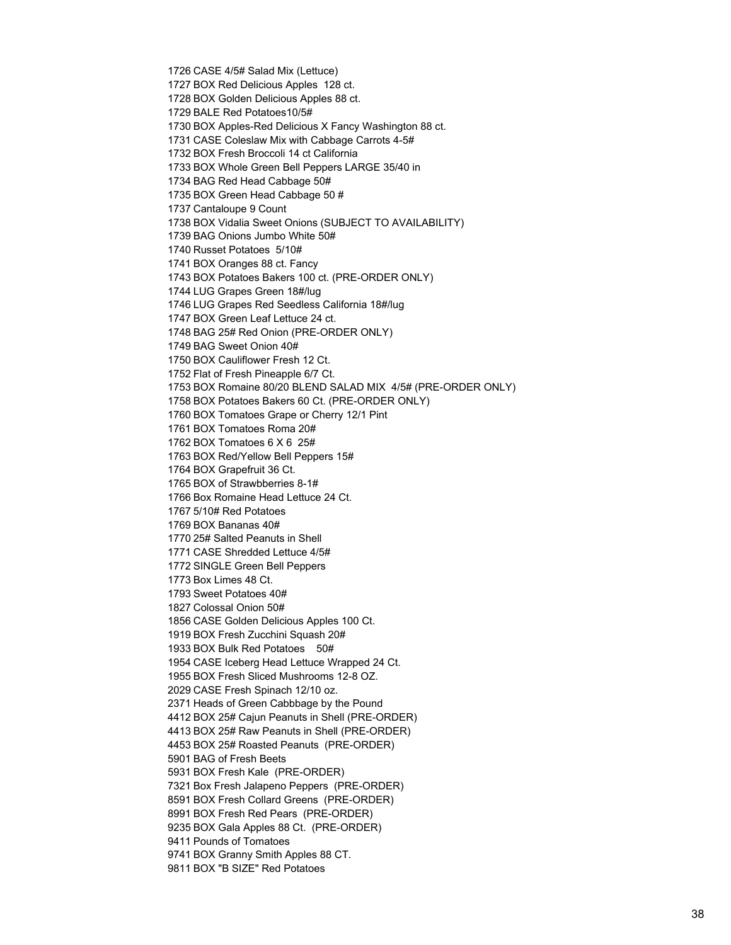CASE 4/5# Salad Mix (Lettuce) BOX Red Delicious Apples 128 ct. BOX Golden Delicious Apples 88 ct. BALE Red Potatoes10/5# BOX Apples-Red Delicious X Fancy Washington 88 ct. CASE Coleslaw Mix with Cabbage Carrots 4-5# BOX Fresh Broccoli 14 ct California BOX Whole Green Bell Peppers LARGE 35/40 in BAG Red Head Cabbage 50# BOX Green Head Cabbage 50 # Cantaloupe 9 Count BOX Vidalia Sweet Onions (SUBJECT TO AVAILABILITY) BAG Onions Jumbo White 50# Russet Potatoes 5/10# BOX Oranges 88 ct. Fancy BOX Potatoes Bakers 100 ct. (PRE-ORDER ONLY) LUG Grapes Green 18#/lug LUG Grapes Red Seedless California 18#/lug BOX Green Leaf Lettuce 24 ct. BAG 25# Red Onion (PRE-ORDER ONLY) BAG Sweet Onion 40# BOX Cauliflower Fresh 12 Ct. Flat of Fresh Pineapple 6/7 Ct. BOX Romaine 80/20 BLEND SALAD MIX 4/5# (PRE-ORDER ONLY) BOX Potatoes Bakers 60 Ct. (PRE-ORDER ONLY) BOX Tomatoes Grape or Cherry 12/1 Pint BOX Tomatoes Roma 20# BOX Tomatoes 6 X 6 25# BOX Red/Yellow Bell Peppers 15# BOX Grapefruit 36 Ct. BOX of Strawbberries 8-1# Box Romaine Head Lettuce 24 Ct. 5/10# Red Potatoes BOX Bananas 40# 25# Salted Peanuts in Shell CASE Shredded Lettuce 4/5# SINGLE Green Bell Peppers Box Limes 48 Ct. Sweet Potatoes 40# Colossal Onion 50# CASE Golden Delicious Apples 100 Ct. BOX Fresh Zucchini Squash 20# BOX Bulk Red Potatoes 50# CASE Iceberg Head Lettuce Wrapped 24 Ct. BOX Fresh Sliced Mushrooms 12-8 OZ. CASE Fresh Spinach 12/10 oz. Heads of Green Cabbbage by the Pound BOX 25# Cajun Peanuts in Shell (PRE-ORDER) BOX 25# Raw Peanuts in Shell (PRE-ORDER) BOX 25# Roasted Peanuts (PRE-ORDER) BAG of Fresh Beets BOX Fresh Kale (PRE-ORDER) Box Fresh Jalapeno Peppers (PRE-ORDER) BOX Fresh Collard Greens (PRE-ORDER) BOX Fresh Red Pears (PRE-ORDER) BOX Gala Apples 88 Ct. (PRE-ORDER) Pounds of Tomatoes BOX Granny Smith Apples 88 CT. BOX "B SIZE" Red Potatoes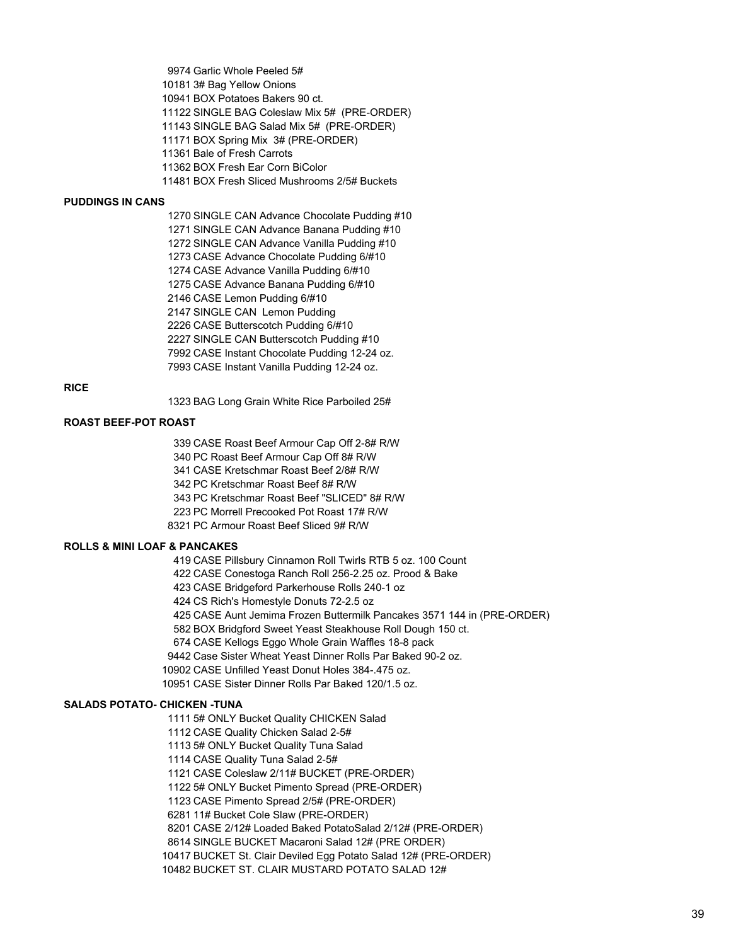Garlic Whole Peeled 5# 3# Bag Yellow Onions BOX Potatoes Bakers 90 ct. SINGLE BAG Coleslaw Mix 5# (PRE-ORDER) SINGLE BAG Salad Mix 5# (PRE-ORDER) BOX Spring Mix 3# (PRE-ORDER) Bale of Fresh Carrots BOX Fresh Ear Corn BiColor

BOX Fresh Sliced Mushrooms 2/5# Buckets

#### **PUDDINGS IN CANS**

 SINGLE CAN Advance Chocolate Pudding #10 SINGLE CAN Advance Banana Pudding #10 SINGLE CAN Advance Vanilla Pudding #10 CASE Advance Chocolate Pudding 6/#10 CASE Advance Vanilla Pudding 6/#10 CASE Advance Banana Pudding 6/#10 CASE Lemon Pudding 6/#10 SINGLE CAN Lemon Pudding CASE Butterscotch Pudding 6/#10 SINGLE CAN Butterscotch Pudding #10 CASE Instant Chocolate Pudding 12-24 oz. CASE Instant Vanilla Pudding 12-24 oz.

### **RICE**

BAG Long Grain White Rice Parboiled 25#

### **ROAST BEEF-POT ROAST**

 CASE Roast Beef Armour Cap Off 2-8# R/W PC Roast Beef Armour Cap Off 8# R/W CASE Kretschmar Roast Beef 2/8# R/W PC Kretschmar Roast Beef 8# R/W PC Kretschmar Roast Beef "SLICED" 8# R/W PC Morrell Precooked Pot Roast 17# R/W PC Armour Roast Beef Sliced 9# R/W

# **ROLLS & MINI LOAF & PANCAKES**

CASE Pillsbury Cinnamon Roll Twirls RTB 5 oz. 100 Count

CASE Conestoga Ranch Roll 256-2.25 oz. Prood & Bake

CASE Bridgeford Parkerhouse Rolls 240-1 oz

CS Rich's Homestyle Donuts 72-2.5 oz

CASE Aunt Jemima Frozen Buttermilk Pancakes 3571 144 in (PRE-ORDER)

BOX Bridgford Sweet Yeast Steakhouse Roll Dough 150 ct.

CASE Kellogs Eggo Whole Grain Waffles 18-8 pack

Case Sister Wheat Yeast Dinner Rolls Par Baked 90-2 oz.

CASE Unfilled Yeast Donut Holes 384-.475 oz.

CASE Sister Dinner Rolls Par Baked 120/1.5 oz.

#### **SALADS POTATO- CHICKEN -TUNA**

5# ONLY Bucket Quality CHICKEN Salad

CASE Quality Chicken Salad 2-5#

5# ONLY Bucket Quality Tuna Salad

CASE Quality Tuna Salad 2-5#

CASE Coleslaw 2/11# BUCKET (PRE-ORDER)

5# ONLY Bucket Pimento Spread (PRE-ORDER)

CASE Pimento Spread 2/5# (PRE-ORDER)

11# Bucket Cole Slaw (PRE-ORDER)

CASE 2/12# Loaded Baked PotatoSalad 2/12# (PRE-ORDER)

SINGLE BUCKET Macaroni Salad 12# (PRE ORDER)

BUCKET St. Clair Deviled Egg Potato Salad 12# (PRE-ORDER)

BUCKET ST. CLAIR MUSTARD POTATO SALAD 12#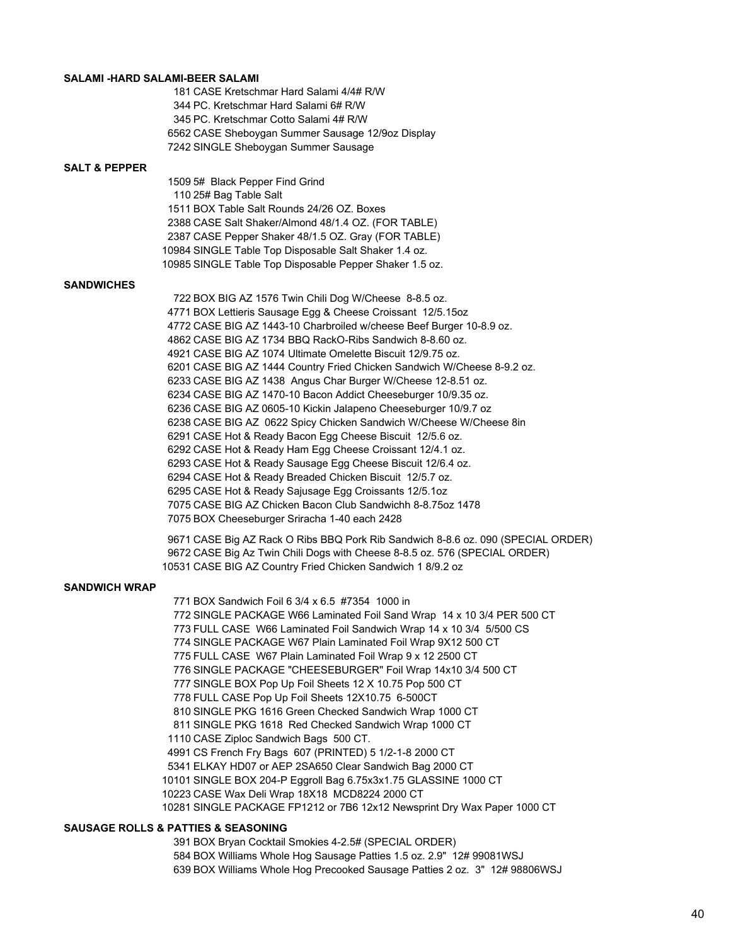#### **SALAMI -HARD SALAMI-BEER SALAMI**

 CASE Kretschmar Hard Salami 4/4# R/W PC. Kretschmar Hard Salami 6# R/W PC. Kretschmar Cotto Salami 4# R/W CASE Sheboygan Summer Sausage 12/9oz Display SINGLE Sheboygan Summer Sausage

#### **SALT & PEPPER**

 5# Black Pepper Find Grind 25# Bag Table Salt BOX Table Salt Rounds 24/26 OZ. Boxes CASE Salt Shaker/Almond 48/1.4 OZ. (FOR TABLE) CASE Pepper Shaker 48/1.5 OZ. Gray (FOR TABLE) SINGLE Table Top Disposable Salt Shaker 1.4 oz. SINGLE Table Top Disposable Pepper Shaker 1.5 oz.

# **SANDWICHES**

 BOX BIG AZ 1576 Twin Chili Dog W/Cheese 8-8.5 oz. BOX Lettieris Sausage Egg & Cheese Croissant 12/5.15oz CASE BIG AZ 1443-10 Charbroiled w/cheese Beef Burger 10-8.9 oz. CASE BIG AZ 1734 BBQ RackO-Ribs Sandwich 8-8.60 oz. CASE BIG AZ 1074 Ultimate Omelette Biscuit 12/9.75 oz. CASE BIG AZ 1444 Country Fried Chicken Sandwich W/Cheese 8-9.2 oz. CASE BIG AZ 1438 Angus Char Burger W/Cheese 12-8.51 oz. CASE BIG AZ 1470-10 Bacon Addict Cheeseburger 10/9.35 oz. CASE BIG AZ 0605-10 Kickin Jalapeno Cheeseburger 10/9.7 oz CASE BIG AZ 0622 Spicy Chicken Sandwich W/Cheese W/Cheese 8in CASE Hot & Ready Bacon Egg Cheese Biscuit 12/5.6 oz. CASE Hot & Ready Ham Egg Cheese Croissant 12/4.1 oz. CASE Hot & Ready Sausage Egg Cheese Biscuit 12/6.4 oz. CASE Hot & Ready Breaded Chicken Biscuit 12/5.7 oz. CASE Hot & Ready Sajusage Egg Croissants 12/5.1oz CASE BIG AZ Chicken Bacon Club Sandwichh 8-8.75oz 1478 BOX Cheeseburger Sriracha 1-40 each 2428

 CASE Big AZ Rack O Ribs BBQ Pork Rib Sandwich 8-8.6 oz. 090 (SPECIAL ORDER) CASE Big Az Twin Chili Dogs with Cheese 8-8.5 oz. 576 (SPECIAL ORDER) CASE BIG AZ Country Fried Chicken Sandwich 1 8/9.2 oz

#### **SANDWICH WRAP**

 BOX Sandwich Foil 6 3/4 x 6.5 #7354 1000 in SINGLE PACKAGE W66 Laminated Foil Sand Wrap 14 x 10 3/4 PER 500 CT FULL CASE W66 Laminated Foil Sandwich Wrap 14 x 10 3/4 5/500 CS SINGLE PACKAGE W67 Plain Laminated Foil Wrap 9X12 500 CT FULL CASE W67 Plain Laminated Foil Wrap 9 x 12 2500 CT SINGLE PACKAGE "CHEESEBURGER'' Foil Wrap 14x10 3/4 500 CT SINGLE BOX Pop Up Foil Sheets 12 X 10.75 Pop 500 CT FULL CASE Pop Up Foil Sheets 12X10.75 6-500CT SINGLE PKG 1616 Green Checked Sandwich Wrap 1000 CT SINGLE PKG 1618 Red Checked Sandwich Wrap 1000 CT CASE Ziploc Sandwich Bags 500 CT. CS French Fry Bags 607 (PRINTED) 5 1/2-1-8 2000 CT ELKAY HD07 or AEP 2SA650 Clear Sandwich Bag 2000 CT SINGLE BOX 204-P Eggroll Bag 6.75x3x1.75 GLASSINE 1000 CT CASE Wax Deli Wrap 18X18 MCD8224 2000 CT SINGLE PACKAGE FP1212 or 7B6 12x12 Newsprint Dry Wax Paper 1000 CT

#### **SAUSAGE ROLLS & PATTIES & SEASONING**

 BOX Bryan Cocktail Smokies 4-2.5# (SPECIAL ORDER) BOX Williams Whole Hog Sausage Patties 1.5 oz. 2.9" 12# 99081WSJ BOX Williams Whole Hog Precooked Sausage Patties 2 oz. 3" 12# 98806WSJ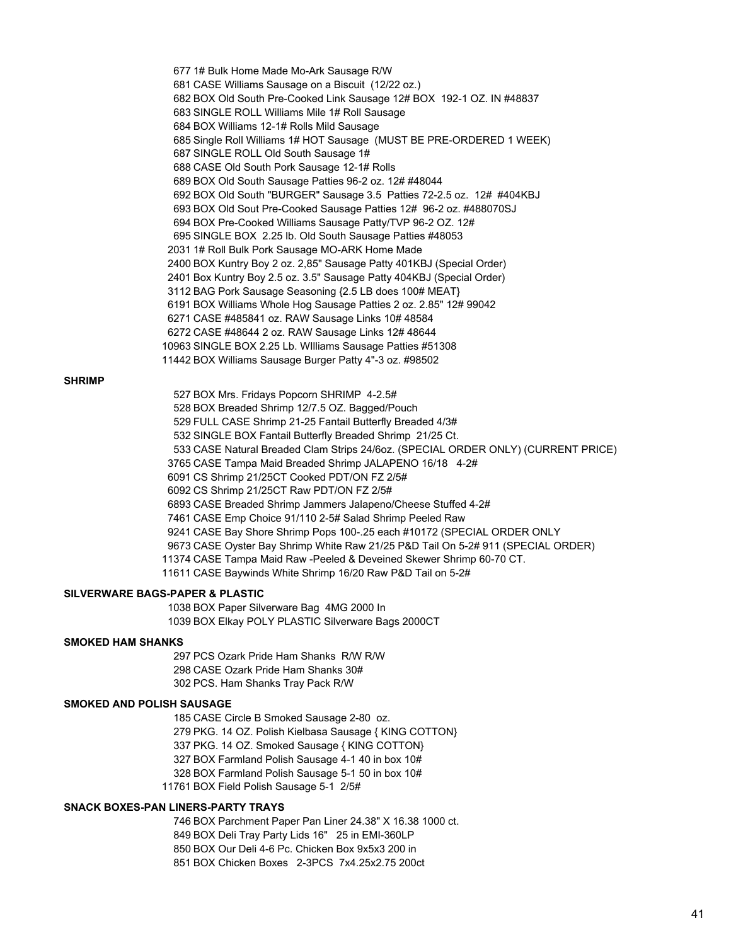1# Bulk Home Made Mo-Ark Sausage R/W CASE Williams Sausage on a Biscuit (12/22 oz.) BOX Old South Pre-Cooked Link Sausage 12# BOX 192-1 OZ. IN #48837 SINGLE ROLL Williams Mile 1# Roll Sausage BOX Williams 12-1# Rolls Mild Sausage Single Roll Williams 1# HOT Sausage (MUST BE PRE-ORDERED 1 WEEK) SINGLE ROLL Old South Sausage 1# CASE Old South Pork Sausage 12-1# Rolls BOX Old South Sausage Patties 96-2 oz. 12# #48044 BOX Old South "BURGER" Sausage 3.5 Patties 72-2.5 oz. 12# #404KBJ BOX Old Sout Pre-Cooked Sausage Patties 12# 96-2 oz. #488070SJ BOX Pre-Cooked Williams Sausage Patty/TVP 96-2 OZ. 12# SINGLE BOX 2.25 lb. Old South Sausage Patties #48053 1# Roll Bulk Pork Sausage MO-ARK Home Made BOX Kuntry Boy 2 oz. 2,85" Sausage Patty 401KBJ (Special Order) Box Kuntry Boy 2.5 oz. 3.5" Sausage Patty 404KBJ (Special Order) BAG Pork Sausage Seasoning {2.5 LB does 100# MEAT} BOX Williams Whole Hog Sausage Patties 2 oz. 2.85" 12# 99042 CASE #485841 oz. RAW Sausage Links 10# 48584 CASE #48644 2 oz. RAW Sausage Links 12# 48644 SINGLE BOX 2.25 Lb. WIlliams Sausage Patties #51308 BOX Williams Sausage Burger Patty 4"-3 oz. #98502

#### **SHRIMP**

 BOX Mrs. Fridays Popcorn SHRIMP 4-2.5# BOX Breaded Shrimp 12/7.5 OZ. Bagged/Pouch FULL CASE Shrimp 21-25 Fantail Butterfly Breaded 4/3# SINGLE BOX Fantail Butterfly Breaded Shrimp 21/25 Ct. CASE Natural Breaded Clam Strips 24/6oz. (SPECIAL ORDER ONLY) (CURRENT PRICE) CASE Tampa Maid Breaded Shrimp JALAPENO 16/18 4-2# CS Shrimp 21/25CT Cooked PDT/ON FZ 2/5# CS Shrimp 21/25CT Raw PDT/ON FZ 2/5# CASE Breaded Shrimp Jammers Jalapeno/Cheese Stuffed 4-2# CASE Emp Choice 91/110 2-5# Salad Shrimp Peeled Raw CASE Bay Shore Shrimp Pops 100-.25 each #10172 (SPECIAL ORDER ONLY CASE Oyster Bay Shrimp White Raw 21/25 P&D Tail On 5-2# 911 (SPECIAL ORDER) CASE Tampa Maid Raw -Peeled & Deveined Skewer Shrimp 60-70 CT. CASE Baywinds White Shrimp 16/20 Raw P&D Tail on 5-2#

#### **SILVERWARE BAGS-PAPER & PLASTIC**

 BOX Paper Silverware Bag 4MG 2000 In BOX Elkay POLY PLASTIC Silverware Bags 2000CT

#### **SMOKED HAM SHANKS**

 PCS Ozark Pride Ham Shanks R/W R/W CASE Ozark Pride Ham Shanks 30# PCS. Ham Shanks Tray Pack R/W

#### **SMOKED AND POLISH SAUSAGE**

 CASE Circle B Smoked Sausage 2-80 oz. PKG. 14 OZ. Polish Kielbasa Sausage { KING COTTON} PKG. 14 OZ. Smoked Sausage { KING COTTON} BOX Farmland Polish Sausage 4-1 40 in box 10# BOX Farmland Polish Sausage 5-1 50 in box 10# BOX Field Polish Sausage 5-1 2/5#

# **SNACK BOXES-PAN LINERS-PARTY TRAYS**

 BOX Parchment Paper Pan Liner 24.38" X 16.38 1000 ct. BOX Deli Tray Party Lids 16" 25 in EMI-360LP BOX Our Deli 4-6 Pc. Chicken Box 9x5x3 200 in BOX Chicken Boxes 2-3PCS 7x4.25x2.75 200ct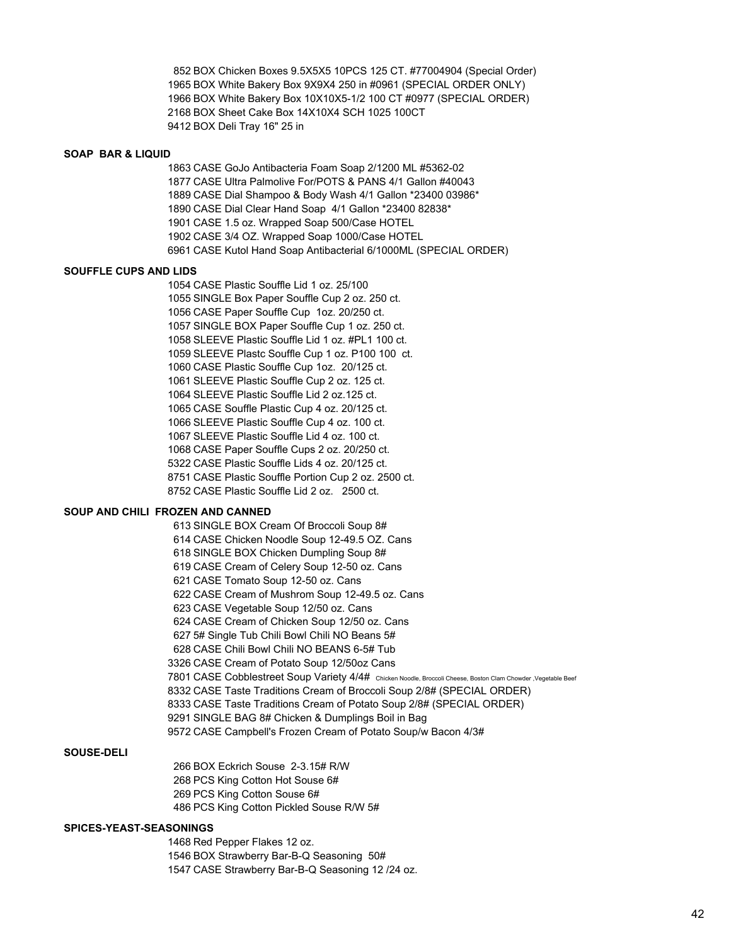BOX Chicken Boxes 9.5X5X5 10PCS 125 CT. #77004904 (Special Order) BOX White Bakery Box 9X9X4 250 in #0961 (SPECIAL ORDER ONLY) BOX White Bakery Box 10X10X5-1/2 100 CT #0977 (SPECIAL ORDER) BOX Sheet Cake Box 14X10X4 SCH 1025 100CT BOX Deli Tray 16" 25 in

#### **SOAP BAR & LIQUID**

 CASE GoJo Antibacteria Foam Soap 2/1200 ML #5362-02 CASE Ultra Palmolive For/POTS & PANS 4/1 Gallon #40043 CASE Dial Shampoo & Body Wash 4/1 Gallon \*23400 03986\* CASE Dial Clear Hand Soap 4/1 Gallon \*23400 82838\* CASE 1.5 oz. Wrapped Soap 500/Case HOTEL CASE 3/4 OZ. Wrapped Soap 1000/Case HOTEL CASE Kutol Hand Soap Antibacterial 6/1000ML (SPECIAL ORDER)

#### **SOUFFLE CUPS AND LIDS**

 CASE Plastic Souffle Lid 1 oz. 25/100 SINGLE Box Paper Souffle Cup 2 oz. 250 ct. CASE Paper Souffle Cup 1oz. 20/250 ct. SINGLE BOX Paper Souffle Cup 1 oz. 250 ct. SLEEVE Plastic Souffle Lid 1 oz. #PL1 100 ct. SLEEVE Plastc Souffle Cup 1 oz. P100 100 ct. CASE Plastic Souffle Cup 1oz. 20/125 ct. SLEEVE Plastic Souffle Cup 2 oz. 125 ct. SLEEVE Plastic Souffle Lid 2 oz.125 ct. CASE Souffle Plastic Cup 4 oz. 20/125 ct. SLEEVE Plastic Souffle Cup 4 oz. 100 ct. SLEEVE Plastic Souffle Lid 4 oz. 100 ct. CASE Paper Souffle Cups 2 oz. 20/250 ct. CASE Plastic Souffle Lids 4 oz. 20/125 ct. CASE Plastic Souffle Portion Cup 2 oz. 2500 ct. CASE Plastic Souffle Lid 2 oz. 2500 ct.

# **SOUP AND CHILI FROZEN AND CANNED**

 SINGLE BOX Cream Of Broccoli Soup 8# CASE Chicken Noodle Soup 12-49.5 OZ. Cans SINGLE BOX Chicken Dumpling Soup 8# CASE Cream of Celery Soup 12-50 oz. Cans CASE Tomato Soup 12-50 oz. Cans CASE Cream of Mushrom Soup 12-49.5 oz. Cans CASE Vegetable Soup 12/50 oz. Cans CASE Cream of Chicken Soup 12/50 oz. Cans 5# Single Tub Chili Bowl Chili NO Beans 5# CASE Chili Bowl Chili NO BEANS 6-5# Tub CASE Cream of Potato Soup 12/50oz Cans CASE Cobblestreet Soup Variety 4/4# Chicken Noodle, Broccoli Cheese, Boston Clam Chowder ,Vegetable Beef CASE Taste Traditions Cream of Broccoli Soup 2/8# (SPECIAL ORDER) CASE Taste Traditions Cream of Potato Soup 2/8# (SPECIAL ORDER) SINGLE BAG 8# Chicken & Dumplings Boil in Bag CASE Campbell's Frozen Cream of Potato Soup/w Bacon 4/3#

#### **SOUSE-DELI**

 BOX Eckrich Souse 2-3.15# R/W PCS King Cotton Hot Souse 6# PCS King Cotton Souse 6# PCS King Cotton Pickled Souse R/W 5#

#### **SPICES-YEAST-SEASONINGS**

 Red Pepper Flakes 12 oz. BOX Strawberry Bar-B-Q Seasoning 50# CASE Strawberry Bar-B-Q Seasoning 12 /24 oz.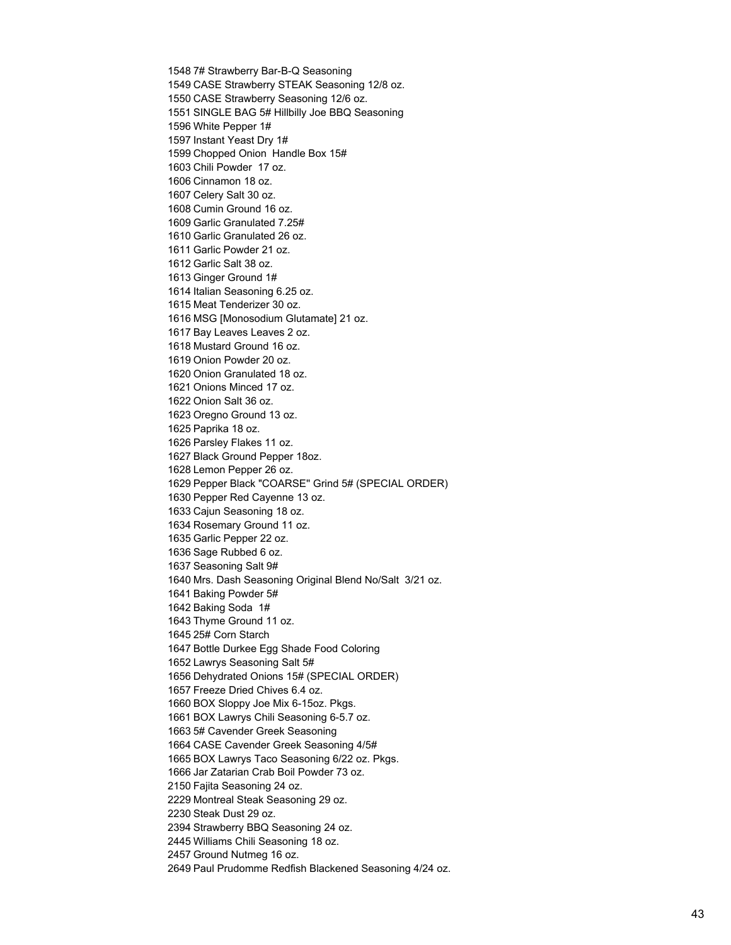7# Strawberry Bar-B-Q Seasoning CASE Strawberry STEAK Seasoning 12/8 oz. CASE Strawberry Seasoning 12/6 oz. SINGLE BAG 5# Hillbilly Joe BBQ Seasoning White Pepper 1# Instant Yeast Dry 1# Chopped Onion Handle Box 15# Chili Powder 17 oz. Cinnamon 18 oz. Celery Salt 30 oz. Cumin Ground 16 oz. Garlic Granulated 7.25# Garlic Granulated 26 oz. Garlic Powder 21 oz. Garlic Salt 38 oz. Ginger Ground 1# Italian Seasoning 6.25 oz. Meat Tenderizer 30 oz. MSG [Monosodium Glutamate] 21 oz. Bay Leaves Leaves 2 oz. Mustard Ground 16 oz. Onion Powder 20 oz. Onion Granulated 18 oz. Onions Minced 17 oz. Onion Salt 36 oz. Oregno Ground 13 oz. Paprika 18 oz. Parsley Flakes 11 oz. Black Ground Pepper 18oz. Lemon Pepper 26 oz. Pepper Black "COARSE'' Grind 5# (SPECIAL ORDER) Pepper Red Cayenne 13 oz. Cajun Seasoning 18 oz. Rosemary Ground 11 oz. Garlic Pepper 22 oz. Sage Rubbed 6 oz. Seasoning Salt 9# Mrs. Dash Seasoning Original Blend No/Salt 3/21 oz. Baking Powder 5# Baking Soda 1# Thyme Ground 11 oz. 25# Corn Starch Bottle Durkee Egg Shade Food Coloring Lawrys Seasoning Salt 5# Dehydrated Onions 15# (SPECIAL ORDER) Freeze Dried Chives 6.4 oz. BOX Sloppy Joe Mix 6-15oz. Pkgs. BOX Lawrys Chili Seasoning 6-5.7 oz. 5# Cavender Greek Seasoning CASE Cavender Greek Seasoning 4/5# BOX Lawrys Taco Seasoning 6/22 oz. Pkgs. Jar Zatarian Crab Boil Powder 73 oz. Fajita Seasoning 24 oz. Montreal Steak Seasoning 29 oz. Steak Dust 29 oz. Strawberry BBQ Seasoning 24 oz. Williams Chili Seasoning 18 oz. Ground Nutmeg 16 oz. Paul Prudomme Redfish Blackened Seasoning 4/24 oz.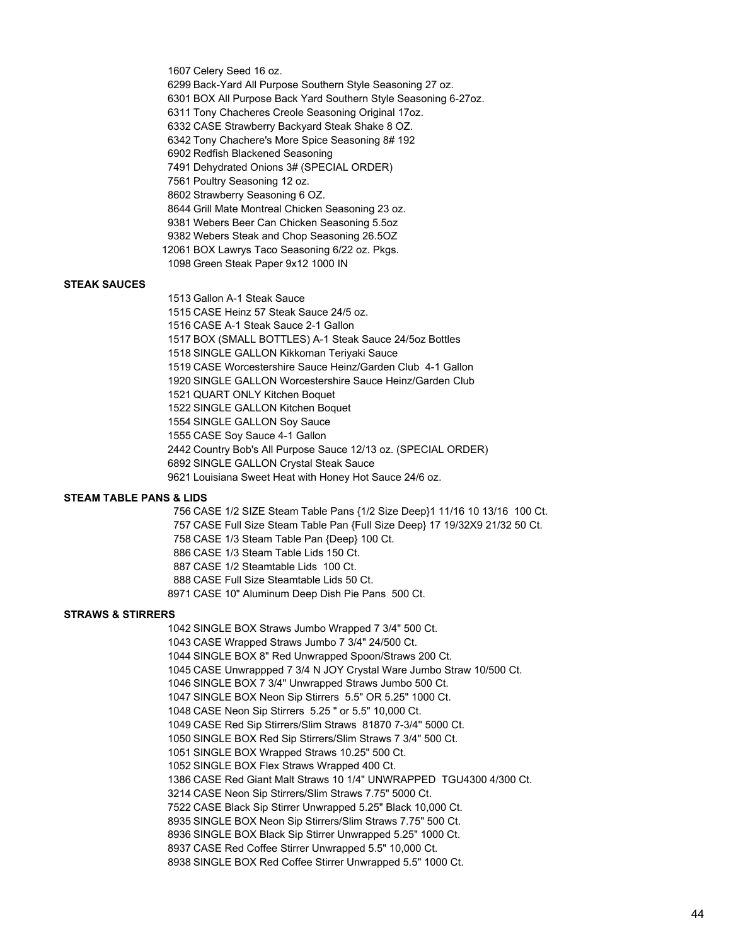Celery Seed 16 oz.

- Back-Yard All Purpose Southern Style Seasoning 27 oz.
- BOX All Purpose Back Yard Southern Style Seasoning 6-27oz.
- Tony Chacheres Creole Seasoning Original 17oz.
- CASE Strawberry Backyard Steak Shake 8 OZ.
- Tony Chachere's More Spice Seasoning 8# 192
- Redfish Blackened Seasoning
- Dehydrated Onions 3# (SPECIAL ORDER)
- Poultry Seasoning 12 oz.
- Strawberry Seasoning 6 OZ.
- Grill Mate Montreal Chicken Seasoning 23 oz.
- Webers Beer Can Chicken Seasoning 5.5oz
- Webers Steak and Chop Seasoning 26.5OZ
- BOX Lawrys Taco Seasoning 6/22 oz. Pkgs. Green Steak Paper 9x12 1000 IN

# **STEAK SAUCES**

Gallon A-1 Steak Sauce

CASE Heinz 57 Steak Sauce 24/5 oz.

- CASE A-1 Steak Sauce 2-1 Gallon
- BOX (SMALL BOTTLES) A-1 Steak Sauce 24/5oz Bottles
- SINGLE GALLON Kikkoman Teriyaki Sauce
- CASE Worcestershire Sauce Heinz/Garden Club 4-1 Gallon
- SINGLE GALLON Worcestershire Sauce Heinz/Garden Club
- QUART ONLY Kitchen Boquet
- SINGLE GALLON Kitchen Boquet
- SINGLE GALLON Soy Sauce
- CASE Soy Sauce 4-1 Gallon
- Country Bob's All Purpose Sauce 12/13 oz. (SPECIAL ORDER)
	- SINGLE GALLON Crystal Steak Sauce
	- Louisiana Sweet Heat with Honey Hot Sauce 24/6 oz.

#### **STEAM TABLE PANS & LIDS**

 CASE 1/2 SIZE Steam Table Pans {1/2 Size Deep}1 11/16 10 13/16 100 Ct. CASE Full Size Steam Table Pan {Full Size Deep} 17 19/32X9 21/32 50 Ct. CASE 1/3 Steam Table Pan {Deep} 100 Ct. CASE 1/3 Steam Table Lids 150 Ct. CASE 1/2 Steamtable Lids 100 Ct. CASE Full Size Steamtable Lids 50 Ct. CASE 10" Aluminum Deep Dish Pie Pans 500 Ct.

#### **STRAWS & STIRRERS**

 SINGLE BOX Straws Jumbo Wrapped 7 3/4" 500 Ct. CASE Wrapped Straws Jumbo 7 3/4" 24/500 Ct. SINGLE BOX 8" Red Unwrapped Spoon/Straws 200 Ct. CASE Unwrappped 7 3/4 N JOY Crystal Ware Jumbo Straw 10/500 Ct. SINGLE BOX 7 3/4" Unwrapped Straws Jumbo 500 Ct. SINGLE BOX Neon Sip Stirrers 5.5" OR 5.25" 1000 Ct. CASE Neon Sip Stirrers 5.25 " or 5.5" 10,000 Ct. CASE Red Sip Stirrers/Slim Straws 81870 7-3/4'' 5000 Ct. SINGLE BOX Red Sip Stirrers/Slim Straws 7 3/4" 500 Ct. SINGLE BOX Wrapped Straws 10.25" 500 Ct. SINGLE BOX Flex Straws Wrapped 400 Ct. CASE Red Giant Malt Straws 10 1/4" UNWRAPPED TGU4300 4/300 Ct. CASE Neon Sip Stirrers/Slim Straws 7.75" 5000 Ct. CASE Black Sip Stirrer Unwrapped 5.25" Black 10,000 Ct. SINGLE BOX Neon Sip Stirrers/Slim Straws 7.75" 500 Ct. SINGLE BOX Black Sip Stirrer Unwrapped 5.25" 1000 Ct. CASE Red Coffee Stirrer Unwrapped 5.5" 10,000 Ct. SINGLE BOX Red Coffee Stirrer Unwrapped 5.5" 1000 Ct.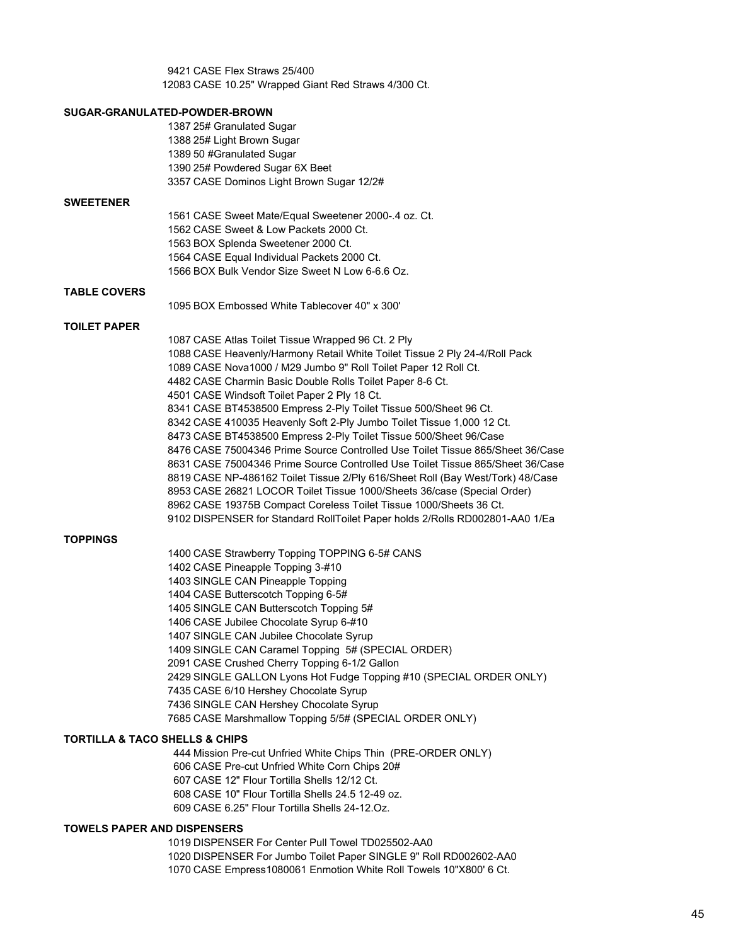CASE Flex Straws 25/400 CASE 10.25" Wrapped Giant Red Straws 4/300 Ct.

# **SUGAR-GRANULATED-POWDER-BROWN** 25# Granulated Sugar 25# Light Brown Sugar 50 #Granulated Sugar 25# Powdered Sugar 6X Beet CASE Dominos Light Brown Sugar 12/2# **SWEETENER** CASE Sweet Mate/Equal Sweetener 2000-.4 oz. Ct. CASE Sweet & Low Packets 2000 Ct. BOX Splenda Sweetener 2000 Ct. CASE Equal Individual Packets 2000 Ct. BOX Bulk Vendor Size Sweet N Low 6-6.6 Oz. **TABLE COVERS** BOX Embossed White Tablecover 40" x 300' **TOILET PAPER** CASE Atlas Toilet Tissue Wrapped 96 Ct. 2 Ply CASE Heavenly/Harmony Retail White Toilet Tissue 2 Ply 24-4/Roll Pack CASE Nova1000 / M29 Jumbo 9" Roll Toilet Paper 12 Roll Ct. CASE Charmin Basic Double Rolls Toilet Paper 8-6 Ct. CASE Windsoft Toilet Paper 2 Ply 18 Ct. CASE BT4538500 Empress 2-Ply Toilet Tissue 500/Sheet 96 Ct. CASE 410035 Heavenly Soft 2-Ply Jumbo Toilet Tissue 1,000 12 Ct. CASE BT4538500 Empress 2-Ply Toilet Tissue 500/Sheet 96/Case CASE 75004346 Prime Source Controlled Use Toilet Tissue 865/Sheet 36/Case CASE 75004346 Prime Source Controlled Use Toilet Tissue 865/Sheet 36/Case CASE NP-486162 Toilet Tissue 2/Ply 616/Sheet Roll (Bay West/Tork) 48/Case CASE 26821 LOCOR Toilet Tissue 1000/Sheets 36/case (Special Order) CASE 19375B Compact Coreless Toilet Tissue 1000/Sheets 36 Ct. DISPENSER for Standard RollToilet Paper holds 2/Rolls RD002801-AA0 1/Ea **TOPPINGS** CASE Strawberry Topping TOPPING 6-5# CANS CASE Pineapple Topping 3-#10 SINGLE CAN Pineapple Topping CASE Butterscotch Topping 6-5# SINGLE CAN Butterscotch Topping 5# CASE Jubilee Chocolate Syrup 6-#10 SINGLE CAN Jubilee Chocolate Syrup SINGLE CAN Caramel Topping 5# (SPECIAL ORDER) CASE Crushed Cherry Topping 6-1/2 Gallon SINGLE GALLON Lyons Hot Fudge Topping #10 (SPECIAL ORDER ONLY)

 CASE 6/10 Hershey Chocolate Syrup SINGLE CAN Hershey Chocolate Syrup

# **TORTILLA & TACO SHELLS & CHIPS**

 Mission Pre-cut Unfried White Chips Thin (PRE-ORDER ONLY) CASE Pre-cut Unfried White Corn Chips 20# CASE 12" Flour Tortilla Shells 12/12 Ct. CASE 10" Flour Tortilla Shells 24.5 12-49 oz. CASE 6.25" Flour Tortilla Shells 24-12.Oz.

CASE Marshmallow Topping 5/5# (SPECIAL ORDER ONLY)

#### **TOWELS PAPER AND DISPENSERS**

 DISPENSER For Center Pull Towel TD025502-AA0 DISPENSER For Jumbo Toilet Paper SINGLE 9" Roll RD002602-AA0 CASE Empress1080061 Enmotion White Roll Towels 10"X800' 6 Ct.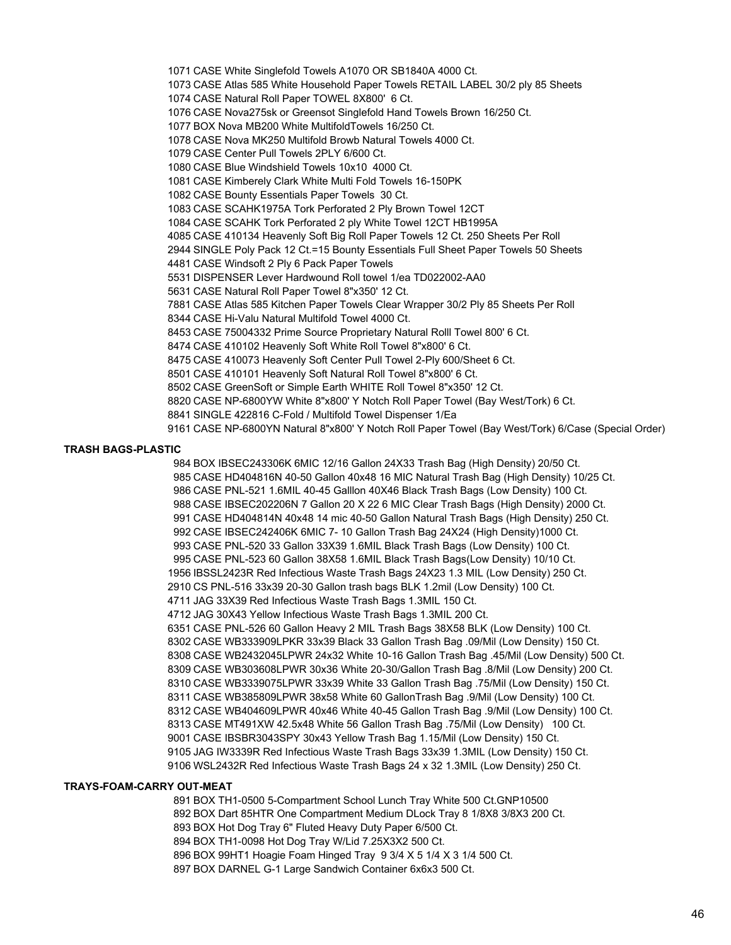CASE White Singlefold Towels A1070 OR SB1840A 4000 Ct. CASE Atlas 585 White Household Paper Towels RETAIL LABEL 30/2 ply 85 Sheets CASE Natural Roll Paper TOWEL 8X800' 6 Ct. CASE Nova275sk or Greensot Singlefold Hand Towels Brown 16/250 Ct. BOX Nova MB200 White MultifoldTowels 16/250 Ct. CASE Nova MK250 Multifold Browb Natural Towels 4000 Ct. CASE Center Pull Towels 2PLY 6/600 Ct. CASE Blue Windshield Towels 10x10 4000 Ct. CASE Kimberely Clark White Multi Fold Towels 16-150PK CASE Bounty Essentials Paper Towels 30 Ct. CASE SCAHK1975A Tork Perforated 2 Ply Brown Towel 12CT CASE SCAHK Tork Perforated 2 ply White Towel 12CT HB1995A CASE 410134 Heavenly Soft Big Roll Paper Towels 12 Ct. 250 Sheets Per Roll SINGLE Poly Pack 12 Ct.=15 Bounty Essentials Full Sheet Paper Towels 50 Sheets CASE Windsoft 2 Ply 6 Pack Paper Towels DISPENSER Lever Hardwound Roll towel 1/ea TD022002-AA0 CASE Natural Roll Paper Towel 8"x350' 12 Ct. CASE Atlas 585 Kitchen Paper Towels Clear Wrapper 30/2 Ply 85 Sheets Per Roll CASE Hi-Valu Natural Multifold Towel 4000 Ct. CASE 75004332 Prime Source Proprietary Natural Rolll Towel 800' 6 Ct. CASE 410102 Heavenly Soft White Roll Towel 8"x800' 6 Ct. CASE 410073 Heavenly Soft Center Pull Towel 2-Ply 600/Sheet 6 Ct. CASE 410101 Heavenly Soft Natural Roll Towel 8"x800' 6 Ct. CASE GreenSoft or Simple Earth WHITE Roll Towel 8"x350' 12 Ct. CASE NP-6800YW White 8"x800' Y Notch Roll Paper Towel (Bay West/Tork) 6 Ct. SINGLE 422816 C-Fold / Multifold Towel Dispenser 1/Ea CASE NP-6800YN Natural 8"x800' Y Notch Roll Paper Towel (Bay West/Tork) 6/Case (Special Order)

#### **TRASH BAGS-PLASTIC**

 BOX IBSEC243306K 6MIC 12/16 Gallon 24X33 Trash Bag (High Density) 20/50 Ct. CASE HD404816N 40-50 Gallon 40x48 16 MIC Natural Trash Bag (High Density) 10/25 Ct. CASE PNL-521 1.6MIL 40-45 Galllon 40X46 Black Trash Bags (Low Density) 100 Ct. CASE IBSEC202206N 7 Gallon 20 X 22 6 MIC Clear Trash Bags (High Density) 2000 Ct. CASE HD404814N 40x48 14 mic 40-50 Gallon Natural Trash Bags (High Density) 250 Ct. CASE IBSEC242406K 6MIC 7- 10 Gallon Trash Bag 24X24 (High Density)1000 Ct. CASE PNL-520 33 Gallon 33X39 1.6MIL Black Trash Bags (Low Density) 100 Ct. CASE PNL-523 60 Gallon 38X58 1.6MIL Black Trash Bags(Low Density) 10/10 Ct. IBSSL2423R Red Infectious Waste Trash Bags 24X23 1.3 MIL (Low Density) 250 Ct. CS PNL-516 33x39 20-30 Gallon trash bags BLK 1.2mil (Low Density) 100 Ct. JAG 33X39 Red Infectious Waste Trash Bags 1.3MIL 150 Ct. JAG 30X43 Yellow Infectious Waste Trash Bags 1.3MIL 200 Ct. CASE PNL-526 60 Gallon Heavy 2 MIL Trash Bags 38X58 BLK (Low Density) 100 Ct. CASE WB333909LPKR 33x39 Black 33 Gallon Trash Bag .09/Mil (Low Density) 150 Ct. CASE WB2432045LPWR 24x32 White 10-16 Gallon Trash Bag .45/Mil (Low Density) 500 Ct. CASE WB303608LPWR 30x36 White 20-30/Gallon Trash Bag .8/Mil (Low Density) 200 Ct. CASE WB3339075LPWR 33x39 White 33 Gallon Trash Bag .75/Mil (Low Density) 150 Ct. CASE WB385809LPWR 38x58 White 60 GallonTrash Bag .9/Mil (Low Density) 100 Ct. CASE WB404609LPWR 40x46 White 40-45 Gallon Trash Bag .9/Mil (Low Density) 100 Ct. CASE MT491XW 42.5x48 White 56 Gallon Trash Bag .75/Mil (Low Density) 100 Ct. CASE IBSBR3043SPY 30x43 Yellow Trash Bag 1.15/Mil (Low Density) 150 Ct. JAG IW3339R Red Infectious Waste Trash Bags 33x39 1.3MIL (Low Density) 150 Ct. WSL2432R Red Infectious Waste Trash Bags 24 x 32 1.3MIL (Low Density) 250 Ct.

# **TRAYS-FOAM-CARRY OUT-MEAT**

 BOX TH1-0500 5-Compartment School Lunch Tray White 500 Ct.GNP10500 BOX Dart 85HTR One Compartment Medium DLock Tray 8 1/8X8 3/8X3 200 Ct. BOX Hot Dog Tray 6" Fluted Heavy Duty Paper 6/500 Ct. BOX TH1-0098 Hot Dog Tray W/Lid 7.25X3X2 500 Ct. BOX 99HT1 Hoagie Foam Hinged Tray 9 3/4 X 5 1/4 X 3 1/4 500 Ct. BOX DARNEL G-1 Large Sandwich Container 6x6x3 500 Ct.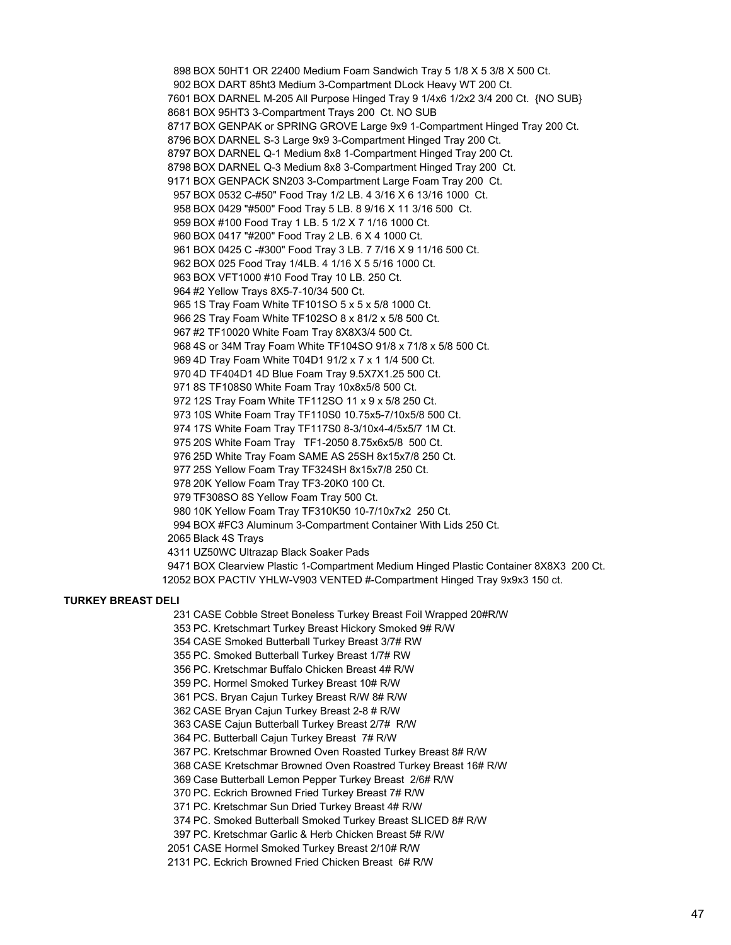BOX 50HT1 OR 22400 Medium Foam Sandwich Tray 5 1/8 X 5 3/8 X 500 Ct. BOX DART 85ht3 Medium 3-Compartment DLock Heavy WT 200 Ct. BOX DARNEL M-205 All Purpose Hinged Tray 9 1/4x6 1/2x2 3/4 200 Ct. {NO SUB} BOX 95HT3 3-Compartment Trays 200 Ct. NO SUB BOX GENPAK or SPRING GROVE Large 9x9 1-Compartment Hinged Tray 200 Ct. BOX DARNEL S-3 Large 9x9 3-Compartment Hinged Tray 200 Ct. BOX DARNEL Q-1 Medium 8x8 1-Compartment Hinged Tray 200 Ct. BOX DARNEL Q-3 Medium 8x8 3-Compartment Hinged Tray 200 Ct. BOX GENPACK SN203 3-Compartment Large Foam Tray 200 Ct. BOX 0532 C-#50" Food Tray 1/2 LB. 4 3/16 X 6 13/16 1000 Ct. BOX 0429 "#500" Food Tray 5 LB. 8 9/16 X 11 3/16 500 Ct. BOX #100 Food Tray 1 LB. 5 1/2 X 7 1/16 1000 Ct. BOX 0417 "#200" Food Tray 2 LB. 6 X 4 1000 Ct. BOX 0425 C -#300" Food Tray 3 LB. 7 7/16 X 9 11/16 500 Ct. BOX 025 Food Tray 1/4LB. 4 1/16 X 5 5/16 1000 Ct. BOX VFT1000 #10 Food Tray 10 LB. 250 Ct. #2 Yellow Trays 8X5-7-10/34 500 Ct. 1S Tray Foam White TF101SO 5 x 5 x 5/8 1000 Ct. 2S Tray Foam White TF102SO 8 x 81/2 x 5/8 500 Ct. #2 TF10020 White Foam Tray 8X8X3/4 500 Ct. 4S or 34M Tray Foam White TF104SO 91/8 x 71/8 x 5/8 500 Ct. 4D Tray Foam White T04D1 91/2 x 7 x 1 1/4 500 Ct. 4D TF404D1 4D Blue Foam Tray 9.5X7X1.25 500 Ct. 8S TF108S0 White Foam Tray 10x8x5/8 500 Ct. 12S Tray Foam White TF112SO 11 x 9 x 5/8 250 Ct. 10S White Foam Tray TF110S0 10.75x5-7/10x5/8 500 Ct. 17S White Foam Tray TF117S0 8-3/10x4-4/5x5/7 1M Ct. 20S White Foam Tray TF1-2050 8.75x6x5/8 500 Ct. 25D White Tray Foam SAME AS 25SH 8x15x7/8 250 Ct. 25S Yellow Foam Tray TF324SH 8x15x7/8 250 Ct. 20K Yellow Foam Tray TF3-20K0 100 Ct. TF308SO 8S Yellow Foam Tray 500 Ct. 10K Yellow Foam Tray TF310K50 10-7/10x7x2 250 Ct. BOX #FC3 Aluminum 3-Compartment Container With Lids 250 Ct. Black 4S Trays UZ50WC Ultrazap Black Soaker Pads BOX Clearview Plastic 1-Compartment Medium Hinged Plastic Container 8X8X3 200 Ct. BOX PACTIV YHLW-V903 VENTED #-Compartment Hinged Tray 9x9x3 150 ct.

#### **TURKEY BREAST DELI**

CASE Cobble Street Boneless Turkey Breast Foil Wrapped 20#R/W

PC. Kretschmart Turkey Breast Hickory Smoked 9# R/W

CASE Smoked Butterball Turkey Breast 3/7# RW

PC. Smoked Butterball Turkey Breast 1/7# RW

PC. Kretschmar Buffalo Chicken Breast 4# R/W

PC. Hormel Smoked Turkey Breast 10# R/W

PCS. Bryan Cajun Turkey Breast R/W 8# R/W

CASE Bryan Cajun Turkey Breast 2-8 # R/W

CASE Cajun Butterball Turkey Breast 2/7# R/W

PC. Butterball Cajun Turkey Breast 7# R/W

PC. Kretschmar Browned Oven Roasted Turkey Breast 8# R/W

CASE Kretschmar Browned Oven Roastred Turkey Breast 16# R/W

Case Butterball Lemon Pepper Turkey Breast 2/6# R/W

PC. Eckrich Browned Fried Turkey Breast 7# R/W

PC. Kretschmar Sun Dried Turkey Breast 4# R/W

PC. Smoked Butterball Smoked Turkey Breast SLICED 8# R/W

PC. Kretschmar Garlic & Herb Chicken Breast 5# R/W

CASE Hormel Smoked Turkey Breast 2/10# R/W

PC. Eckrich Browned Fried Chicken Breast 6# R/W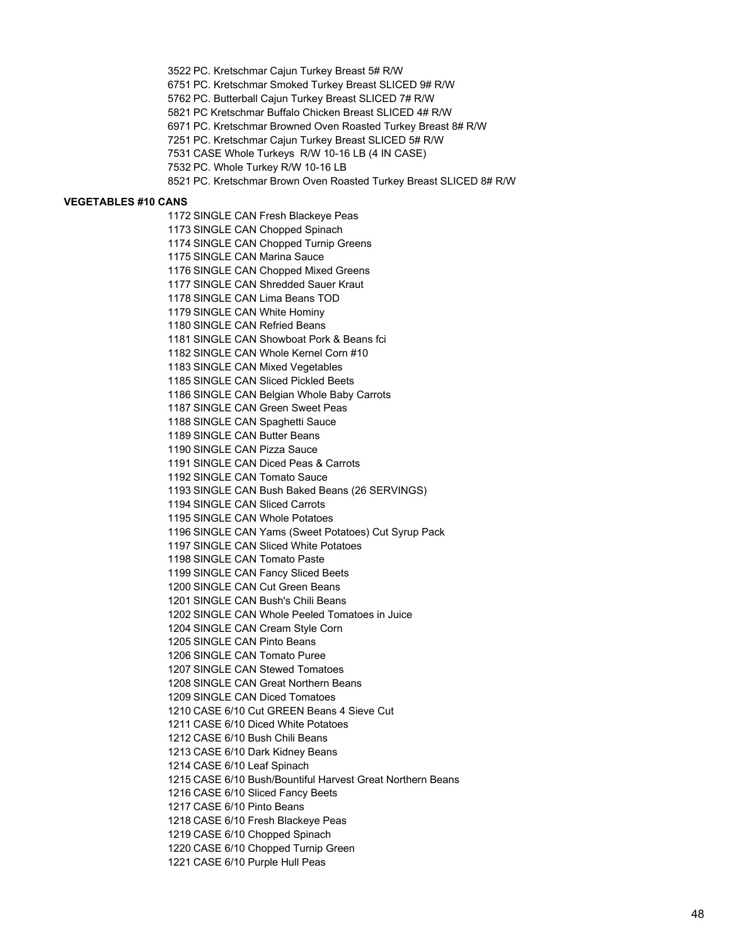PC. Kretschmar Cajun Turkey Breast 5# R/W PC. Kretschmar Smoked Turkey Breast SLICED 9# R/W PC. Butterball Cajun Turkey Breast SLICED 7# R/W PC Kretschmar Buffalo Chicken Breast SLICED 4# R/W PC. Kretschmar Browned Oven Roasted Turkey Breast 8# R/W PC. Kretschmar Cajun Turkey Breast SLICED 5# R/W CASE Whole Turkeys R/W 10-16 LB (4 IN CASE) PC. Whole Turkey R/W 10-16 LB PC. Kretschmar Brown Oven Roasted Turkey Breast SLICED 8# R/W

#### **VEGETABLES #10 CANS**

 SINGLE CAN Fresh Blackeye Peas SINGLE CAN Chopped Spinach SINGLE CAN Chopped Turnip Greens 1175 SINGLE CAN Marina Sauce SINGLE CAN Chopped Mixed Greens SINGLE CAN Shredded Sauer Kraut SINGLE CAN Lima Beans TOD SINGLE CAN White Hominy SINGLE CAN Refried Beans SINGLE CAN Showboat Pork & Beans fci SINGLE CAN Whole Kernel Corn #10 SINGLE CAN Mixed Vegetables SINGLE CAN Sliced Pickled Beets SINGLE CAN Belgian Whole Baby Carrots SINGLE CAN Green Sweet Peas SINGLE CAN Spaghetti Sauce SINGLE CAN Butter Beans SINGLE CAN Pizza Sauce SINGLE CAN Diced Peas & Carrots SINGLE CAN Tomato Sauce SINGLE CAN Bush Baked Beans (26 SERVINGS) SINGLE CAN Sliced Carrots SINGLE CAN Whole Potatoes SINGLE CAN Yams (Sweet Potatoes) Cut Syrup Pack SINGLE CAN Sliced White Potatoes SINGLE CAN Tomato Paste SINGLE CAN Fancy Sliced Beets SINGLE CAN Cut Green Beans SINGLE CAN Bush's Chili Beans SINGLE CAN Whole Peeled Tomatoes in Juice SINGLE CAN Cream Style Corn SINGLE CAN Pinto Beans SINGLE CAN Tomato Puree SINGLE CAN Stewed Tomatoes SINGLE CAN Great Northern Beans SINGLE CAN Diced Tomatoes CASE 6/10 Cut GREEN Beans 4 Sieve Cut CASE 6/10 Diced White Potatoes CASE 6/10 Bush Chili Beans CASE 6/10 Dark Kidney Beans CASE 6/10 Leaf Spinach CASE 6/10 Bush/Bountiful Harvest Great Northern Beans CASE 6/10 Sliced Fancy Beets CASE 6/10 Pinto Beans CASE 6/10 Fresh Blackeye Peas CASE 6/10 Chopped Spinach CASE 6/10 Chopped Turnip Green

CASE 6/10 Purple Hull Peas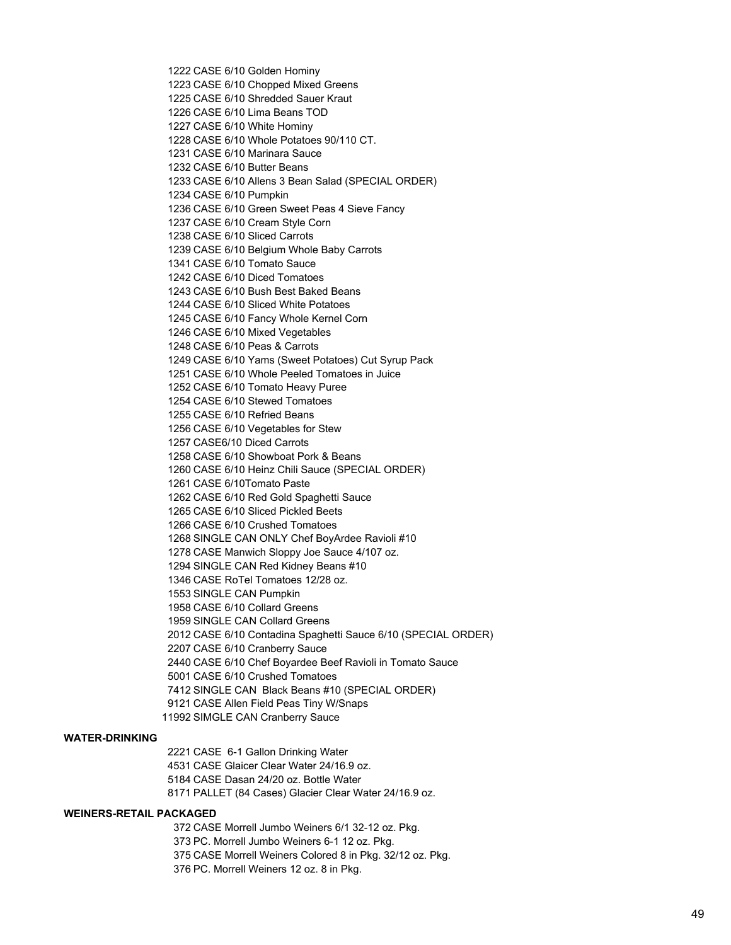CASE 6/10 Golden Hominy CASE 6/10 Chopped Mixed Greens CASE 6/10 Shredded Sauer Kraut CASE 6/10 Lima Beans TOD CASE 6/10 White Hominy CASE 6/10 Whole Potatoes 90/110 CT. CASE 6/10 Marinara Sauce CASE 6/10 Butter Beans CASE 6/10 Allens 3 Bean Salad (SPECIAL ORDER) CASE 6/10 Pumpkin CASE 6/10 Green Sweet Peas 4 Sieve Fancy CASE 6/10 Cream Style Corn CASE 6/10 Sliced Carrots CASE 6/10 Belgium Whole Baby Carrots CASE 6/10 Tomato Sauce CASE 6/10 Diced Tomatoes CASE 6/10 Bush Best Baked Beans CASE 6/10 Sliced White Potatoes CASE 6/10 Fancy Whole Kernel Corn CASE 6/10 Mixed Vegetables CASE 6/10 Peas & Carrots CASE 6/10 Yams (Sweet Potatoes) Cut Syrup Pack CASE 6/10 Whole Peeled Tomatoes in Juice CASE 6/10 Tomato Heavy Puree CASE 6/10 Stewed Tomatoes CASE 6/10 Refried Beans CASE 6/10 Vegetables for Stew CASE6/10 Diced Carrots CASE 6/10 Showboat Pork & Beans CASE 6/10 Heinz Chili Sauce (SPECIAL ORDER) CASE 6/10Tomato Paste CASE 6/10 Red Gold Spaghetti Sauce CASE 6/10 Sliced Pickled Beets CASE 6/10 Crushed Tomatoes SINGLE CAN ONLY Chef BoyArdee Ravioli #10 CASE Manwich Sloppy Joe Sauce 4/107 oz. SINGLE CAN Red Kidney Beans #10 CASE RoTel Tomatoes 12/28 oz. SINGLE CAN Pumpkin CASE 6/10 Collard Greens SINGLE CAN Collard Greens CASE 6/10 Contadina Spaghetti Sauce 6/10 (SPECIAL ORDER) CASE 6/10 Cranberry Sauce CASE 6/10 Chef Boyardee Beef Ravioli in Tomato Sauce CASE 6/10 Crushed Tomatoes SINGLE CAN Black Beans #10 (SPECIAL ORDER) CASE Allen Field Peas Tiny W/Snaps SIMGLE CAN Cranberry Sauce

# **WATER-DRINKING**

 CASE 6-1 Gallon Drinking Water CASE Glaicer Clear Water 24/16.9 oz. CASE Dasan 24/20 oz. Bottle Water PALLET (84 Cases) Glacier Clear Water 24/16.9 oz.

### **WEINERS-RETAIL PACKAGED**

 CASE Morrell Jumbo Weiners 6/1 32-12 oz. Pkg. PC. Morrell Jumbo Weiners 6-1 12 oz. Pkg. CASE Morrell Weiners Colored 8 in Pkg. 32/12 oz. Pkg. PC. Morrell Weiners 12 oz. 8 in Pkg.